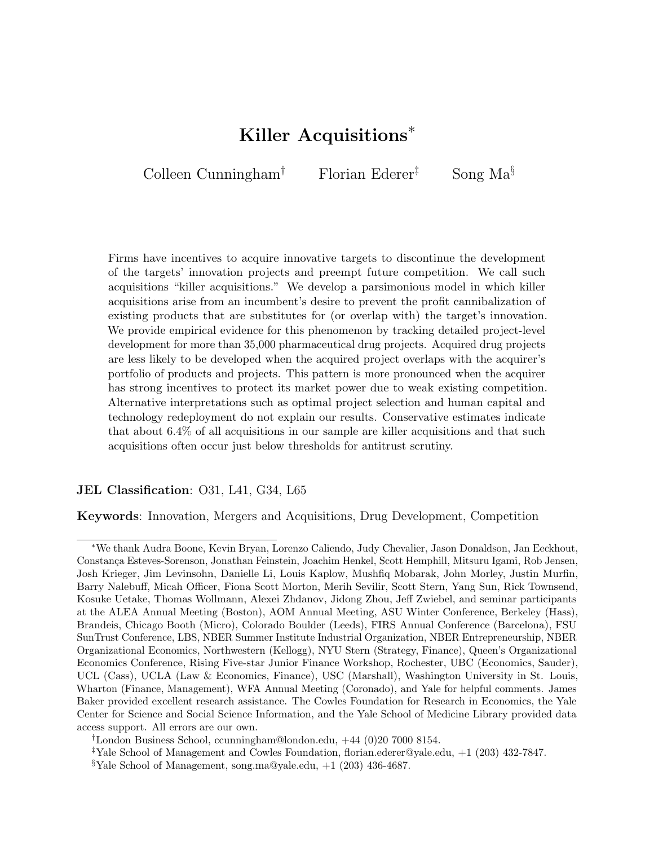### Killer Acquisitions<sup>∗</sup>

<span id="page-0-0"></span>Colleen Cunningham<sup>†</sup> Florian Ederer<sup>‡</sup> Song Ma<sup>§</sup>

Firms have incentives to acquire innovative targets to discontinue the development of the targets' innovation projects and preempt future competition. We call such acquisitions "killer acquisitions." We develop a parsimonious model in which killer acquisitions arise from an incumbent's desire to prevent the profit cannibalization of existing products that are substitutes for (or overlap with) the target's innovation. We provide empirical evidence for this phenomenon by tracking detailed project-level development for more than 35,000 pharmaceutical drug projects. Acquired drug projects are less likely to be developed when the acquired project overlaps with the acquirer's portfolio of products and projects. This pattern is more pronounced when the acquirer has strong incentives to protect its market power due to weak existing competition. Alternative interpretations such as optimal project selection and human capital and technology redeployment do not explain our results. Conservative estimates indicate that about 6.4% of all acquisitions in our sample are killer acquisitions and that such acquisitions often occur just below thresholds for antitrust scrutiny.

### JEL Classification: 031, L41, G34, L65

Keywords: Innovation, Mergers and Acquisitions, Drug Development, Competition

<sup>∗</sup>We thank Audra Boone, Kevin Bryan, Lorenzo Caliendo, Judy Chevalier, Jason Donaldson, Jan Eeckhout, Constan¸ca Esteves-Sorenson, Jonathan Feinstein, Joachim Henkel, Scott Hemphill, Mitsuru Igami, Rob Jensen, Josh Krieger, Jim Levinsohn, Danielle Li, Louis Kaplow, Mushfiq Mobarak, John Morley, Justin Murfin, Barry Nalebuff, Micah Officer, Fiona Scott Morton, Merih Sevilir, Scott Stern, Yang Sun, Rick Townsend, Kosuke Uetake, Thomas Wollmann, Alexei Zhdanov, Jidong Zhou, Jeff Zwiebel, and seminar participants at the ALEA Annual Meeting (Boston), AOM Annual Meeting, ASU Winter Conference, Berkeley (Hass), Brandeis, Chicago Booth (Micro), Colorado Boulder (Leeds), FIRS Annual Conference (Barcelona), FSU SunTrust Conference, LBS, NBER Summer Institute Industrial Organization, NBER Entrepreneurship, NBER Organizational Economics, Northwestern (Kellogg), NYU Stern (Strategy, Finance), Queen's Organizational Economics Conference, Rising Five-star Junior Finance Workshop, Rochester, UBC (Economics, Sauder), UCL (Cass), UCLA (Law & Economics, Finance), USC (Marshall), Washington University in St. Louis, Wharton (Finance, Management), WFA Annual Meeting (Coronado), and Yale for helpful comments. James Baker provided excellent research assistance. The Cowles Foundation for Research in Economics, the Yale Center for Science and Social Science Information, and the Yale School of Medicine Library provided data access support. All errors are our own.

<sup>†</sup>London Business School, ccunningham@london.edu, +44 (0)20 7000 8154.

<sup>&</sup>lt;sup>‡</sup>Yale School of Management and Cowles Foundation, florian.ederer@yale.edu,  $+1$  (203) 432-7847.

<sup>&</sup>lt;sup>§</sup>Yale School of Management, song.ma@yale.edu,  $+1$  (203) 436-4687.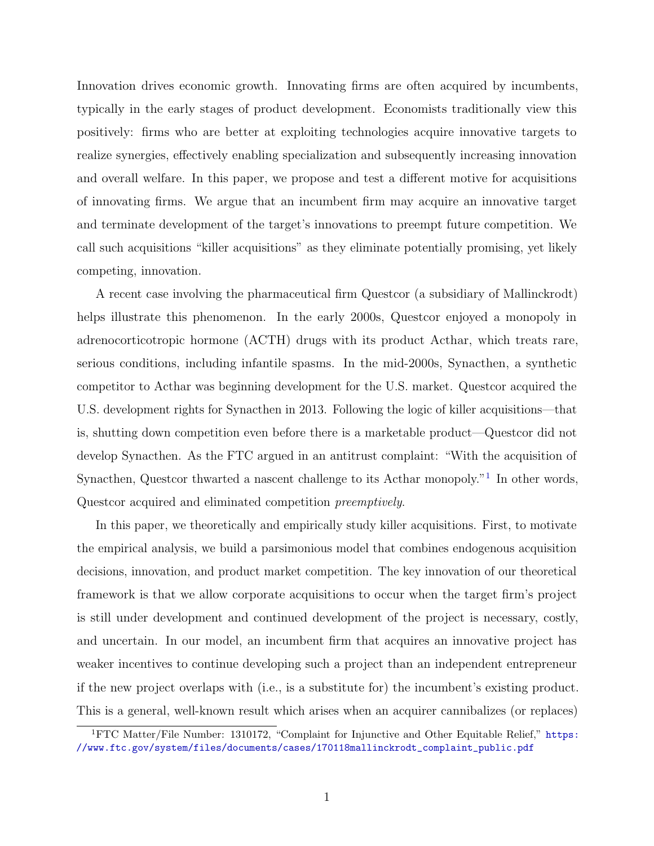Innovation drives economic growth. Innovating firms are often acquired by incumbents, typically in the early stages of product development. Economists traditionally view this positively: firms who are better at exploiting technologies acquire innovative targets to realize synergies, effectively enabling specialization and subsequently increasing innovation and overall welfare. In this paper, we propose and test a different motive for acquisitions of innovating firms. We argue that an incumbent firm may acquire an innovative target and terminate development of the target's innovations to preempt future competition. We call such acquisitions "killer acquisitions" as they eliminate potentially promising, yet likely competing, innovation.

A recent case involving the pharmaceutical firm Questcor (a subsidiary of Mallinckrodt) helps illustrate this phenomenon. In the early 2000s, Questcor enjoyed a monopoly in adrenocorticotropic hormone (ACTH) drugs with its product Acthar, which treats rare, serious conditions, including infantile spasms. In the mid-2000s, Synacthen, a synthetic competitor to Acthar was beginning development for the U.S. market. Questcor acquired the U.S. development rights for Synacthen in 2013. Following the logic of killer acquisitions—that is, shutting down competition even before there is a marketable product—Questcor did not develop Synacthen. As the FTC argued in an antitrust complaint: "With the acquisition of Synacthen, Questcor thwarted a nascent challenge to its Acthar monopoly."<sup>[1](#page-0-0)</sup> In other words, Questcor acquired and eliminated competition preemptively.

In this paper, we theoretically and empirically study killer acquisitions. First, to motivate the empirical analysis, we build a parsimonious model that combines endogenous acquisition decisions, innovation, and product market competition. The key innovation of our theoretical framework is that we allow corporate acquisitions to occur when the target firm's project is still under development and continued development of the project is necessary, costly, and uncertain. In our model, an incumbent firm that acquires an innovative project has weaker incentives to continue developing such a project than an independent entrepreneur if the new project overlaps with (i.e., is a substitute for) the incumbent's existing product. This is a general, well-known result which arises when an acquirer cannibalizes (or replaces)

<sup>&</sup>lt;sup>1</sup>FTC Matter/File Number: 1310172, "Complaint for Injunctive and Other Equitable Relief," [https:](https://www.ftc.gov/system/files/documents/cases/170118mallinckrodt_complaint_public.pdf) [//www.ftc.gov/system/files/documents/cases/170118mallinckrodt\\_complaint\\_public.pdf](https://www.ftc.gov/system/files/documents/cases/170118mallinckrodt_complaint_public.pdf)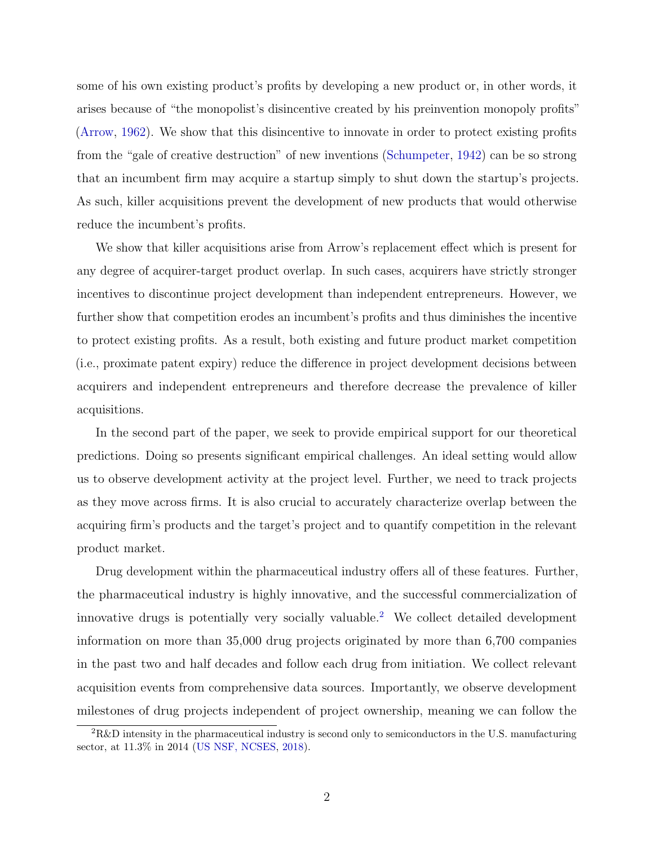some of his own existing product's profits by developing a new product or, in other words, it arises because of "the monopolist's disincentive created by his preinvention monopoly profits" [\(Arrow,](#page-40-0) [1962\)](#page-40-0). We show that this disincentive to innovate in order to protect existing profits from the "gale of creative destruction" of new inventions [\(Schumpeter,](#page-43-0) [1942\)](#page-43-0) can be so strong that an incumbent firm may acquire a startup simply to shut down the startup's projects. As such, killer acquisitions prevent the development of new products that would otherwise reduce the incumbent's profits.

We show that killer acquisitions arise from Arrow's replacement effect which is present for any degree of acquirer-target product overlap. In such cases, acquirers have strictly stronger incentives to discontinue project development than independent entrepreneurs. However, we further show that competition erodes an incumbent's profits and thus diminishes the incentive to protect existing profits. As a result, both existing and future product market competition (i.e., proximate patent expiry) reduce the difference in project development decisions between acquirers and independent entrepreneurs and therefore decrease the prevalence of killer acquisitions.

In the second part of the paper, we seek to provide empirical support for our theoretical predictions. Doing so presents significant empirical challenges. An ideal setting would allow us to observe development activity at the project level. Further, we need to track projects as they move across firms. It is also crucial to accurately characterize overlap between the acquiring firm's products and the target's project and to quantify competition in the relevant product market.

Drug development within the pharmaceutical industry offers all of these features. Further, the pharmaceutical industry is highly innovative, and the successful commercialization of innovative drugs is potentially very socially valuable.[2](#page-0-0) We collect detailed development information on more than 35,000 drug projects originated by more than 6,700 companies in the past two and half decades and follow each drug from initiation. We collect relevant acquisition events from comprehensive data sources. Importantly, we observe development milestones of drug projects independent of project ownership, meaning we can follow the

<sup>2</sup>R&D intensity in the pharmaceutical industry is second only to semiconductors in the U.S. manufacturing sector, at 11.3% in 2014 [\(US NSF, NCSES,](#page-44-0) [2018\)](#page-44-0).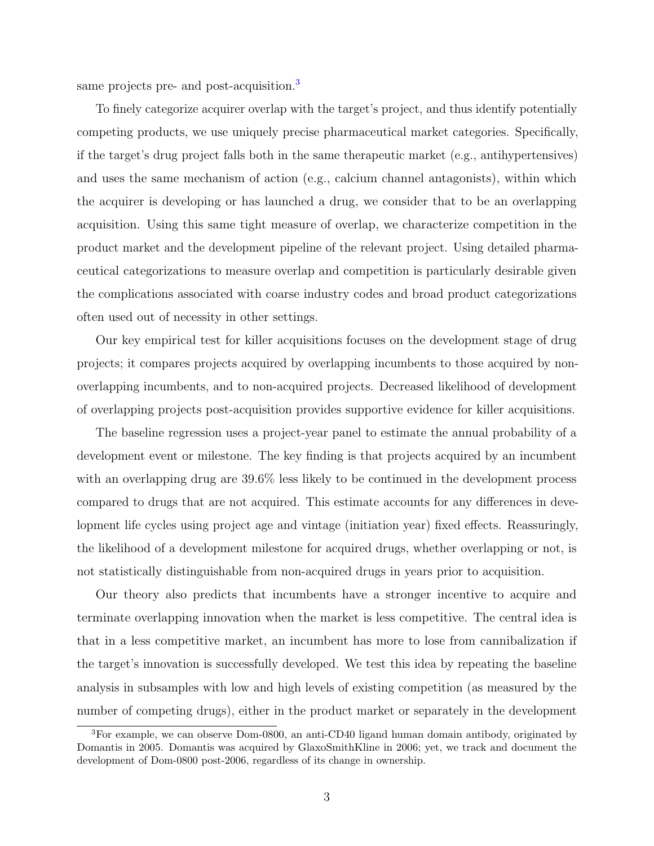same projects pre- and post-acquisition.<sup>[3](#page-0-0)</sup>

To finely categorize acquirer overlap with the target's project, and thus identify potentially competing products, we use uniquely precise pharmaceutical market categories. Specifically, if the target's drug project falls both in the same therapeutic market (e.g., antihypertensives) and uses the same mechanism of action (e.g., calcium channel antagonists), within which the acquirer is developing or has launched a drug, we consider that to be an overlapping acquisition. Using this same tight measure of overlap, we characterize competition in the product market and the development pipeline of the relevant project. Using detailed pharmaceutical categorizations to measure overlap and competition is particularly desirable given the complications associated with coarse industry codes and broad product categorizations often used out of necessity in other settings.

Our key empirical test for killer acquisitions focuses on the development stage of drug projects; it compares projects acquired by overlapping incumbents to those acquired by nonoverlapping incumbents, and to non-acquired projects. Decreased likelihood of development of overlapping projects post-acquisition provides supportive evidence for killer acquisitions.

The baseline regression uses a project-year panel to estimate the annual probability of a development event or milestone. The key finding is that projects acquired by an incumbent with an overlapping drug are 39.6% less likely to be continued in the development process compared to drugs that are not acquired. This estimate accounts for any differences in development life cycles using project age and vintage (initiation year) fixed effects. Reassuringly, the likelihood of a development milestone for acquired drugs, whether overlapping or not, is not statistically distinguishable from non-acquired drugs in years prior to acquisition.

Our theory also predicts that incumbents have a stronger incentive to acquire and terminate overlapping innovation when the market is less competitive. The central idea is that in a less competitive market, an incumbent has more to lose from cannibalization if the target's innovation is successfully developed. We test this idea by repeating the baseline analysis in subsamples with low and high levels of existing competition (as measured by the number of competing drugs), either in the product market or separately in the development

<sup>3</sup>For example, we can observe Dom-0800, an anti-CD40 ligand human domain antibody, originated by Domantis in 2005. Domantis was acquired by GlaxoSmithKline in 2006; yet, we track and document the development of Dom-0800 post-2006, regardless of its change in ownership.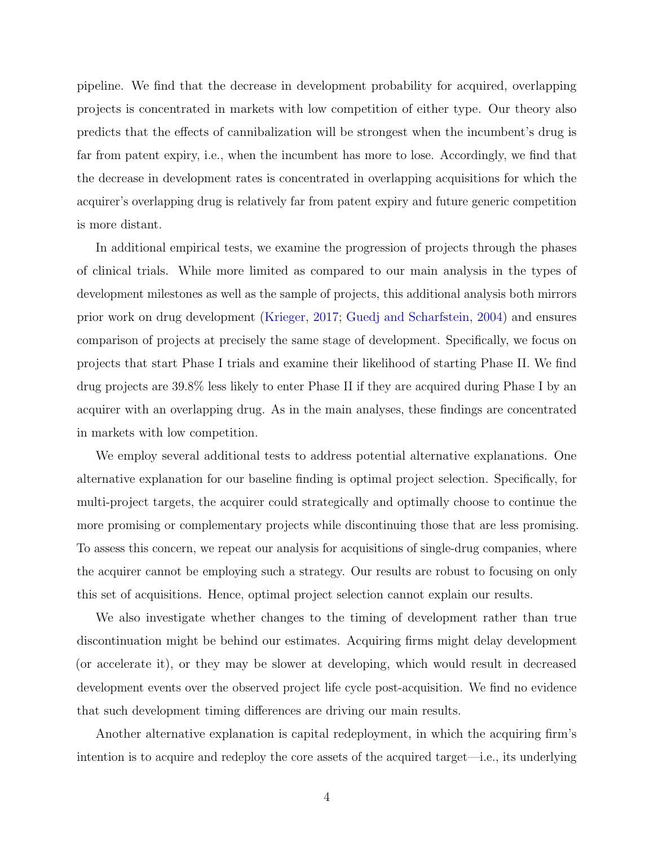pipeline. We find that the decrease in development probability for acquired, overlapping projects is concentrated in markets with low competition of either type. Our theory also predicts that the effects of cannibalization will be strongest when the incumbent's drug is far from patent expiry, i.e., when the incumbent has more to lose. Accordingly, we find that the decrease in development rates is concentrated in overlapping acquisitions for which the acquirer's overlapping drug is relatively far from patent expiry and future generic competition is more distant.

In additional empirical tests, we examine the progression of projects through the phases of clinical trials. While more limited as compared to our main analysis in the types of development milestones as well as the sample of projects, this additional analysis both mirrors prior work on drug development [\(Krieger,](#page-42-0) [2017;](#page-42-0) [Guedj and Scharfstein,](#page-42-1) [2004\)](#page-42-1) and ensures comparison of projects at precisely the same stage of development. Specifically, we focus on projects that start Phase I trials and examine their likelihood of starting Phase II. We find drug projects are 39.8% less likely to enter Phase II if they are acquired during Phase I by an acquirer with an overlapping drug. As in the main analyses, these findings are concentrated in markets with low competition.

We employ several additional tests to address potential alternative explanations. One alternative explanation for our baseline finding is optimal project selection. Specifically, for multi-project targets, the acquirer could strategically and optimally choose to continue the more promising or complementary projects while discontinuing those that are less promising. To assess this concern, we repeat our analysis for acquisitions of single-drug companies, where the acquirer cannot be employing such a strategy. Our results are robust to focusing on only this set of acquisitions. Hence, optimal project selection cannot explain our results.

We also investigate whether changes to the timing of development rather than true discontinuation might be behind our estimates. Acquiring firms might delay development (or accelerate it), or they may be slower at developing, which would result in decreased development events over the observed project life cycle post-acquisition. We find no evidence that such development timing differences are driving our main results.

Another alternative explanation is capital redeployment, in which the acquiring firm's intention is to acquire and redeploy the core assets of the acquired target—i.e., its underlying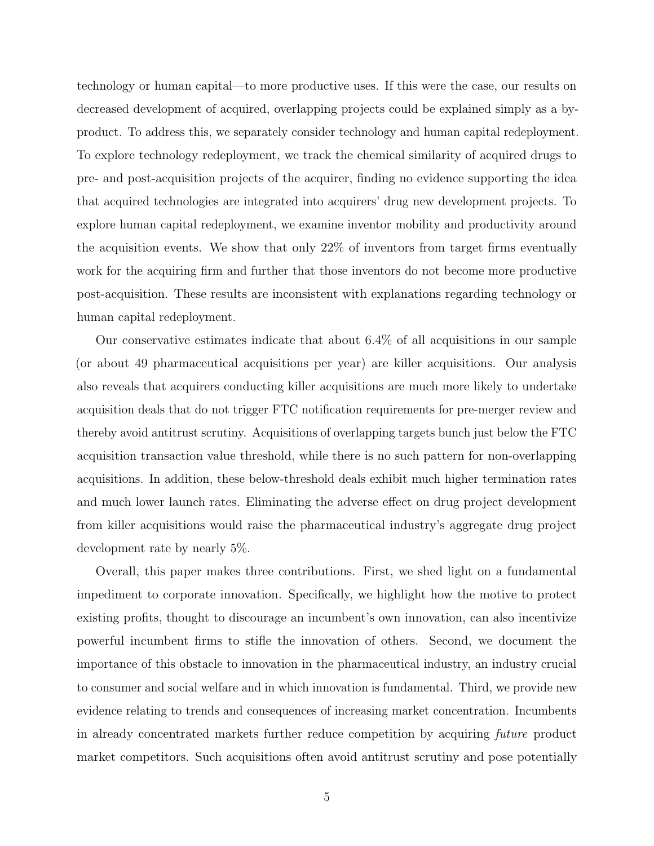technology or human capital—to more productive uses. If this were the case, our results on decreased development of acquired, overlapping projects could be explained simply as a byproduct. To address this, we separately consider technology and human capital redeployment. To explore technology redeployment, we track the chemical similarity of acquired drugs to pre- and post-acquisition projects of the acquirer, finding no evidence supporting the idea that acquired technologies are integrated into acquirers' drug new development projects. To explore human capital redeployment, we examine inventor mobility and productivity around the acquisition events. We show that only 22% of inventors from target firms eventually work for the acquiring firm and further that those inventors do not become more productive post-acquisition. These results are inconsistent with explanations regarding technology or human capital redeployment.

Our conservative estimates indicate that about 6.4% of all acquisitions in our sample (or about 49 pharmaceutical acquisitions per year) are killer acquisitions. Our analysis also reveals that acquirers conducting killer acquisitions are much more likely to undertake acquisition deals that do not trigger FTC notification requirements for pre-merger review and thereby avoid antitrust scrutiny. Acquisitions of overlapping targets bunch just below the FTC acquisition transaction value threshold, while there is no such pattern for non-overlapping acquisitions. In addition, these below-threshold deals exhibit much higher termination rates and much lower launch rates. Eliminating the adverse effect on drug project development from killer acquisitions would raise the pharmaceutical industry's aggregate drug project development rate by nearly 5%.

Overall, this paper makes three contributions. First, we shed light on a fundamental impediment to corporate innovation. Specifically, we highlight how the motive to protect existing profits, thought to discourage an incumbent's own innovation, can also incentivize powerful incumbent firms to stifle the innovation of others. Second, we document the importance of this obstacle to innovation in the pharmaceutical industry, an industry crucial to consumer and social welfare and in which innovation is fundamental. Third, we provide new evidence relating to trends and consequences of increasing market concentration. Incumbents in already concentrated markets further reduce competition by acquiring future product market competitors. Such acquisitions often avoid antitrust scrutiny and pose potentially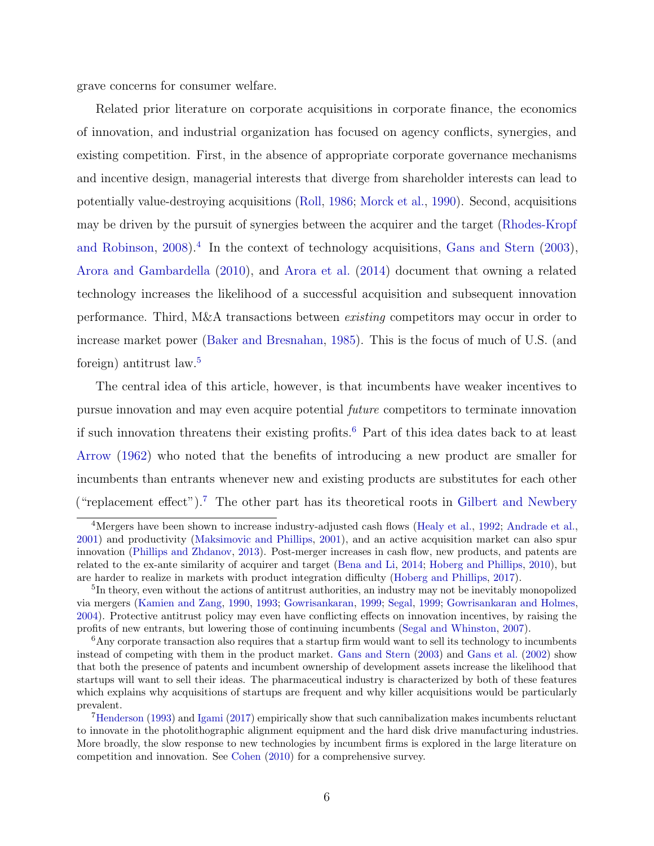grave concerns for consumer welfare.

Related prior literature on corporate acquisitions in corporate finance, the economics of innovation, and industrial organization has focused on agency conflicts, synergies, and existing competition. First, in the absence of appropriate corporate governance mechanisms and incentive design, managerial interests that diverge from shareholder interests can lead to potentially value-destroying acquisitions [\(Roll,](#page-43-1) [1986;](#page-43-1) [Morck et al.,](#page-43-2) [1990\)](#page-43-2). Second, acquisitions may be driven by the pursuit of synergies between the acquirer and the target [\(Rhodes-Kropf](#page-43-3) [and Robinson,](#page-43-3) [2008\)](#page-43-3).<sup>[4](#page-0-0)</sup> In the context of technology acquisitions, [Gans and Stern](#page-41-0) [\(2003\)](#page-41-0), [Arora and Gambardella](#page-40-1) [\(2010\)](#page-40-1), and [Arora et al.](#page-40-2) [\(2014\)](#page-40-2) document that owning a related technology increases the likelihood of a successful acquisition and subsequent innovation performance. Third, M&A transactions between existing competitors may occur in order to increase market power [\(Baker and Bresnahan,](#page-40-3) [1985\)](#page-40-3). This is the focus of much of U.S. (and foreign) antitrust law.[5](#page-0-0)

The central idea of this article, however, is that incumbents have weaker incentives to pursue innovation and may even acquire potential future competitors to terminate innovation if such innovation threatens their existing profits.[6](#page-0-0) Part of this idea dates back to at least [Arrow](#page-40-0) [\(1962\)](#page-40-0) who noted that the benefits of introducing a new product are smaller for incumbents than entrants whenever new and existing products are substitutes for each other ("replacement effect").<sup>[7](#page-0-0)</sup> The other part has its theoretical roots in [Gilbert and Newbery](#page-41-1)

<sup>&</sup>lt;sup>4</sup>Mergers have been shown to increase industry-adjusted cash flows [\(Healy et al.,](#page-42-2) [1992;](#page-42-2) [Andrade et al.,](#page-40-4) [2001\)](#page-40-4) and productivity [\(Maksimovic and Phillips,](#page-43-4) [2001\)](#page-43-4), and an active acquisition market can also spur innovation [\(Phillips and Zhdanov,](#page-43-5) [2013\)](#page-43-5). Post-merger increases in cash flow, new products, and patents are related to the ex-ante similarity of acquirer and target [\(Bena and Li,](#page-40-5) [2014;](#page-40-5) [Hoberg and Phillips,](#page-42-3) [2010\)](#page-42-3), but are harder to realize in markets with product integration difficulty [\(Hoberg and Phillips,](#page-42-4) [2017\)](#page-42-4).

<sup>&</sup>lt;sup>5</sup>In theory, even without the actions of antitrust authorities, an industry may not be inevitably monopolized via mergers [\(Kamien and Zang,](#page-42-5) [1990,](#page-42-5) [1993;](#page-42-6) [Gowrisankaran,](#page-41-2) [1999;](#page-41-2) [Segal,](#page-43-6) [1999;](#page-43-6) [Gowrisankaran and Holmes,](#page-42-7) [2004\)](#page-42-7). Protective antitrust policy may even have conflicting effects on innovation incentives, by raising the profits of new entrants, but lowering those of continuing incumbents [\(Segal and Whinston,](#page-43-7) [2007\)](#page-43-7).

<sup>&</sup>lt;sup>6</sup>Any corporate transaction also requires that a startup firm would want to sell its technology to incumbents instead of competing with them in the product market. [Gans and Stern](#page-41-0) [\(2003\)](#page-41-0) and [Gans et al.](#page-41-3) [\(2002\)](#page-41-3) show that both the presence of patents and incumbent ownership of development assets increase the likelihood that startups will want to sell their ideas. The pharmaceutical industry is characterized by both of these features which explains why acquisitions of startups are frequent and why killer acquisitions would be particularly prevalent.

<sup>7</sup>[Henderson](#page-42-8) [\(1993\)](#page-42-8) and [Igami](#page-42-9) [\(2017\)](#page-42-9) empirically show that such cannibalization makes incumbents reluctant to innovate in the photolithographic alignment equipment and the hard disk drive manufacturing industries. More broadly, the slow response to new technologies by incumbent firms is explored in the large literature on competition and innovation. See [Cohen](#page-41-4) [\(2010\)](#page-41-4) for a comprehensive survey.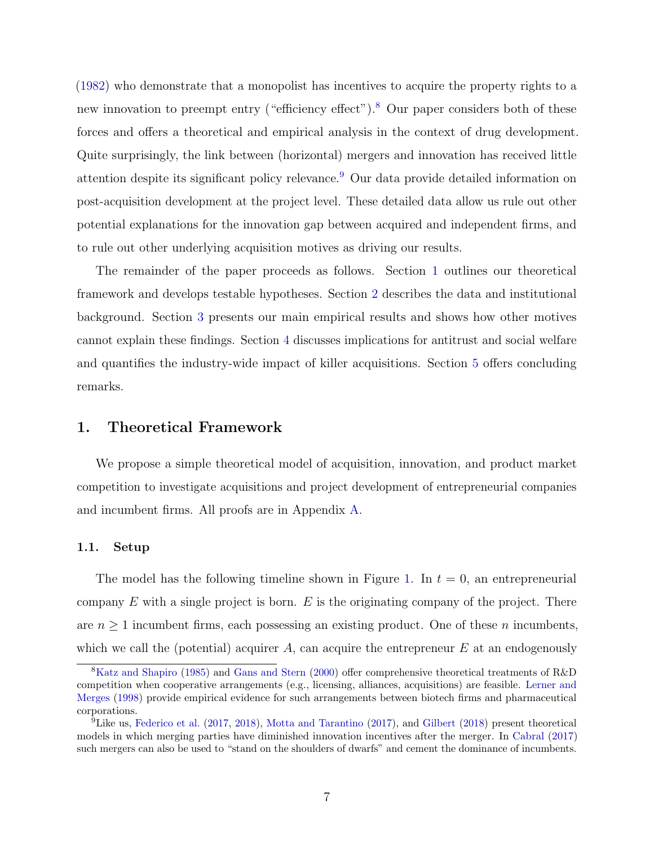[\(1982\)](#page-41-1) who demonstrate that a monopolist has incentives to acquire the property rights to a new innovation to preempt entry ("efficiency effect").<sup>[8](#page-0-0)</sup> Our paper considers both of these forces and offers a theoretical and empirical analysis in the context of drug development. Quite surprisingly, the link between (horizontal) mergers and innovation has received little attention despite its significant policy relevance.[9](#page-0-0) Our data provide detailed information on post-acquisition development at the project level. These detailed data allow us rule out other potential explanations for the innovation gap between acquired and independent firms, and to rule out other underlying acquisition motives as driving our results.

The remainder of the paper proceeds as follows. Section [1](#page-7-0) outlines our theoretical framework and develops testable hypotheses. Section [2](#page-16-0) describes the data and institutional background. Section [3](#page-20-0) presents our main empirical results and shows how other motives cannot explain these findings. Section [4](#page-33-0) discusses implications for antitrust and social welfare and quantifies the industry-wide impact of killer acquisitions. Section [5](#page-38-0) offers concluding remarks.

### <span id="page-7-0"></span>1. Theoretical Framework

We propose a simple theoretical model of acquisition, innovation, and product market competition to investigate acquisitions and project development of entrepreneurial companies and incumbent firms. All proofs are in Appendix [A.](#page-55-0)

### 1.1. Setup

The model has the following timeline shown in Figure [1.](#page-8-0) In  $t = 0$ , an entrepreneurial company  $E$  with a single project is born.  $E$  is the originating company of the project. There are  $n \geq 1$  incumbent firms, each possessing an existing product. One of these *n* incumbents, which we call the (potential) acquirer  $A$ , can acquire the entrepreneur  $E$  at an endogenously

<sup>8</sup>[Katz and Shapiro](#page-42-10) [\(1985\)](#page-42-10) and [Gans and Stern](#page-41-5) [\(2000\)](#page-41-5) offer comprehensive theoretical treatments of R&D competition when cooperative arrangements (e.g., licensing, alliances, acquisitions) are feasible. [Lerner and](#page-43-8) [Merges](#page-43-8) [\(1998\)](#page-43-8) provide empirical evidence for such arrangements between biotech firms and pharmaceutical corporations.

<sup>9</sup>Like us, [Federico et al.](#page-41-6) [\(2017,](#page-41-6) [2018\)](#page-41-7), [Motta and Tarantino](#page-43-9) [\(2017\)](#page-43-9), and [Gilbert](#page-41-8) [\(2018\)](#page-41-8) present theoretical models in which merging parties have diminished innovation incentives after the merger. In [Cabral](#page-41-9) [\(2017\)](#page-41-9) such mergers can also be used to "stand on the shoulders of dwarfs" and cement the dominance of incumbents.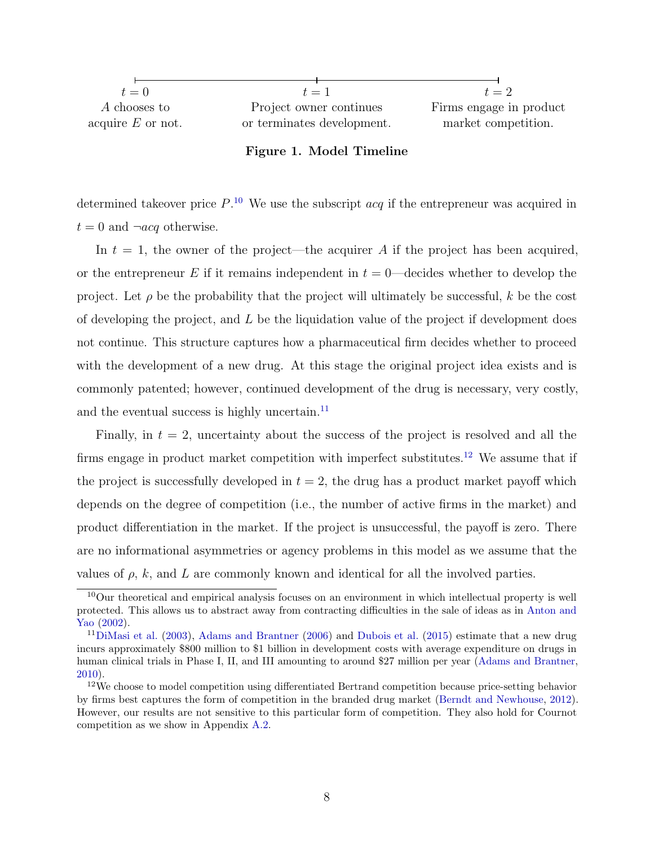<span id="page-8-0"></span>

| $t=0$               | $t=1$                      | $t=2$                   |
|---------------------|----------------------------|-------------------------|
| A chooses to        | Project owner continues    | Firms engage in product |
| acquire $E$ or not. | or terminates development. | market competition.     |
|                     |                            |                         |

### Figure 1. Model Timeline

determined takeover price  $P^{10}$  $P^{10}$  $P^{10}$ . We use the subscript  $acq$  if the entrepreneur was acquired in  $t = 0$  and  $\neg acq$  otherwise.

In  $t = 1$ , the owner of the project—the acquirer A if the project has been acquired, or the entrepreneur E if it remains independent in  $t = 0$ —decides whether to develop the project. Let  $\rho$  be the probability that the project will ultimately be successful, k be the cost of developing the project, and  $L$  be the liquidation value of the project if development does not continue. This structure captures how a pharmaceutical firm decides whether to proceed with the development of a new drug. At this stage the original project idea exists and is commonly patented; however, continued development of the drug is necessary, very costly, and the eventual success is highly uncertain. $^{11}$  $^{11}$  $^{11}$ 

Finally, in  $t = 2$ , uncertainty about the success of the project is resolved and all the firms engage in product market competition with imperfect substitutes.<sup>[12](#page-0-0)</sup> We assume that if the project is successfully developed in  $t = 2$ , the drug has a product market payoff which depends on the degree of competition (i.e., the number of active firms in the market) and product differentiation in the market. If the project is unsuccessful, the payoff is zero. There are no informational asymmetries or agency problems in this model as we assume that the values of  $\rho$ ,  $k$ , and  $L$  are commonly known and identical for all the involved parties.

<sup>10</sup>Our theoretical and empirical analysis focuses on an environment in which intellectual property is well protected. This allows us to abstract away from contracting difficulties in the sale of ideas as in [Anton and](#page-40-6) [Yao](#page-40-6) [\(2002\)](#page-40-6).

<sup>&</sup>lt;sup>11</sup>[DiMasi et al.](#page-41-10) [\(2003\)](#page-41-10), [Adams and Brantner](#page-40-7) [\(2006\)](#page-40-7) and [Dubois et al.](#page-41-11) [\(2015\)](#page-41-11) estimate that a new drug incurs approximately \$800 million to \$1 billion in development costs with average expenditure on drugs in human clinical trials in Phase I, II, and III amounting to around \$27 million per year [\(Adams and Brantner,](#page-40-8) [2010\)](#page-40-8).

<sup>12</sup>We choose to model competition using differentiated Bertrand competition because price-setting behavior by firms best captures the form of competition in the branded drug market [\(Berndt and Newhouse,](#page-40-9) [2012\)](#page-40-9). However, our results are not sensitive to this particular form of competition. They also hold for Cournot competition as we show in Appendix [A.2.](#page-60-0)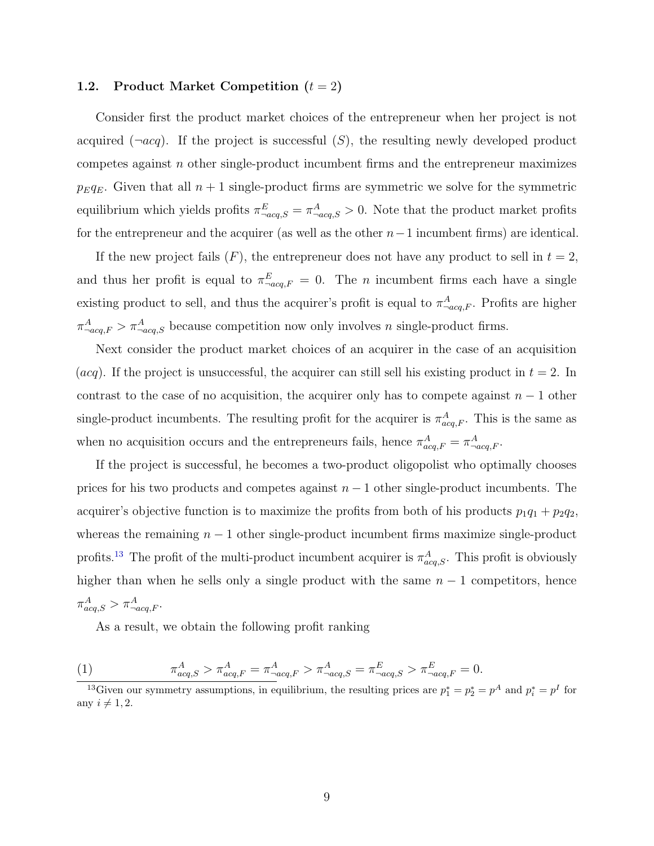### 1.2. Product Market Competition  $(t = 2)$

Consider first the product market choices of the entrepreneur when her project is not acquired  $(\neg acq)$ . If the project is successful  $(S)$ , the resulting newly developed product competes against  $n$  other single-product incumbent firms and the entrepreneur maximizes  $p_Eq_E$ . Given that all  $n+1$  single-product firms are symmetric we solve for the symmetric equilibrium which yields profits  $\pi_{\neg acq,S}^E = \pi_{\neg acq,S}^A > 0$ . Note that the product market profits for the entrepreneur and the acquirer (as well as the other  $n-1$  incumbent firms) are identical.

If the new project fails  $(F)$ , the entrepreneur does not have any product to sell in  $t = 2$ , and thus her profit is equal to  $\pi_{\text{-}acq,F}^E = 0$ . The *n* incumbent firms each have a single existing product to sell, and thus the acquirer's profit is equal to  $\pi^A_{\neg acq,F}$ . Profits are higher  $\pi_{\neg acq,F}^A > \pi_{\neg acq,S}^A$  because competition now only involves n single-product firms.

Next consider the product market choices of an acquirer in the case of an acquisition (*acq*). If the project is unsuccessful, the acquirer can still sell his existing product in  $t = 2$ . In contrast to the case of no acquisition, the acquirer only has to compete against  $n-1$  other single-product incumbents. The resulting profit for the acquirer is  $\pi_{acq,F}^A$ . This is the same as when no acquisition occurs and the entrepreneurs fails, hence  $\pi_{acq,F}^A = \pi_{-acq,F}^A$ .

If the project is successful, he becomes a two-product oligopolist who optimally chooses prices for his two products and competes against  $n - 1$  other single-product incumbents. The acquirer's objective function is to maximize the profits from both of his products  $p_1q_1 + p_2q_2$ , whereas the remaining  $n - 1$  other single-product incumbent firms maximize single-product profits.<sup>[13](#page-0-0)</sup> The profit of the multi-product incumbent acquirer is  $\pi_{acq,S}^A$ . This profit is obviously higher than when he sells only a single product with the same  $n - 1$  competitors, hence  $\pi^A_{acq,S} > \pi^A_{\neg acq,F}.$ 

As a result, we obtain the following profit ranking

(1) 
$$
\pi_{acq,S}^A > \pi_{acq,F}^A = \pi_{-acq,F}^A > \pi_{-acq,S}^A = \pi_{-acq,S}^E > \pi_{-acq,F}^E = 0.
$$

<sup>&</sup>lt;sup>13</sup>Given our symmetry assumptions, in equilibrium, the resulting prices are  $p_1^* = p_2^* = p^A$  and  $p_i^* = p^I$  for any  $i \neq 1, 2$ .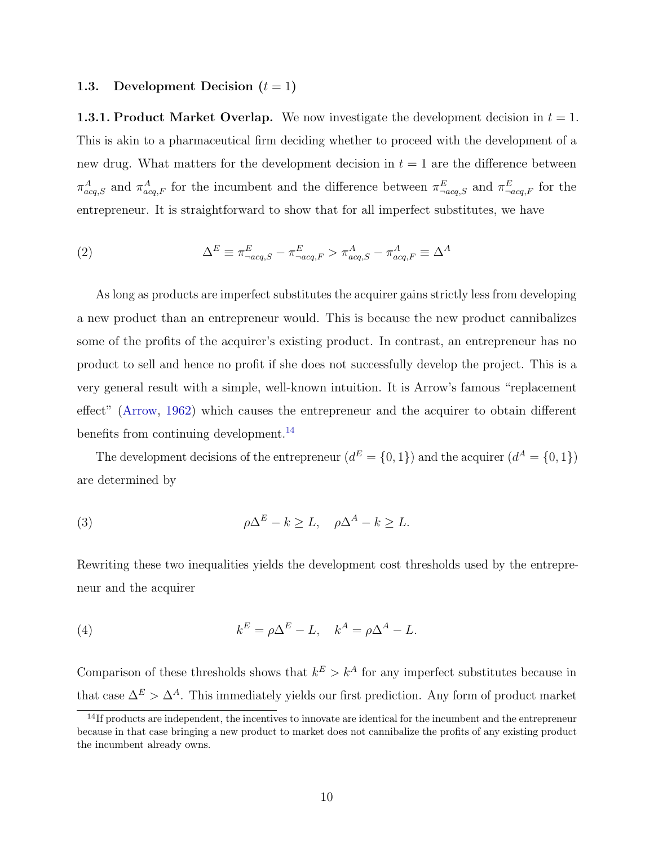### 1.3. Development Decision  $(t = 1)$

**1.3.1. Product Market Overlap.** We now investigate the development decision in  $t = 1$ . This is akin to a pharmaceutical firm deciding whether to proceed with the development of a new drug. What matters for the development decision in  $t = 1$  are the difference between  $\pi_{acq,S}^A$  and  $\pi_{acq,F}^A$  for the incumbent and the difference between  $\pi_{-acq,S}^E$  and  $\pi_{-acq,F}^E$  for the entrepreneur. It is straightforward to show that for all imperfect substitutes, we have

(2) 
$$
\Delta^E \equiv \pi^E_{-acq,S} - \pi^E_{-acq,F} > \pi^A_{acq,S} - \pi^A_{acq,F} \equiv \Delta^A
$$

As long as products are imperfect substitutes the acquirer gains strictly less from developing a new product than an entrepreneur would. This is because the new product cannibalizes some of the profits of the acquirer's existing product. In contrast, an entrepreneur has no product to sell and hence no profit if she does not successfully develop the project. This is a very general result with a simple, well-known intuition. It is Arrow's famous "replacement effect" [\(Arrow,](#page-40-0) [1962\)](#page-40-0) which causes the entrepreneur and the acquirer to obtain different benefits from continuing development.<sup>[14](#page-0-0)</sup>

The development decisions of the entrepreneur  $(d^E = \{0, 1\})$  and the acquirer  $(d^A = \{0, 1\})$ are determined by

<span id="page-10-0"></span>(3) 
$$
\rho \Delta^E - k \geq L, \quad \rho \Delta^A - k \geq L.
$$

Rewriting these two inequalities yields the development cost thresholds used by the entrepreneur and the acquirer

<span id="page-10-1"></span>(4) 
$$
k^E = \rho \Delta^E - L, \quad k^A = \rho \Delta^A - L.
$$

Comparison of these thresholds shows that  $k^E > k^A$  for any imperfect substitutes because in that case  $\Delta^E > \Delta^A$ . This immediately yields our first prediction. Any form of product market

<sup>&</sup>lt;sup>14</sup>If products are independent, the incentives to innovate are identical for the incumbent and the entrepreneur because in that case bringing a new product to market does not cannibalize the profits of any existing product the incumbent already owns.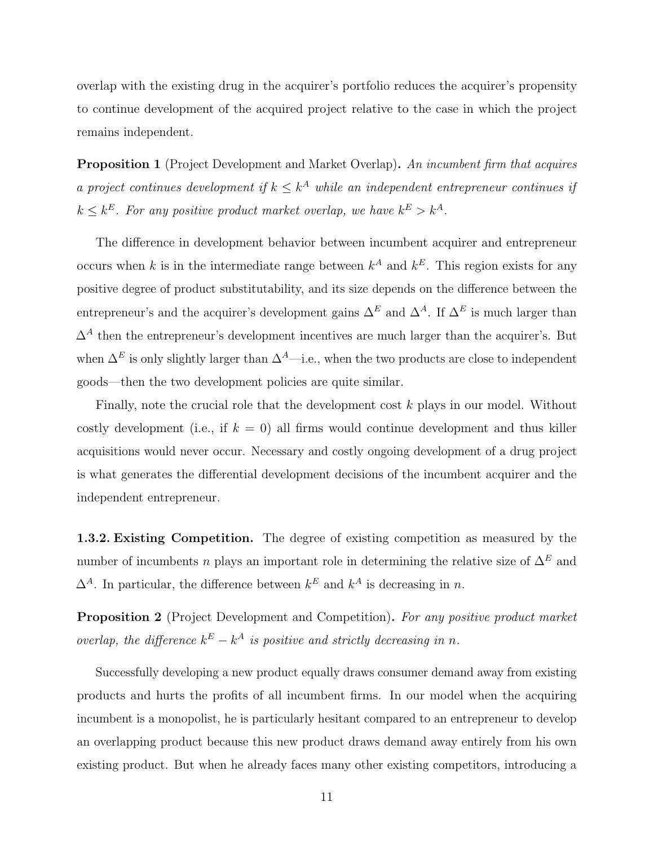overlap with the existing drug in the acquirer's portfolio reduces the acquirer's propensity to continue development of the acquired project relative to the case in which the project remains independent.

<span id="page-11-1"></span>**Proposition 1** (Project Development and Market Overlap). An incumbent firm that acquires a project continues development if  $k \leq k^A$  while an independent entrepreneur continues if  $k \leq k^E$ . For any positive product market overlap, we have  $k^E > k^A$ .

The difference in development behavior between incumbent acquirer and entrepreneur occurs when k is in the intermediate range between  $k^A$  and  $k^E$ . This region exists for any positive degree of product substitutability, and its size depends on the difference between the entrepreneur's and the acquirer's development gains  $\Delta^E$  and  $\Delta^A$ . If  $\Delta^E$  is much larger than  $\Delta^A$  then the entrepreneur's development incentives are much larger than the acquirer's. But when  $\Delta^E$  is only slightly larger than  $\Delta^A$ —i.e., when the two products are close to independent goods—then the two development policies are quite similar.

Finally, note the crucial role that the development cost k plays in our model. Without costly development (i.e., if  $k = 0$ ) all firms would continue development and thus killer acquisitions would never occur. Necessary and costly ongoing development of a drug project is what generates the differential development decisions of the incumbent acquirer and the independent entrepreneur.

1.3.2. Existing Competition. The degree of existing competition as measured by the number of incumbents n plays an important role in determining the relative size of  $\Delta^E$  and  $\Delta^A$ . In particular, the difference between  $k^E$  and  $k^A$  is decreasing in n.

<span id="page-11-0"></span>Proposition 2 (Project Development and Competition). For any positive product market overlap, the difference  $k^E - k^A$  is positive and strictly decreasing in n.

Successfully developing a new product equally draws consumer demand away from existing products and hurts the profits of all incumbent firms. In our model when the acquiring incumbent is a monopolist, he is particularly hesitant compared to an entrepreneur to develop an overlapping product because this new product draws demand away entirely from his own existing product. But when he already faces many other existing competitors, introducing a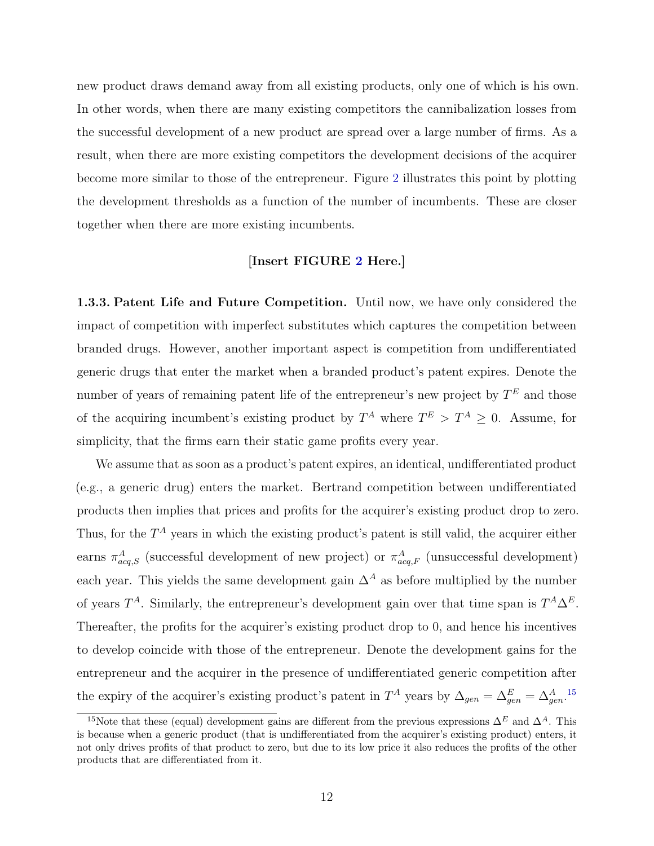new product draws demand away from all existing products, only one of which is his own. In other words, when there are many existing competitors the cannibalization losses from the successful development of a new product are spread over a large number of firms. As a result, when there are more existing competitors the development decisions of the acquirer become more similar to those of the entrepreneur. Figure [2](#page-45-0) illustrates this point by plotting the development thresholds as a function of the number of incumbents. These are closer together when there are more existing incumbents.

### [Insert FIGURE [2](#page-45-0) Here.]

1.3.3. Patent Life and Future Competition. Until now, we have only considered the impact of competition with imperfect substitutes which captures the competition between branded drugs. However, another important aspect is competition from undifferentiated generic drugs that enter the market when a branded product's patent expires. Denote the number of years of remaining patent life of the entrepreneur's new project by  $T<sup>E</sup>$  and those of the acquiring incumbent's existing product by  $T^A$  where  $T^E > T^A \geq 0$ . Assume, for simplicity, that the firms earn their static game profits every year.

We assume that as soon as a product's patent expires, an identical, undifferentiated product (e.g., a generic drug) enters the market. Bertrand competition between undifferentiated products then implies that prices and profits for the acquirer's existing product drop to zero. Thus, for the  $T^A$  years in which the existing product's patent is still valid, the acquirer either earns  $\pi^A_{acq,S}$  (successful development of new project) or  $\pi^A_{acq,F}$  (unsuccessful development) each year. This yields the same development gain  $\Delta^A$  as before multiplied by the number of years  $T^A$ . Similarly, the entrepreneur's development gain over that time span is  $T^A \Delta^E$ . Thereafter, the profits for the acquirer's existing product drop to 0, and hence his incentives to develop coincide with those of the entrepreneur. Denote the development gains for the entrepreneur and the acquirer in the presence of undifferentiated generic competition after the expiry of the acquirer's existing product's patent in  $T^A$  years by  $\Delta_{gen} = \Delta_{gen}^E = \Delta_{gen}^A$ .<sup>[15](#page-0-0)</sup>

<sup>&</sup>lt;sup>15</sup>Note that these (equal) development gains are different from the previous expressions  $\Delta^E$  and  $\Delta^A$ . This is because when a generic product (that is undifferentiated from the acquirer's existing product) enters, it not only drives profits of that product to zero, but due to its low price it also reduces the profits of the other products that are differentiated from it.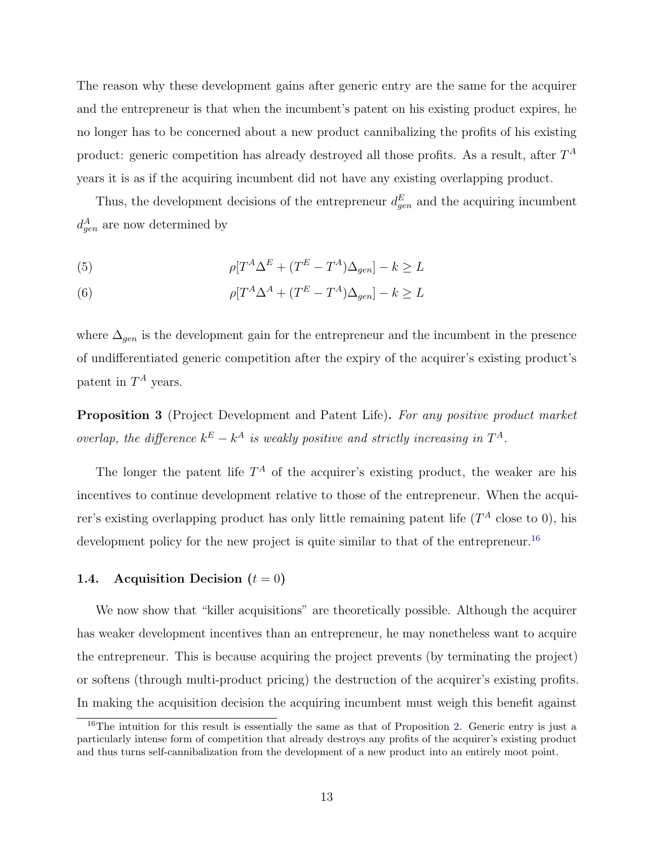The reason why these development gains after generic entry are the same for the acquirer and the entrepreneur is that when the incumbent's patent on his existing product expires, he no longer has to be concerned about a new product cannibalizing the profits of his existing product: generic competition has already destroyed all those profits. As a result, after  $T^A$ years it is as if the acquiring incumbent did not have any existing overlapping product.

Thus, the development decisions of the entrepreneur  $d_{gen}^{E}$  and the acquiring incumbent  $d_{gen}^A$  are now determined by

<span id="page-13-2"></span><span id="page-13-1"></span>(5) 
$$
\rho[T^A \Delta^E + (T^E - T^A) \Delta_{gen}] - k \geq L
$$

(6) 
$$
\rho[T^A \Delta^A + (T^E - T^A) \Delta_{gen}] - k \geq L
$$

where  $\Delta_{gen}$  is the development gain for the entrepreneur and the incumbent in the presence of undifferentiated generic competition after the expiry of the acquirer's existing product's patent in  $T^A$  years.

<span id="page-13-0"></span>**Proposition 3** (Project Development and Patent Life). For any positive product market overlap, the difference  $k^E - k^A$  is weakly positive and strictly increasing in  $T^A$ .

The longer the patent life  $T^A$  of the acquirer's existing product, the weaker are his incentives to continue development relative to those of the entrepreneur. When the acquirer's existing overlapping product has only little remaining patent life  $(T^A$  close to 0), his development policy for the new project is quite similar to that of the entrepreneur.<sup>[16](#page-0-0)</sup>

### 1.4. Acquisition Decision  $(t = 0)$

We now show that "killer acquisitions" are theoretically possible. Although the acquirer has weaker development incentives than an entrepreneur, he may nonetheless want to acquire the entrepreneur. This is because acquiring the project prevents (by terminating the project) or softens (through multi-product pricing) the destruction of the acquirer's existing profits. In making the acquisition decision the acquiring incumbent must weigh this benefit against

<sup>&</sup>lt;sup>16</sup>The intuition for this result is essentially the same as that of Proposition [2.](#page-11-0) Generic entry is just a particularly intense form of competition that already destroys any profits of the acquirer's existing product and thus turns self-cannibalization from the development of a new product into an entirely moot point.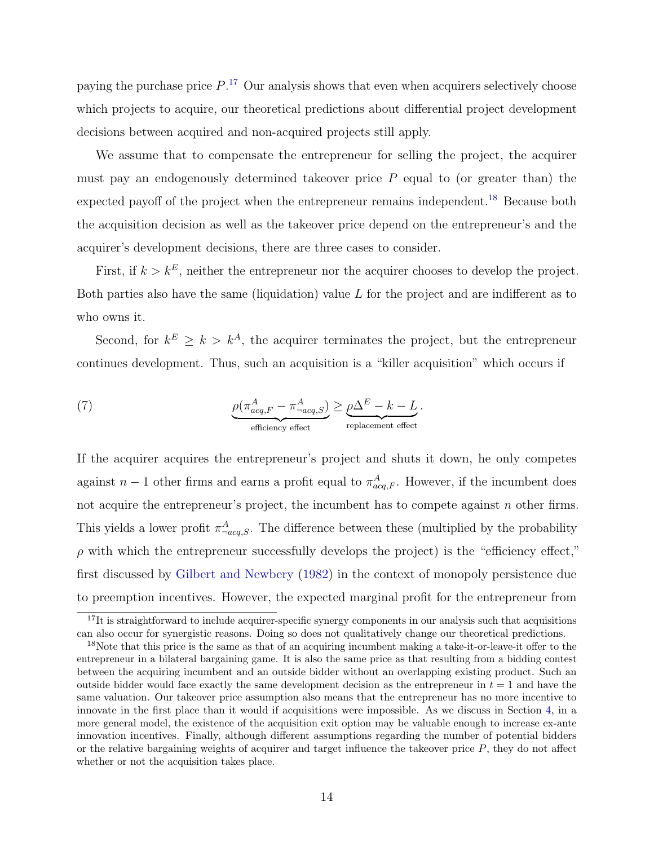paying the purchase price  $P^{17}$  $P^{17}$  $P^{17}$  Our analysis shows that even when acquirers selectively choose which projects to acquire, our theoretical predictions about differential project development decisions between acquired and non-acquired projects still apply.

We assume that to compensate the entrepreneur for selling the project, the acquirer must pay an endogenously determined takeover price  $P$  equal to (or greater than) the expected payoff of the project when the entrepreneur remains independent.<sup>[18](#page-0-0)</sup> Because both the acquisition decision as well as the takeover price depend on the entrepreneur's and the acquirer's development decisions, there are three cases to consider.

First, if  $k > k^E$ , neither the entrepreneur nor the acquirer chooses to develop the project. Both parties also have the same (liquidation) value  $L$  for the project and are indifferent as to who owns it.

Second, for  $k^E \geq k > k^A$ , the acquirer terminates the project, but the entrepreneur continues development. Thus, such an acquisition is a "killer acquisition" which occurs if

(7) 
$$
\underbrace{\rho(\pi^A_{acq,F} - \pi^A_{-acq,S})}_{\text{efficiency effect}} \geq \underbrace{\rho\Delta^E - k - L}_{\text{replacement effect}}.
$$

If the acquirer acquires the entrepreneur's project and shuts it down, he only competes against  $n-1$  other firms and earns a profit equal to  $\pi_{acq,F}^A$ . However, if the incumbent does not acquire the entrepreneur's project, the incumbent has to compete against n other firms. This yields a lower profit  $\pi^A_{\text{neg},S}$ . The difference between these (multiplied by the probability  $\rho$  with which the entrepreneur successfully develops the project) is the "efficiency effect," first discussed by [Gilbert and Newbery](#page-41-1) [\(1982\)](#page-41-1) in the context of monopoly persistence due to preemption incentives. However, the expected marginal profit for the entrepreneur from

<sup>&</sup>lt;sup>17</sup>It is straightforward to include acquirer-specific synergy components in our analysis such that acquisitions can also occur for synergistic reasons. Doing so does not qualitatively change our theoretical predictions.

<sup>&</sup>lt;sup>18</sup>Note that this price is the same as that of an acquiring incumbent making a take-it-or-leave-it offer to the entrepreneur in a bilateral bargaining game. It is also the same price as that resulting from a bidding contest between the acquiring incumbent and an outside bidder without an overlapping existing product. Such an outside bidder would face exactly the same development decision as the entrepreneur in  $t = 1$  and have the same valuation. Our takeover price assumption also means that the entrepreneur has no more incentive to innovate in the first place than it would if acquisitions were impossible. As we discuss in Section [4,](#page-33-0) in a more general model, the existence of the acquisition exit option may be valuable enough to increase ex-ante innovation incentives. Finally, although different assumptions regarding the number of potential bidders or the relative bargaining weights of acquirer and target influence the takeover price  $P$ , they do not affect whether or not the acquisition takes place.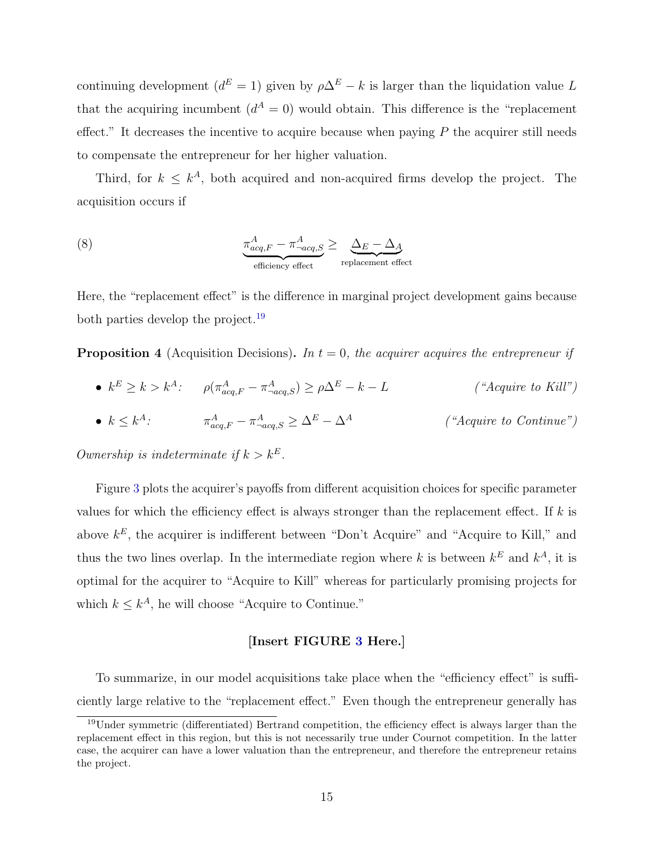continuing development ( $d^{E} = 1$ ) given by  $\rho \Delta^{E} - k$  is larger than the liquidation value L that the acquiring incumbent  $(d^A = 0)$  would obtain. This difference is the "replacement" effect." It decreases the incentive to acquire because when paying  $P$  the acquirer still needs to compensate the entrepreneur for her higher valuation.

Third, for  $k \leq k^A$ , both acquired and non-acquired firms develop the project. The acquisition occurs if

(8) 
$$
\underbrace{\pi_{acq,F}^{A} - \pi_{-acq,S}^{A}}_{\text{efficiency effect}} \geq \underbrace{\Delta_{E} - \Delta_{A}}_{\text{replacement effect}}
$$

Here, the "replacement effect" is the difference in marginal project development gains because both parties develop the project.<sup>[19](#page-0-0)</sup>

<span id="page-15-0"></span>**Proposition 4** (Acquisition Decisions). In  $t = 0$ , the acquirer acquires the entrepreneur if

- $k^E \ge k > k^A$ :  $\rho(\pi^A_{acq,F} \pi^A_{-acq,S}) \ge \rho \Delta^E k L$  ("Acquire to Kill")
- $\bullet \ \ k \leq k^{A}$ :  $\qquad \qquad \pi_{acq,F}^{A}-\pi_{\neg a}^{A}$  $(*Acquire to Continue")$

Ownership is indeterminate if  $k > k^E$ .

Figure [3](#page-45-1) plots the acquirer's payoffs from different acquisition choices for specific parameter values for which the efficiency effect is always stronger than the replacement effect. If  $k$  is above  $k^E$ , the acquirer is indifferent between "Don't Acquire" and "Acquire to Kill," and thus the two lines overlap. In the intermediate region where k is between  $k^E$  and  $k^A$ , it is optimal for the acquirer to "Acquire to Kill" whereas for particularly promising projects for which  $k \leq k^A$ , he will choose "Acquire to Continue."

### [Insert FIGURE [3](#page-45-1) Here.]

To summarize, in our model acquisitions take place when the "efficiency effect" is sufficiently large relative to the "replacement effect." Even though the entrepreneur generally has

 $19$ Under symmetric (differentiated) Bertrand competition, the efficiency effect is always larger than the replacement effect in this region, but this is not necessarily true under Cournot competition. In the latter case, the acquirer can have a lower valuation than the entrepreneur, and therefore the entrepreneur retains the project.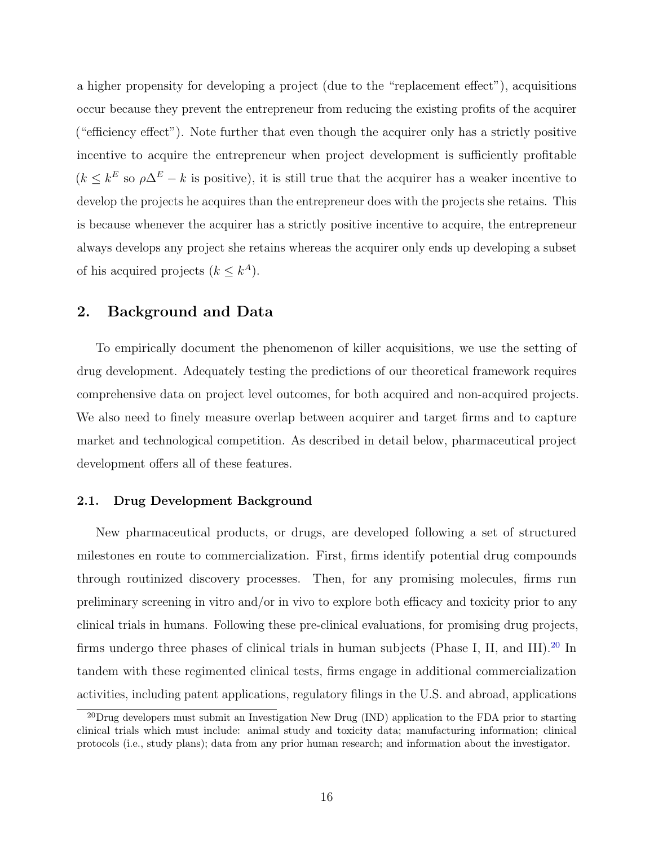a higher propensity for developing a project (due to the "replacement effect"), acquisitions occur because they prevent the entrepreneur from reducing the existing profits of the acquirer ("efficiency effect"). Note further that even though the acquirer only has a strictly positive incentive to acquire the entrepreneur when project development is sufficiently profitable  $(k \leq k^E)$  so  $\rho \Delta^E - k$  is positive), it is still true that the acquirer has a weaker incentive to develop the projects he acquires than the entrepreneur does with the projects she retains. This is because whenever the acquirer has a strictly positive incentive to acquire, the entrepreneur always develops any project she retains whereas the acquirer only ends up developing a subset of his acquired projects  $(k \leq k^A)$ .

### <span id="page-16-0"></span>2. Background and Data

To empirically document the phenomenon of killer acquisitions, we use the setting of drug development. Adequately testing the predictions of our theoretical framework requires comprehensive data on project level outcomes, for both acquired and non-acquired projects. We also need to finely measure overlap between acquirer and target firms and to capture market and technological competition. As described in detail below, pharmaceutical project development offers all of these features.

### 2.1. Drug Development Background

New pharmaceutical products, or drugs, are developed following a set of structured milestones en route to commercialization. First, firms identify potential drug compounds through routinized discovery processes. Then, for any promising molecules, firms run preliminary screening in vitro and/or in vivo to explore both efficacy and toxicity prior to any clinical trials in humans. Following these pre-clinical evaluations, for promising drug projects, firms undergo three phases of clinical trials in human subjects (Phase I, II, and III).<sup>[20](#page-0-0)</sup> In tandem with these regimented clinical tests, firms engage in additional commercialization activities, including patent applications, regulatory filings in the U.S. and abroad, applications

<sup>&</sup>lt;sup>20</sup>Drug developers must submit an Investigation New Drug (IND) application to the FDA prior to starting clinical trials which must include: animal study and toxicity data; manufacturing information; clinical protocols (i.e., study plans); data from any prior human research; and information about the investigator.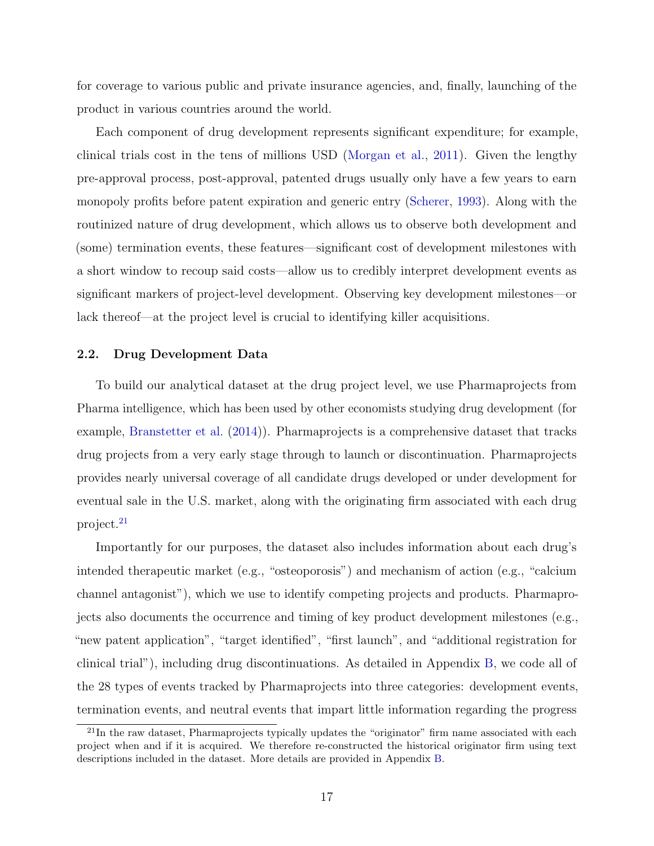for coverage to various public and private insurance agencies, and, finally, launching of the product in various countries around the world.

Each component of drug development represents significant expenditure; for example, clinical trials cost in the tens of millions USD [\(Morgan et al.,](#page-43-10) [2011\)](#page-43-10). Given the lengthy pre-approval process, post-approval, patented drugs usually only have a few years to earn monopoly profits before patent expiration and generic entry [\(Scherer,](#page-43-11) [1993\)](#page-43-11). Along with the routinized nature of drug development, which allows us to observe both development and (some) termination events, these features—significant cost of development milestones with a short window to recoup said costs—allow us to credibly interpret development events as significant markers of project-level development. Observing key development milestones—or lack thereof—at the project level is crucial to identifying killer acquisitions.

### 2.2. Drug Development Data

To build our analytical dataset at the drug project level, we use Pharmaprojects from Pharma intelligence, which has been used by other economists studying drug development (for example, [Branstetter et al.](#page-40-10) [\(2014\)](#page-40-10)). Pharmaprojects is a comprehensive dataset that tracks drug projects from a very early stage through to launch or discontinuation. Pharmaprojects provides nearly universal coverage of all candidate drugs developed or under development for eventual sale in the U.S. market, along with the originating firm associated with each drug project.[21](#page-0-0)

Importantly for our purposes, the dataset also includes information about each drug's intended therapeutic market (e.g., "osteoporosis") and mechanism of action (e.g., "calcium channel antagonist"), which we use to identify competing projects and products. Pharmaprojects also documents the occurrence and timing of key product development milestones (e.g., "new patent application", "target identified", "first launch", and "additional registration for clinical trial"), including drug discontinuations. As detailed in Appendix [B,](#page-60-1) we code all of the 28 types of events tracked by Pharmaprojects into three categories: development events, termination events, and neutral events that impart little information regarding the progress

<sup>&</sup>lt;sup>21</sup>In the raw dataset. Pharmaprojects typically updates the "originator" firm name associated with each project when and if it is acquired. We therefore re-constructed the historical originator firm using text descriptions included in the dataset. More details are provided in Appendix [B.](#page-60-1)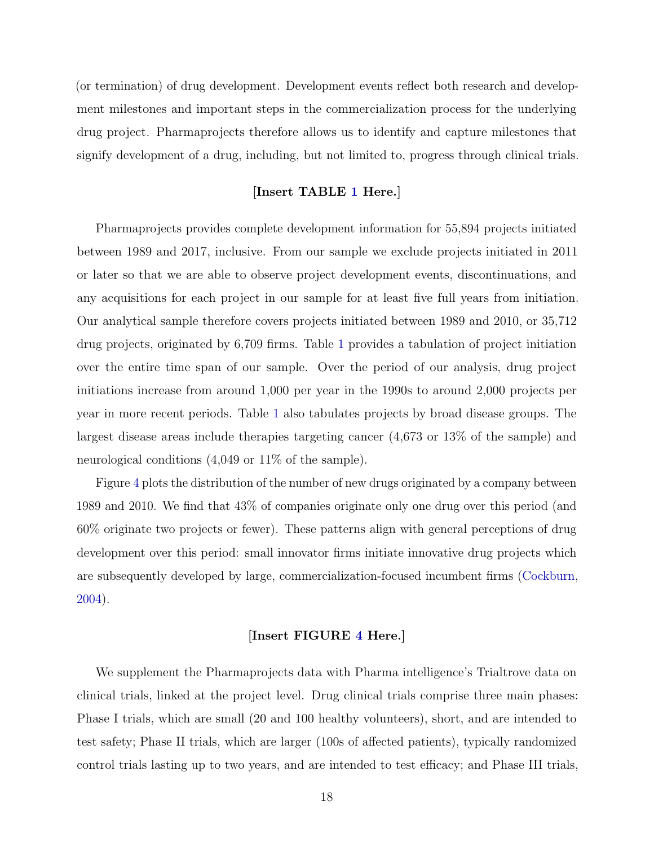(or termination) of drug development. Development events reflect both research and development milestones and important steps in the commercialization process for the underlying drug project. Pharmaprojects therefore allows us to identify and capture milestones that signify development of a drug, including, but not limited to, progress through clinical trials.

### [Insert TABLE [1](#page-47-0) Here.]

Pharmaprojects provides complete development information for 55,894 projects initiated between 1989 and 2017, inclusive. From our sample we exclude projects initiated in 2011 or later so that we are able to observe project development events, discontinuations, and any acquisitions for each project in our sample for at least five full years from initiation. Our analytical sample therefore covers projects initiated between 1989 and 2010, or 35,712 drug projects, originated by 6,709 firms. Table [1](#page-47-0) provides a tabulation of project initiation over the entire time span of our sample. Over the period of our analysis, drug project initiations increase from around 1,000 per year in the 1990s to around 2,000 projects per year in more recent periods. Table [1](#page-47-0) also tabulates projects by broad disease groups. The largest disease areas include therapies targeting cancer (4,673 or 13% of the sample) and neurological conditions (4,049 or 11% of the sample).

Figure [4](#page-46-0) plots the distribution of the number of new drugs originated by a company between 1989 and 2010. We find that 43% of companies originate only one drug over this period (and 60% originate two projects or fewer). These patterns align with general perceptions of drug development over this period: small innovator firms initiate innovative drug projects which are subsequently developed by large, commercialization-focused incumbent firms [\(Cockburn,](#page-41-12) [2004\)](#page-41-12).

### [Insert FIGURE [4](#page-46-0) Here.]

We supplement the Pharmaprojects data with Pharma intelligence's Trialtrove data on clinical trials, linked at the project level. Drug clinical trials comprise three main phases: Phase I trials, which are small (20 and 100 healthy volunteers), short, and are intended to test safety; Phase II trials, which are larger (100s of affected patients), typically randomized control trials lasting up to two years, and are intended to test efficacy; and Phase III trials,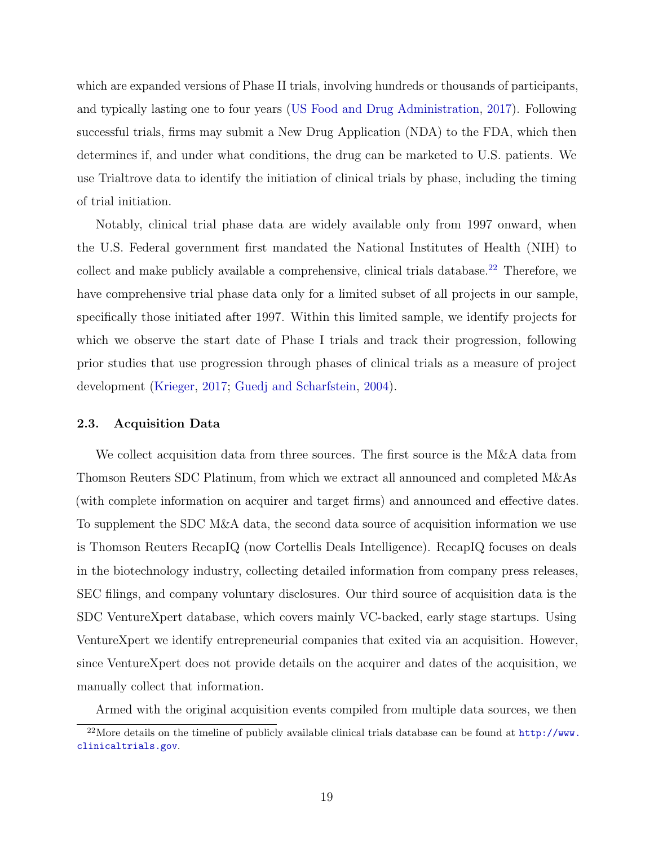which are expanded versions of Phase II trials, involving hundreds or thousands of participants, and typically lasting one to four years [\(US Food and Drug Administration,](#page-44-1) [2017\)](#page-44-1). Following successful trials, firms may submit a New Drug Application (NDA) to the FDA, which then determines if, and under what conditions, the drug can be marketed to U.S. patients. We use Trialtrove data to identify the initiation of clinical trials by phase, including the timing of trial initiation.

Notably, clinical trial phase data are widely available only from 1997 onward, when the U.S. Federal government first mandated the National Institutes of Health (NIH) to collect and make publicly available a comprehensive, clinical trials database.<sup>[22](#page-0-0)</sup> Therefore, we have comprehensive trial phase data only for a limited subset of all projects in our sample, specifically those initiated after 1997. Within this limited sample, we identify projects for which we observe the start date of Phase I trials and track their progression, following prior studies that use progression through phases of clinical trials as a measure of project development [\(Krieger,](#page-42-0) [2017;](#page-42-0) [Guedj and Scharfstein,](#page-42-1) [2004\)](#page-42-1).

### 2.3. Acquisition Data

We collect acquisition data from three sources. The first source is the M&A data from Thomson Reuters SDC Platinum, from which we extract all announced and completed M&As (with complete information on acquirer and target firms) and announced and effective dates. To supplement the SDC M&A data, the second data source of acquisition information we use is Thomson Reuters RecapIQ (now Cortellis Deals Intelligence). RecapIQ focuses on deals in the biotechnology industry, collecting detailed information from company press releases, SEC filings, and company voluntary disclosures. Our third source of acquisition data is the SDC VentureXpert database, which covers mainly VC-backed, early stage startups. Using VentureXpert we identify entrepreneurial companies that exited via an acquisition. However, since VentureXpert does not provide details on the acquirer and dates of the acquisition, we manually collect that information.

Armed with the original acquisition events compiled from multiple data sources, we then

 $^{22}$ More details on the timeline of publicly available clinical trials database can be found at  $http://www.$ [clinicaltrials.gov](http://www.clinicaltrials.gov).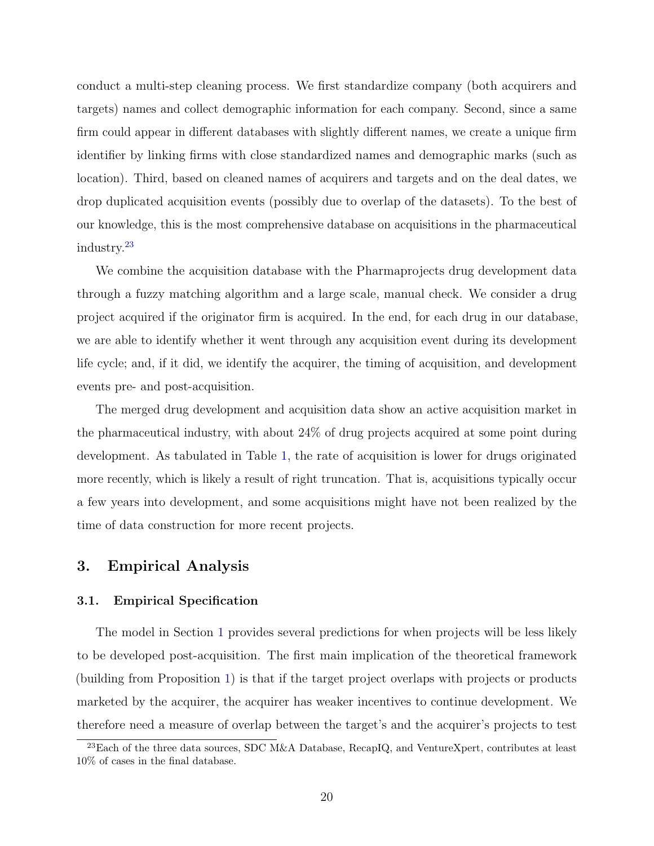conduct a multi-step cleaning process. We first standardize company (both acquirers and targets) names and collect demographic information for each company. Second, since a same firm could appear in different databases with slightly different names, we create a unique firm identifier by linking firms with close standardized names and demographic marks (such as location). Third, based on cleaned names of acquirers and targets and on the deal dates, we drop duplicated acquisition events (possibly due to overlap of the datasets). To the best of our knowledge, this is the most comprehensive database on acquisitions in the pharmaceutical industry.[23](#page-0-0)

We combine the acquisition database with the Pharmaprojects drug development data through a fuzzy matching algorithm and a large scale, manual check. We consider a drug project acquired if the originator firm is acquired. In the end, for each drug in our database, we are able to identify whether it went through any acquisition event during its development life cycle; and, if it did, we identify the acquirer, the timing of acquisition, and development events pre- and post-acquisition.

The merged drug development and acquisition data show an active acquisition market in the pharmaceutical industry, with about 24% of drug projects acquired at some point during development. As tabulated in Table [1,](#page-47-0) the rate of acquisition is lower for drugs originated more recently, which is likely a result of right truncation. That is, acquisitions typically occur a few years into development, and some acquisitions might have not been realized by the time of data construction for more recent projects.

### <span id="page-20-0"></span>3. Empirical Analysis

### 3.1. Empirical Specification

The model in Section [1](#page-7-0) provides several predictions for when projects will be less likely to be developed post-acquisition. The first main implication of the theoretical framework (building from Proposition [1\)](#page-11-1) is that if the target project overlaps with projects or products marketed by the acquirer, the acquirer has weaker incentives to continue development. We therefore need a measure of overlap between the target's and the acquirer's projects to test

<sup>&</sup>lt;sup>23</sup>Each of the three data sources, SDC M&A Database, RecapIQ, and VentureXpert, contributes at least 10% of cases in the final database.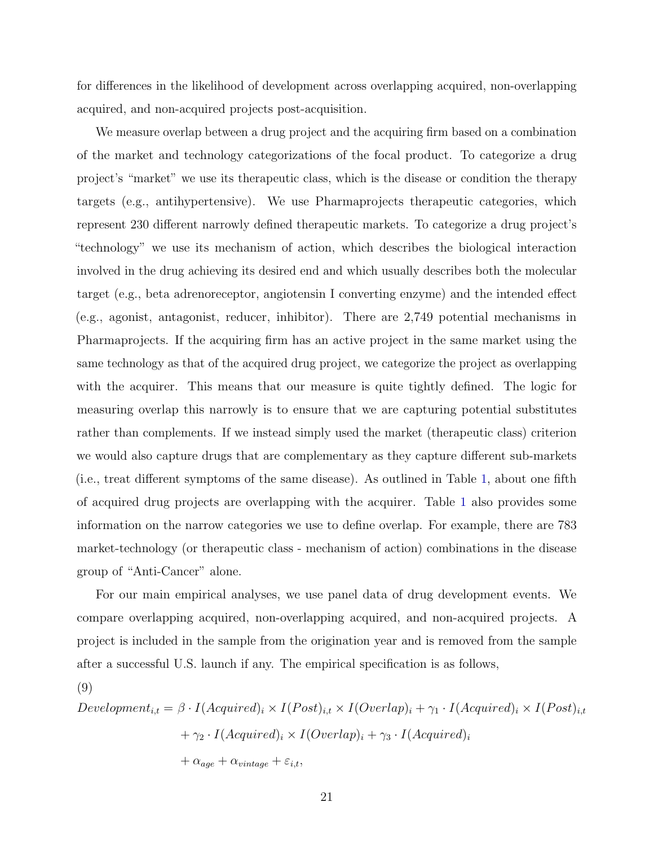for differences in the likelihood of development across overlapping acquired, non-overlapping acquired, and non-acquired projects post-acquisition.

We measure overlap between a drug project and the acquiring firm based on a combination of the market and technology categorizations of the focal product. To categorize a drug project's "market" we use its therapeutic class, which is the disease or condition the therapy targets (e.g., antihypertensive). We use Pharmaprojects therapeutic categories, which represent 230 different narrowly defined therapeutic markets. To categorize a drug project's "technology" we use its mechanism of action, which describes the biological interaction involved in the drug achieving its desired end and which usually describes both the molecular target (e.g., beta adrenoreceptor, angiotensin I converting enzyme) and the intended effect (e.g., agonist, antagonist, reducer, inhibitor). There are 2,749 potential mechanisms in Pharmaprojects. If the acquiring firm has an active project in the same market using the same technology as that of the acquired drug project, we categorize the project as overlapping with the acquirer. This means that our measure is quite tightly defined. The logic for measuring overlap this narrowly is to ensure that we are capturing potential substitutes rather than complements. If we instead simply used the market (therapeutic class) criterion we would also capture drugs that are complementary as they capture different sub-markets (i.e., treat different symptoms of the same disease). As outlined in Table [1,](#page-47-0) about one fifth of acquired drug projects are overlapping with the acquirer. Table [1](#page-47-0) also provides some information on the narrow categories we use to define overlap. For example, there are 783 market-technology (or therapeutic class - mechanism of action) combinations in the disease group of "Anti-Cancer" alone.

For our main empirical analyses, we use panel data of drug development events. We compare overlapping acquired, non-overlapping acquired, and non-acquired projects. A project is included in the sample from the origination year and is removed from the sample after a successful U.S. launch if any. The empirical specification is as follows,

(9)

$$
Development_{i,t} = \beta \cdot I(Aequired)_i \times I(Post)_{i,t} \times I(Overlap)_i + \gamma_1 \cdot I(Aequired)_i \times I(Post)_{i,t}
$$

$$
+ \gamma_2 \cdot I(Aequired)_i \times I(Overlap)_i + \gamma_3 \cdot I(Aequired)_i
$$

$$
+ \alpha_{age} + \alpha_{vintage} + \varepsilon_{i,t},
$$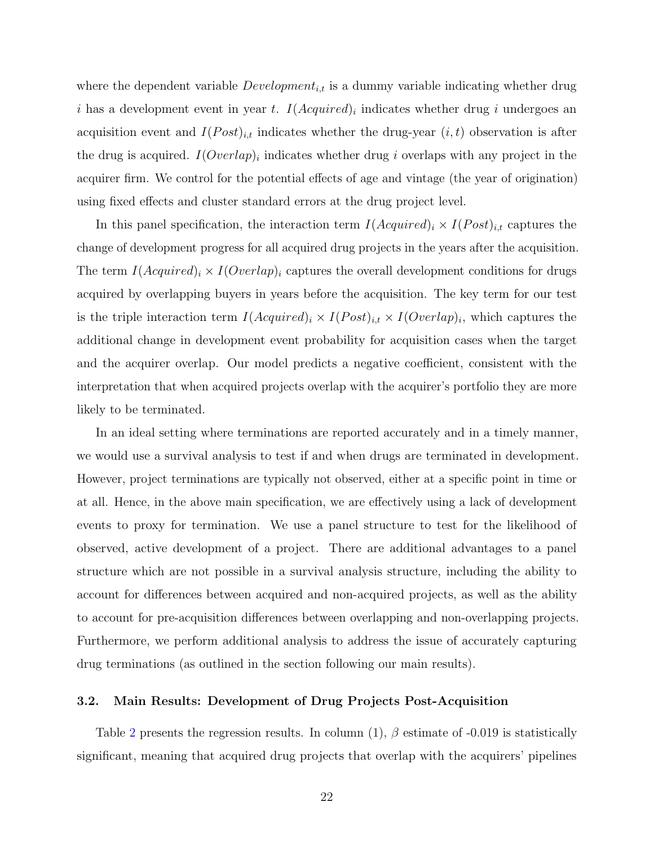where the dependent variable  $Development_{i,t}$  is a dummy variable indicating whether drug i has a development event in year t.  $I(Aequired)_i$  indicates whether drug i undergoes an acquisition event and  $I(Post)_{i,t}$  indicates whether the drug-year  $(i, t)$  observation is after the drug is acquired.  $I(Overlap)_i$  indicates whether drug i overlaps with any project in the acquirer firm. We control for the potential effects of age and vintage (the year of origination) using fixed effects and cluster standard errors at the drug project level.

In this panel specification, the interaction term  $I(Aequired)_i \times I(Post)_{i,t}$  captures the change of development progress for all acquired drug projects in the years after the acquisition. The term  $I(Acquired)_i \times I(Overlap)_i$  captures the overall development conditions for drugs acquired by overlapping buyers in years before the acquisition. The key term for our test is the triple interaction term  $I(Aequired)_i \times I(Post)_{i,t} \times I(Overlap)_i$ , which captures the additional change in development event probability for acquisition cases when the target and the acquirer overlap. Our model predicts a negative coefficient, consistent with the interpretation that when acquired projects overlap with the acquirer's portfolio they are more likely to be terminated.

In an ideal setting where terminations are reported accurately and in a timely manner, we would use a survival analysis to test if and when drugs are terminated in development. However, project terminations are typically not observed, either at a specific point in time or at all. Hence, in the above main specification, we are effectively using a lack of development events to proxy for termination. We use a panel structure to test for the likelihood of observed, active development of a project. There are additional advantages to a panel structure which are not possible in a survival analysis structure, including the ability to account for differences between acquired and non-acquired projects, as well as the ability to account for pre-acquisition differences between overlapping and non-overlapping projects. Furthermore, we perform additional analysis to address the issue of accurately capturing drug terminations (as outlined in the section following our main results).

### 3.2. Main Results: Development of Drug Projects Post-Acquisition

Table [2](#page-48-0) presents the regression results. In column  $(1)$ ,  $\beta$  estimate of -0.019 is statistically significant, meaning that acquired drug projects that overlap with the acquirers' pipelines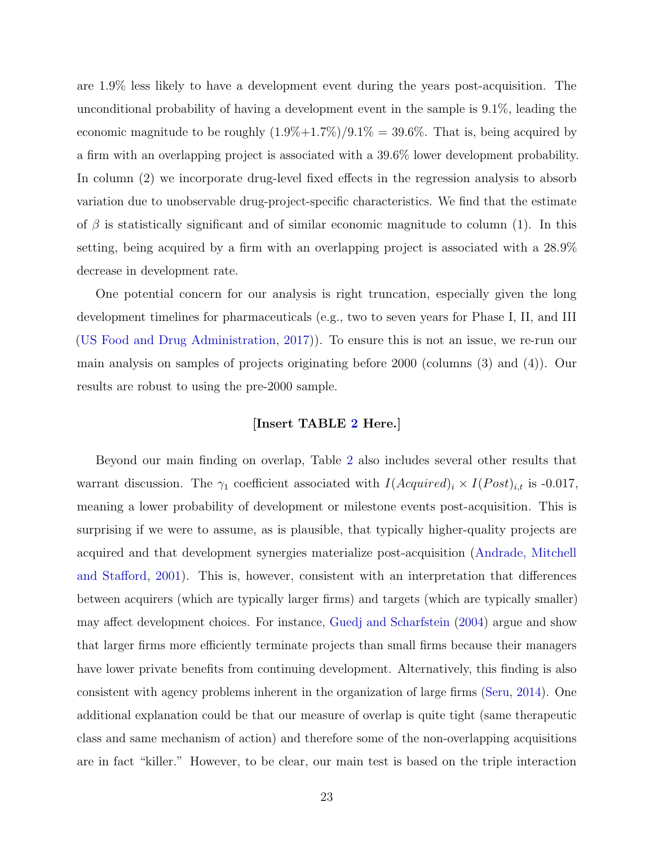are 1.9% less likely to have a development event during the years post-acquisition. The unconditional probability of having a development event in the sample is 9.1%, leading the economic magnitude to be roughly  $(1.9\%+1.7\%)/9.1\% = 39.6\%$ . That is, being acquired by a firm with an overlapping project is associated with a 39.6% lower development probability. In column (2) we incorporate drug-level fixed effects in the regression analysis to absorb variation due to unobservable drug-project-specific characteristics. We find that the estimate of  $\beta$  is statistically significant and of similar economic magnitude to column (1). In this setting, being acquired by a firm with an overlapping project is associated with a 28.9% decrease in development rate.

One potential concern for our analysis is right truncation, especially given the long development timelines for pharmaceuticals (e.g., two to seven years for Phase I, II, and III [\(US Food and Drug Administration,](#page-44-1) [2017\)](#page-44-1)). To ensure this is not an issue, we re-run our main analysis on samples of projects originating before 2000 (columns (3) and (4)). Our results are robust to using the pre-2000 sample.

### [Insert TABLE [2](#page-48-0) Here.]

Beyond our main finding on overlap, Table [2](#page-48-0) also includes several other results that warrant discussion. The  $\gamma_1$  coefficient associated with  $I(Aequired)_i \times I(Post)_{i,t}$  is -0.017, meaning a lower probability of development or milestone events post-acquisition. This is surprising if we were to assume, as is plausible, that typically higher-quality projects are acquired and that development synergies materialize post-acquisition [\(Andrade, Mitchell](#page-40-4) [and Stafford,](#page-40-4) [2001\)](#page-40-4). This is, however, consistent with an interpretation that differences between acquirers (which are typically larger firms) and targets (which are typically smaller) may affect development choices. For instance, [Guedj and Scharfstein](#page-42-1) [\(2004\)](#page-42-1) argue and show that larger firms more efficiently terminate projects than small firms because their managers have lower private benefits from continuing development. Alternatively, this finding is also consistent with agency problems inherent in the organization of large firms [\(Seru,](#page-43-12) [2014\)](#page-43-12). One additional explanation could be that our measure of overlap is quite tight (same therapeutic class and same mechanism of action) and therefore some of the non-overlapping acquisitions are in fact "killer." However, to be clear, our main test is based on the triple interaction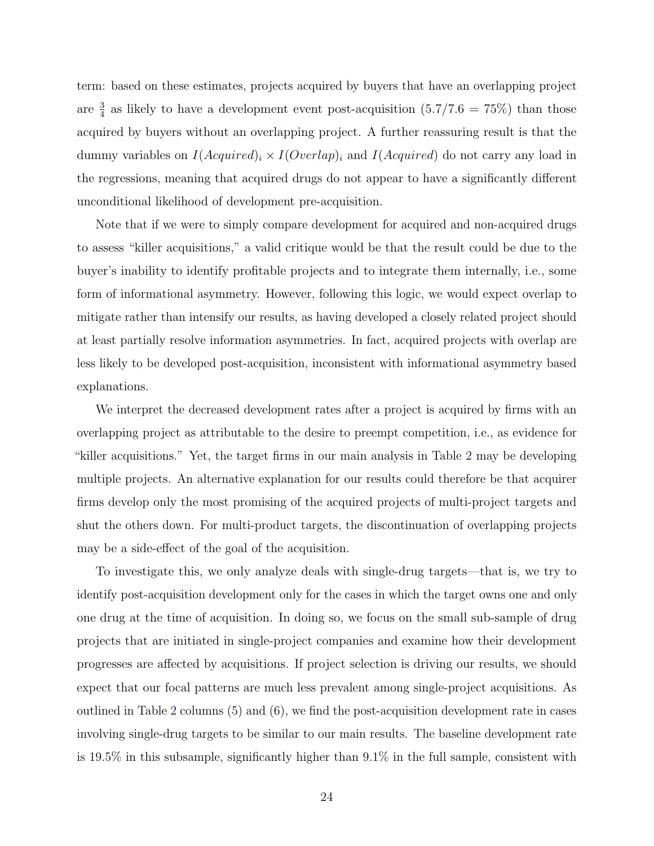term: based on these estimates, projects acquired by buyers that have an overlapping project are  $\frac{3}{4}$  as likely to have a development event post-acquisition  $(5.7/7.6 = 75%)$  than those acquired by buyers without an overlapping project. A further reassuring result is that the dummy variables on  $I(Acquired)_i \times I(Overlap)_i$  and  $I(Acquired)$  do not carry any load in the regressions, meaning that acquired drugs do not appear to have a significantly different unconditional likelihood of development pre-acquisition.

Note that if we were to simply compare development for acquired and non-acquired drugs to assess "killer acquisitions," a valid critique would be that the result could be due to the buyer's inability to identify profitable projects and to integrate them internally, i.e., some form of informational asymmetry. However, following this logic, we would expect overlap to mitigate rather than intensify our results, as having developed a closely related project should at least partially resolve information asymmetries. In fact, acquired projects with overlap are less likely to be developed post-acquisition, inconsistent with informational asymmetry based explanations.

We interpret the decreased development rates after a project is acquired by firms with an overlapping project as attributable to the desire to preempt competition, i.e., as evidence for "killer acquisitions." Yet, the target firms in our main analysis in Table [2](#page-48-0) may be developing multiple projects. An alternative explanation for our results could therefore be that acquirer firms develop only the most promising of the acquired projects of multi-project targets and shut the others down. For multi-product targets, the discontinuation of overlapping projects may be a side-effect of the goal of the acquisition.

To investigate this, we only analyze deals with single-drug targets—that is, we try to identify post-acquisition development only for the cases in which the target owns one and only one drug at the time of acquisition. In doing so, we focus on the small sub-sample of drug projects that are initiated in single-project companies and examine how their development progresses are affected by acquisitions. If project selection is driving our results, we should expect that our focal patterns are much less prevalent among single-project acquisitions. As outlined in Table [2](#page-48-0) columns (5) and (6), we find the post-acquisition development rate in cases involving single-drug targets to be similar to our main results. The baseline development rate is 19.5% in this subsample, significantly higher than 9.1% in the full sample, consistent with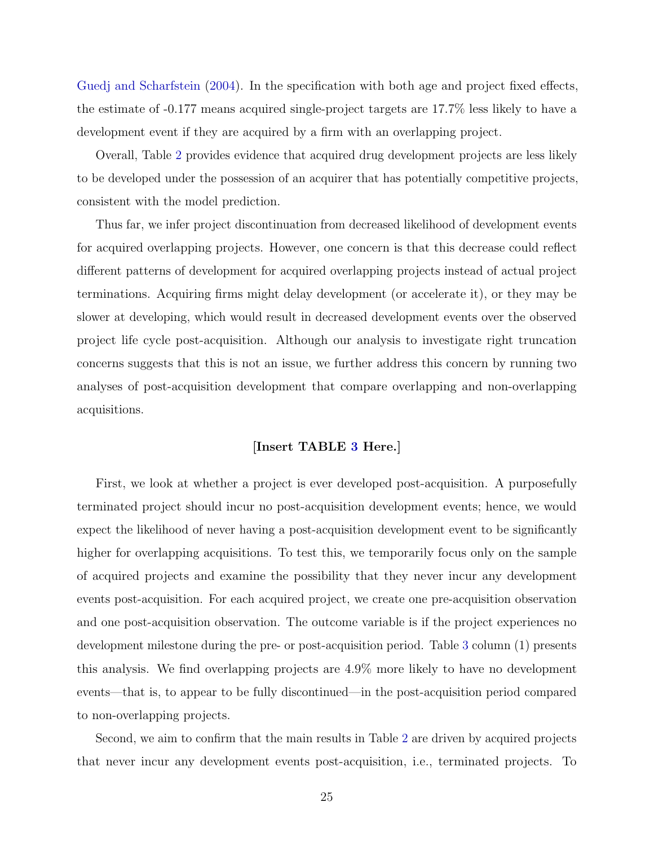[Guedj and Scharfstein](#page-42-1) [\(2004\)](#page-42-1). In the specification with both age and project fixed effects, the estimate of -0.177 means acquired single-project targets are 17.7% less likely to have a development event if they are acquired by a firm with an overlapping project.

Overall, Table [2](#page-48-0) provides evidence that acquired drug development projects are less likely to be developed under the possession of an acquirer that has potentially competitive projects, consistent with the model prediction.

Thus far, we infer project discontinuation from decreased likelihood of development events for acquired overlapping projects. However, one concern is that this decrease could reflect different patterns of development for acquired overlapping projects instead of actual project terminations. Acquiring firms might delay development (or accelerate it), or they may be slower at developing, which would result in decreased development events over the observed project life cycle post-acquisition. Although our analysis to investigate right truncation concerns suggests that this is not an issue, we further address this concern by running two analyses of post-acquisition development that compare overlapping and non-overlapping acquisitions.

### [Insert TABLE [3](#page-49-0) Here.]

First, we look at whether a project is ever developed post-acquisition. A purposefully terminated project should incur no post-acquisition development events; hence, we would expect the likelihood of never having a post-acquisition development event to be significantly higher for overlapping acquisitions. To test this, we temporarily focus only on the sample of acquired projects and examine the possibility that they never incur any development events post-acquisition. For each acquired project, we create one pre-acquisition observation and one post-acquisition observation. The outcome variable is if the project experiences no development milestone during the pre- or post-acquisition period. Table [3](#page-49-0) column (1) presents this analysis. We find overlapping projects are 4.9% more likely to have no development events—that is, to appear to be fully discontinued—in the post-acquisition period compared to non-overlapping projects.

Second, we aim to confirm that the main results in Table [2](#page-48-0) are driven by acquired projects that never incur any development events post-acquisition, i.e., terminated projects. To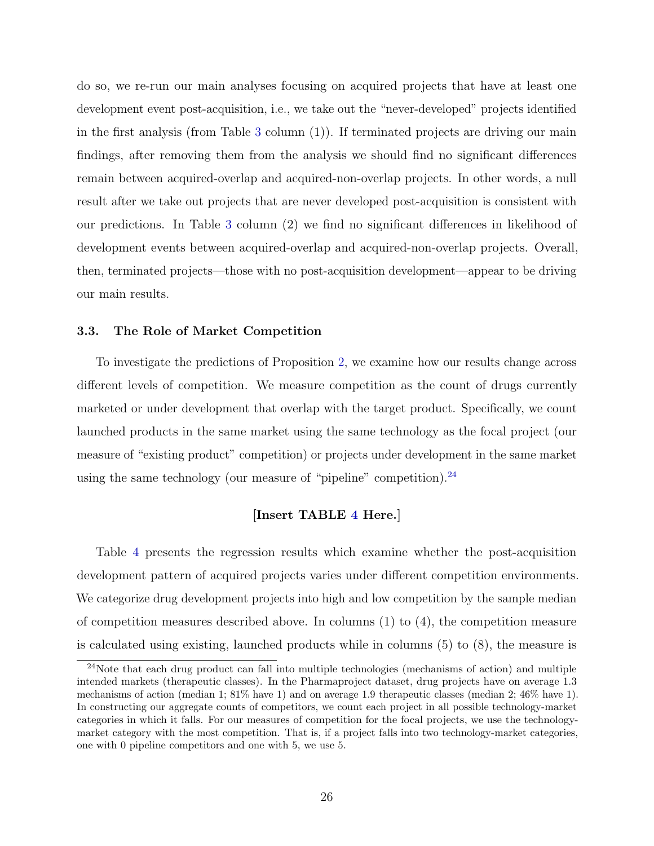do so, we re-run our main analyses focusing on acquired projects that have at least one development event post-acquisition, i.e., we take out the "never-developed" projects identified in the first analysis (from Table [3](#page-49-0) column (1)). If terminated projects are driving our main findings, after removing them from the analysis we should find no significant differences remain between acquired-overlap and acquired-non-overlap projects. In other words, a null result after we take out projects that are never developed post-acquisition is consistent with our predictions. In Table [3](#page-49-0) column (2) we find no significant differences in likelihood of development events between acquired-overlap and acquired-non-overlap projects. Overall, then, terminated projects—those with no post-acquisition development—appear to be driving our main results.

### 3.3. The Role of Market Competition

To investigate the predictions of Proposition [2,](#page-11-0) we examine how our results change across different levels of competition. We measure competition as the count of drugs currently marketed or under development that overlap with the target product. Specifically, we count launched products in the same market using the same technology as the focal project (our measure of "existing product" competition) or projects under development in the same market using the same technology (our measure of "pipeline" competition).  $24$ 

### [Insert TABLE [4](#page-50-0) Here.]

Table [4](#page-50-0) presents the regression results which examine whether the post-acquisition development pattern of acquired projects varies under different competition environments. We categorize drug development projects into high and low competition by the sample median of competition measures described above. In columns  $(1)$  to  $(4)$ , the competition measure is calculated using existing, launched products while in columns (5) to (8), the measure is

<sup>24</sup>Note that each drug product can fall into multiple technologies (mechanisms of action) and multiple intended markets (therapeutic classes). In the Pharmaproject dataset, drug projects have on average 1.3 mechanisms of action (median 1; 81% have 1) and on average 1.9 therapeutic classes (median 2; 46% have 1). In constructing our aggregate counts of competitors, we count each project in all possible technology-market categories in which it falls. For our measures of competition for the focal projects, we use the technologymarket category with the most competition. That is, if a project falls into two technology-market categories, one with 0 pipeline competitors and one with 5, we use 5.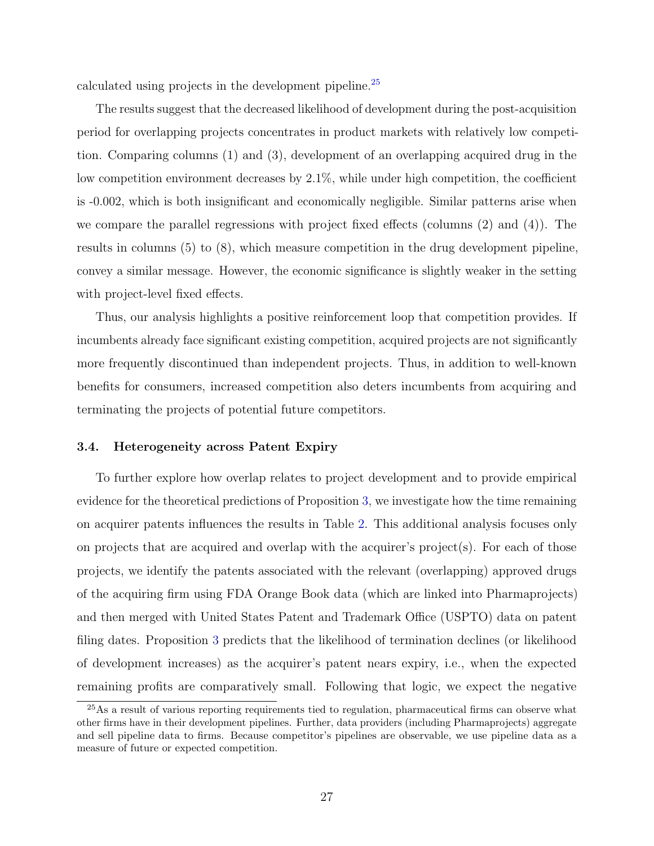calculated using projects in the development pipeline.[25](#page-0-0)

The results suggest that the decreased likelihood of development during the post-acquisition period for overlapping projects concentrates in product markets with relatively low competition. Comparing columns (1) and (3), development of an overlapping acquired drug in the low competition environment decreases by 2.1%, while under high competition, the coefficient is -0.002, which is both insignificant and economically negligible. Similar patterns arise when we compare the parallel regressions with project fixed effects (columns (2) and (4)). The results in columns (5) to (8), which measure competition in the drug development pipeline, convey a similar message. However, the economic significance is slightly weaker in the setting with project-level fixed effects.

Thus, our analysis highlights a positive reinforcement loop that competition provides. If incumbents already face significant existing competition, acquired projects are not significantly more frequently discontinued than independent projects. Thus, in addition to well-known benefits for consumers, increased competition also deters incumbents from acquiring and terminating the projects of potential future competitors.

### 3.4. Heterogeneity across Patent Expiry

To further explore how overlap relates to project development and to provide empirical evidence for the theoretical predictions of Proposition [3,](#page-13-0) we investigate how the time remaining on acquirer patents influences the results in Table [2.](#page-48-0) This additional analysis focuses only on projects that are acquired and overlap with the acquirer's project(s). For each of those projects, we identify the patents associated with the relevant (overlapping) approved drugs of the acquiring firm using FDA Orange Book data (which are linked into Pharmaprojects) and then merged with United States Patent and Trademark Office (USPTO) data on patent filing dates. Proposition [3](#page-13-0) predicts that the likelihood of termination declines (or likelihood of development increases) as the acquirer's patent nears expiry, i.e., when the expected remaining profits are comparatively small. Following that logic, we expect the negative

<sup>&</sup>lt;sup>25</sup>As a result of various reporting requirements tied to regulation, pharmaceutical firms can observe what other firms have in their development pipelines. Further, data providers (including Pharmaprojects) aggregate and sell pipeline data to firms. Because competitor's pipelines are observable, we use pipeline data as a measure of future or expected competition.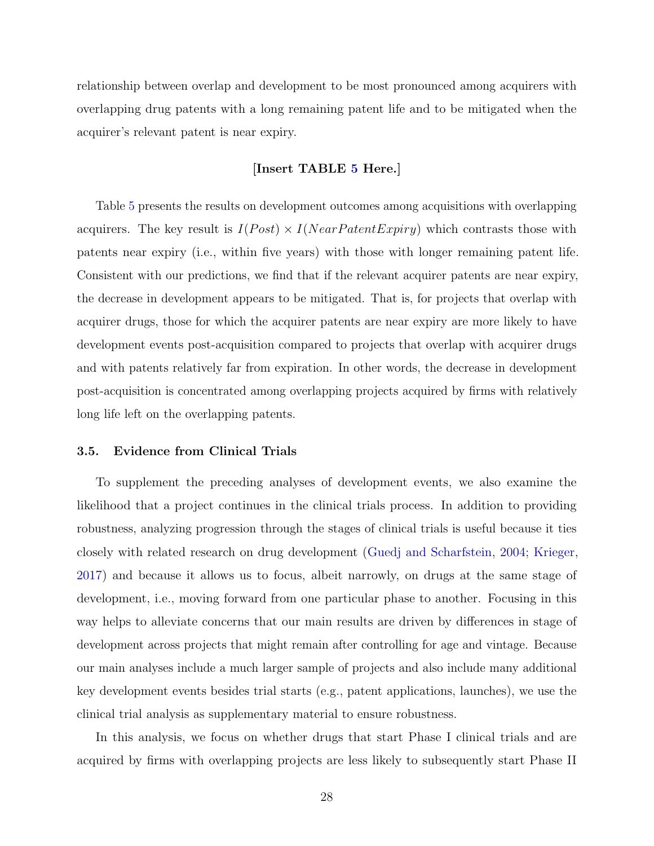relationship between overlap and development to be most pronounced among acquirers with overlapping drug patents with a long remaining patent life and to be mitigated when the acquirer's relevant patent is near expiry.

### [Insert TABLE [5](#page-51-0) Here.]

Table [5](#page-51-0) presents the results on development outcomes among acquisitions with overlapping acquirers. The key result is  $I(Post) \times I(NearPatentExpiry)$  which contrasts those with patents near expiry (i.e., within five years) with those with longer remaining patent life. Consistent with our predictions, we find that if the relevant acquirer patents are near expiry, the decrease in development appears to be mitigated. That is, for projects that overlap with acquirer drugs, those for which the acquirer patents are near expiry are more likely to have development events post-acquisition compared to projects that overlap with acquirer drugs and with patents relatively far from expiration. In other words, the decrease in development post-acquisition is concentrated among overlapping projects acquired by firms with relatively long life left on the overlapping patents.

### 3.5. Evidence from Clinical Trials

To supplement the preceding analyses of development events, we also examine the likelihood that a project continues in the clinical trials process. In addition to providing robustness, analyzing progression through the stages of clinical trials is useful because it ties closely with related research on drug development [\(Guedj and Scharfstein,](#page-42-1) [2004;](#page-42-1) [Krieger,](#page-42-0) [2017\)](#page-42-0) and because it allows us to focus, albeit narrowly, on drugs at the same stage of development, i.e., moving forward from one particular phase to another. Focusing in this way helps to alleviate concerns that our main results are driven by differences in stage of development across projects that might remain after controlling for age and vintage. Because our main analyses include a much larger sample of projects and also include many additional key development events besides trial starts (e.g., patent applications, launches), we use the clinical trial analysis as supplementary material to ensure robustness.

In this analysis, we focus on whether drugs that start Phase I clinical trials and are acquired by firms with overlapping projects are less likely to subsequently start Phase II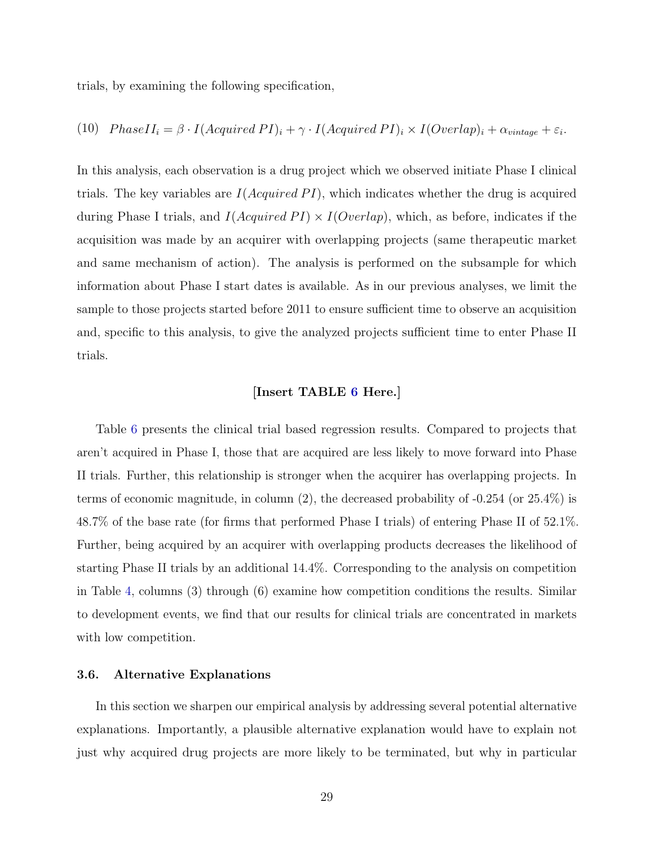trials, by examining the following specification,

(10) 
$$
PhaseII_i = \beta \cdot I(Aequired\ PI)_i + \gamma \cdot I(Aequired\ PI)_i \times I(Overall_i) + \alpha_{vintage} + \varepsilon_i
$$
.

In this analysis, each observation is a drug project which we observed initiate Phase I clinical trials. The key variables are  $I(Acquired\,PI)$ , which indicates whether the drug is acquired during Phase I trials, and  $I(Acquired\,PI) \times I(Overlap)$ , which, as before, indicates if the acquisition was made by an acquirer with overlapping projects (same therapeutic market and same mechanism of action). The analysis is performed on the subsample for which information about Phase I start dates is available. As in our previous analyses, we limit the sample to those projects started before 2011 to ensure sufficient time to observe an acquisition and, specific to this analysis, to give the analyzed projects sufficient time to enter Phase II trials.

### [Insert TABLE [6](#page-52-0) Here.]

Table [6](#page-52-0) presents the clinical trial based regression results. Compared to projects that aren't acquired in Phase I, those that are acquired are less likely to move forward into Phase II trials. Further, this relationship is stronger when the acquirer has overlapping projects. In terms of economic magnitude, in column (2), the decreased probability of -0.254 (or 25.4%) is 48.7% of the base rate (for firms that performed Phase I trials) of entering Phase II of 52.1%. Further, being acquired by an acquirer with overlapping products decreases the likelihood of starting Phase II trials by an additional 14.4%. Corresponding to the analysis on competition in Table [4,](#page-50-0) columns (3) through (6) examine how competition conditions the results. Similar to development events, we find that our results for clinical trials are concentrated in markets with low competition.

### 3.6. Alternative Explanations

In this section we sharpen our empirical analysis by addressing several potential alternative explanations. Importantly, a plausible alternative explanation would have to explain not just why acquired drug projects are more likely to be terminated, but why in particular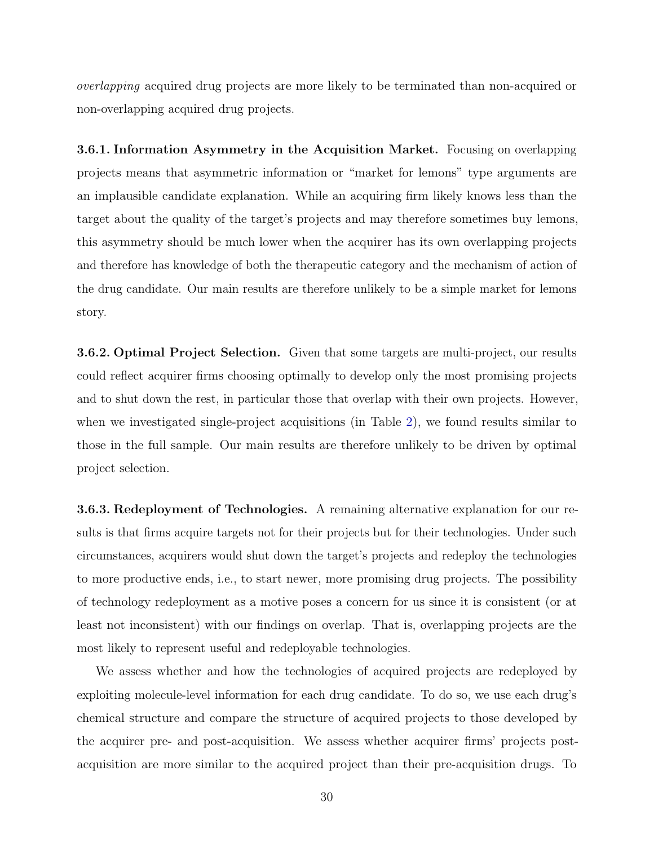overlapping acquired drug projects are more likely to be terminated than non-acquired or non-overlapping acquired drug projects.

3.6.1. Information Asymmetry in the Acquisition Market. Focusing on overlapping projects means that asymmetric information or "market for lemons" type arguments are an implausible candidate explanation. While an acquiring firm likely knows less than the target about the quality of the target's projects and may therefore sometimes buy lemons, this asymmetry should be much lower when the acquirer has its own overlapping projects and therefore has knowledge of both the therapeutic category and the mechanism of action of the drug candidate. Our main results are therefore unlikely to be a simple market for lemons story.

3.6.2. Optimal Project Selection. Given that some targets are multi-project, our results could reflect acquirer firms choosing optimally to develop only the most promising projects and to shut down the rest, in particular those that overlap with their own projects. However, when we investigated single-project acquisitions (in Table [2\)](#page-48-0), we found results similar to those in the full sample. Our main results are therefore unlikely to be driven by optimal project selection.

3.6.3. Redeployment of Technologies. A remaining alternative explanation for our results is that firms acquire targets not for their projects but for their technologies. Under such circumstances, acquirers would shut down the target's projects and redeploy the technologies to more productive ends, i.e., to start newer, more promising drug projects. The possibility of technology redeployment as a motive poses a concern for us since it is consistent (or at least not inconsistent) with our findings on overlap. That is, overlapping projects are the most likely to represent useful and redeployable technologies.

We assess whether and how the technologies of acquired projects are redeployed by exploiting molecule-level information for each drug candidate. To do so, we use each drug's chemical structure and compare the structure of acquired projects to those developed by the acquirer pre- and post-acquisition. We assess whether acquirer firms' projects postacquisition are more similar to the acquired project than their pre-acquisition drugs. To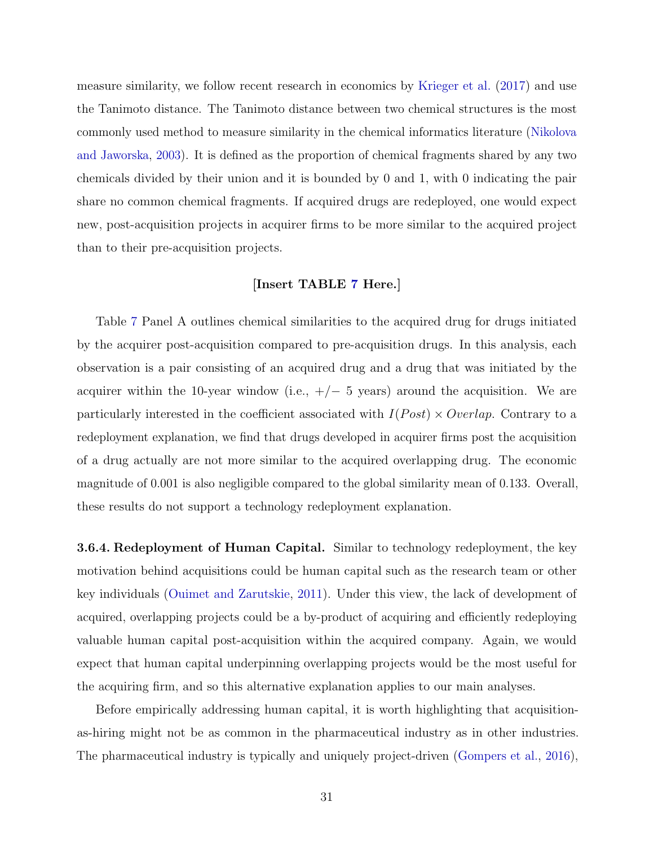measure similarity, we follow recent research in economics by [Krieger et al.](#page-42-11) [\(2017\)](#page-42-11) and use the Tanimoto distance. The Tanimoto distance between two chemical structures is the most commonly used method to measure similarity in the chemical informatics literature [\(Nikolova](#page-43-13) [and Jaworska,](#page-43-13) [2003\)](#page-43-13). It is defined as the proportion of chemical fragments shared by any two chemicals divided by their union and it is bounded by 0 and 1, with 0 indicating the pair share no common chemical fragments. If acquired drugs are redeployed, one would expect new, post-acquisition projects in acquirer firms to be more similar to the acquired project than to their pre-acquisition projects.

### [Insert TABLE [7](#page-53-0) Here.]

Table [7](#page-53-0) Panel A outlines chemical similarities to the acquired drug for drugs initiated by the acquirer post-acquisition compared to pre-acquisition drugs. In this analysis, each observation is a pair consisting of an acquired drug and a drug that was initiated by the acquirer within the 10-year window (i.e.,  $+/-$  5 years) around the acquisition. We are particularly interested in the coefficient associated with  $I(Post) \times Overlap$ . Contrary to a redeployment explanation, we find that drugs developed in acquirer firms post the acquisition of a drug actually are not more similar to the acquired overlapping drug. The economic magnitude of 0.001 is also negligible compared to the global similarity mean of 0.133. Overall, these results do not support a technology redeployment explanation.

**3.6.4. Redeployment of Human Capital.** Similar to technology redeployment, the key motivation behind acquisitions could be human capital such as the research team or other key individuals [\(Ouimet and Zarutskie,](#page-43-14) [2011\)](#page-43-14). Under this view, the lack of development of acquired, overlapping projects could be a by-product of acquiring and efficiently redeploying valuable human capital post-acquisition within the acquired company. Again, we would expect that human capital underpinning overlapping projects would be the most useful for the acquiring firm, and so this alternative explanation applies to our main analyses.

Before empirically addressing human capital, it is worth highlighting that acquisitionas-hiring might not be as common in the pharmaceutical industry as in other industries. The pharmaceutical industry is typically and uniquely project-driven [\(Gompers et al.,](#page-41-13) [2016\)](#page-41-13),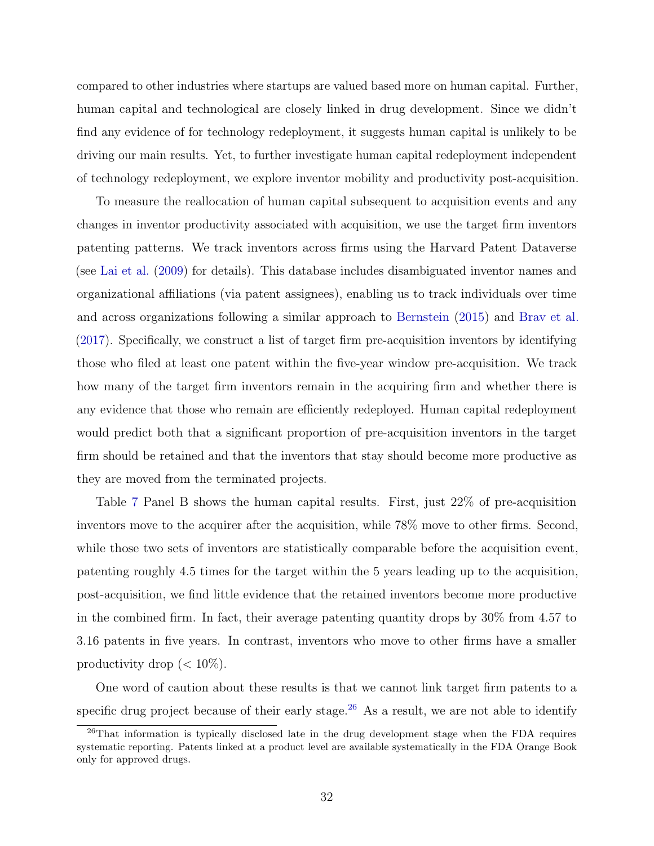compared to other industries where startups are valued based more on human capital. Further, human capital and technological are closely linked in drug development. Since we didn't find any evidence of for technology redeployment, it suggests human capital is unlikely to be driving our main results. Yet, to further investigate human capital redeployment independent of technology redeployment, we explore inventor mobility and productivity post-acquisition.

To measure the reallocation of human capital subsequent to acquisition events and any changes in inventor productivity associated with acquisition, we use the target firm inventors patenting patterns. We track inventors across firms using the Harvard Patent Dataverse (see [Lai et al.](#page-42-12) [\(2009\)](#page-42-12) for details). This database includes disambiguated inventor names and organizational affiliations (via patent assignees), enabling us to track individuals over time and across organizations following a similar approach to [Bernstein](#page-40-11) [\(2015\)](#page-40-11) and [Brav et al.](#page-41-14) [\(2017\)](#page-41-14). Specifically, we construct a list of target firm pre-acquisition inventors by identifying those who filed at least one patent within the five-year window pre-acquisition. We track how many of the target firm inventors remain in the acquiring firm and whether there is any evidence that those who remain are efficiently redeployed. Human capital redeployment would predict both that a significant proportion of pre-acquisition inventors in the target firm should be retained and that the inventors that stay should become more productive as they are moved from the terminated projects.

Table [7](#page-53-0) Panel B shows the human capital results. First, just 22% of pre-acquisition inventors move to the acquirer after the acquisition, while 78% move to other firms. Second, while those two sets of inventors are statistically comparable before the acquisition event, patenting roughly 4.5 times for the target within the 5 years leading up to the acquisition, post-acquisition, we find little evidence that the retained inventors become more productive in the combined firm. In fact, their average patenting quantity drops by 30% from 4.57 to 3.16 patents in five years. In contrast, inventors who move to other firms have a smaller productivity drop  $(< 10\%)$ .

One word of caution about these results is that we cannot link target firm patents to a specific drug project because of their early stage.<sup>[26](#page-0-0)</sup> As a result, we are not able to identify

<sup>&</sup>lt;sup>26</sup>That information is typically disclosed late in the drug development stage when the FDA requires systematic reporting. Patents linked at a product level are available systematically in the FDA Orange Book only for approved drugs.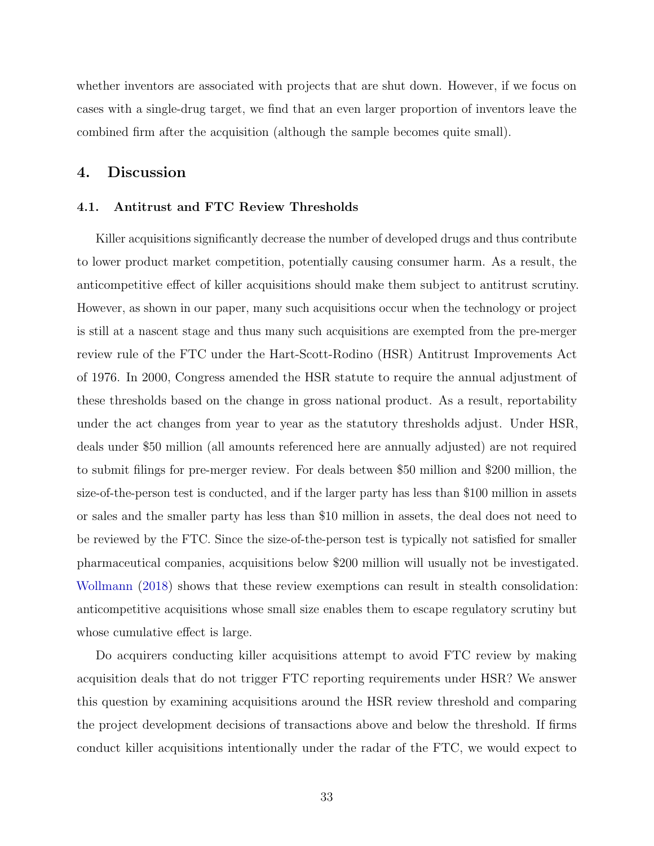whether inventors are associated with projects that are shut down. However, if we focus on cases with a single-drug target, we find that an even larger proportion of inventors leave the combined firm after the acquisition (although the sample becomes quite small).

### <span id="page-33-0"></span>4. Discussion

### 4.1. Antitrust and FTC Review Thresholds

Killer acquisitions significantly decrease the number of developed drugs and thus contribute to lower product market competition, potentially causing consumer harm. As a result, the anticompetitive effect of killer acquisitions should make them subject to antitrust scrutiny. However, as shown in our paper, many such acquisitions occur when the technology or project is still at a nascent stage and thus many such acquisitions are exempted from the pre-merger review rule of the FTC under the Hart-Scott-Rodino (HSR) Antitrust Improvements Act of 1976. In 2000, Congress amended the HSR statute to require the annual adjustment of these thresholds based on the change in gross national product. As a result, reportability under the act changes from year to year as the statutory thresholds adjust. Under HSR, deals under \$50 million (all amounts referenced here are annually adjusted) are not required to submit filings for pre-merger review. For deals between \$50 million and \$200 million, the size-of-the-person test is conducted, and if the larger party has less than \$100 million in assets or sales and the smaller party has less than \$10 million in assets, the deal does not need to be reviewed by the FTC. Since the size-of-the-person test is typically not satisfied for smaller pharmaceutical companies, acquisitions below \$200 million will usually not be investigated. [Wollmann](#page-44-2) [\(2018\)](#page-44-2) shows that these review exemptions can result in stealth consolidation: anticompetitive acquisitions whose small size enables them to escape regulatory scrutiny but whose cumulative effect is large.

Do acquirers conducting killer acquisitions attempt to avoid FTC review by making acquisition deals that do not trigger FTC reporting requirements under HSR? We answer this question by examining acquisitions around the HSR review threshold and comparing the project development decisions of transactions above and below the threshold. If firms conduct killer acquisitions intentionally under the radar of the FTC, we would expect to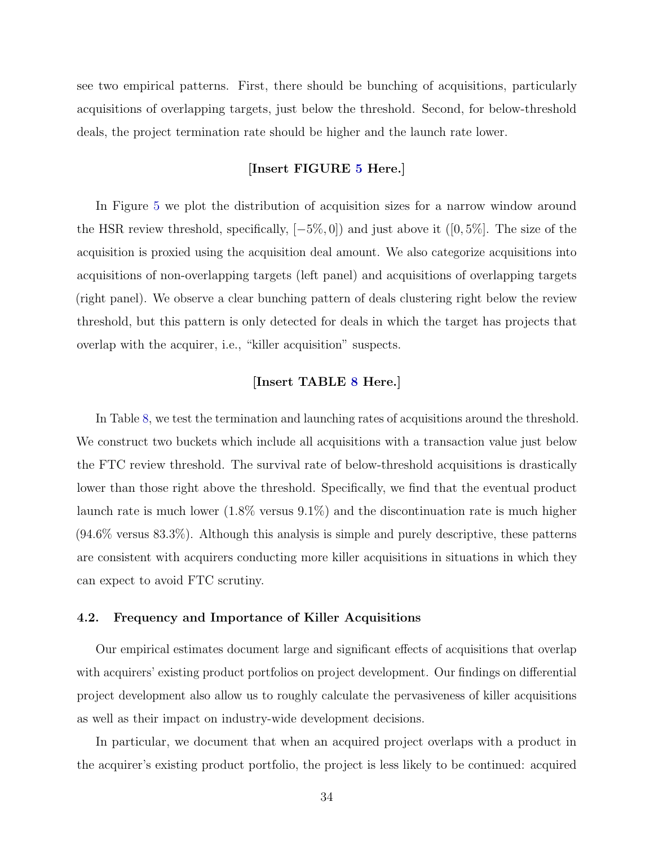see two empirical patterns. First, there should be bunching of acquisitions, particularly acquisitions of overlapping targets, just below the threshold. Second, for below-threshold deals, the project termination rate should be higher and the launch rate lower.

### [Insert FIGURE [5](#page-46-0) Here.]

In Figure [5](#page-46-0) we plot the distribution of acquisition sizes for a narrow window around the HSR review threshold, specifically, [−5%, 0]) and just above it ([0, 5%]. The size of the acquisition is proxied using the acquisition deal amount. We also categorize acquisitions into acquisitions of non-overlapping targets (left panel) and acquisitions of overlapping targets (right panel). We observe a clear bunching pattern of deals clustering right below the review threshold, but this pattern is only detected for deals in which the target has projects that overlap with the acquirer, i.e., "killer acquisition" suspects.

### [Insert TABLE [8](#page-54-0) Here.]

In Table [8,](#page-54-0) we test the termination and launching rates of acquisitions around the threshold. We construct two buckets which include all acquisitions with a transaction value just below the FTC review threshold. The survival rate of below-threshold acquisitions is drastically lower than those right above the threshold. Specifically, we find that the eventual product launch rate is much lower (1.8% versus 9.1%) and the discontinuation rate is much higher (94.6% versus 83.3%). Although this analysis is simple and purely descriptive, these patterns are consistent with acquirers conducting more killer acquisitions in situations in which they can expect to avoid FTC scrutiny.

### 4.2. Frequency and Importance of Killer Acquisitions

Our empirical estimates document large and significant effects of acquisitions that overlap with acquirers' existing product portfolios on project development. Our findings on differential project development also allow us to roughly calculate the pervasiveness of killer acquisitions as well as their impact on industry-wide development decisions.

In particular, we document that when an acquired project overlaps with a product in the acquirer's existing product portfolio, the project is less likely to be continued: acquired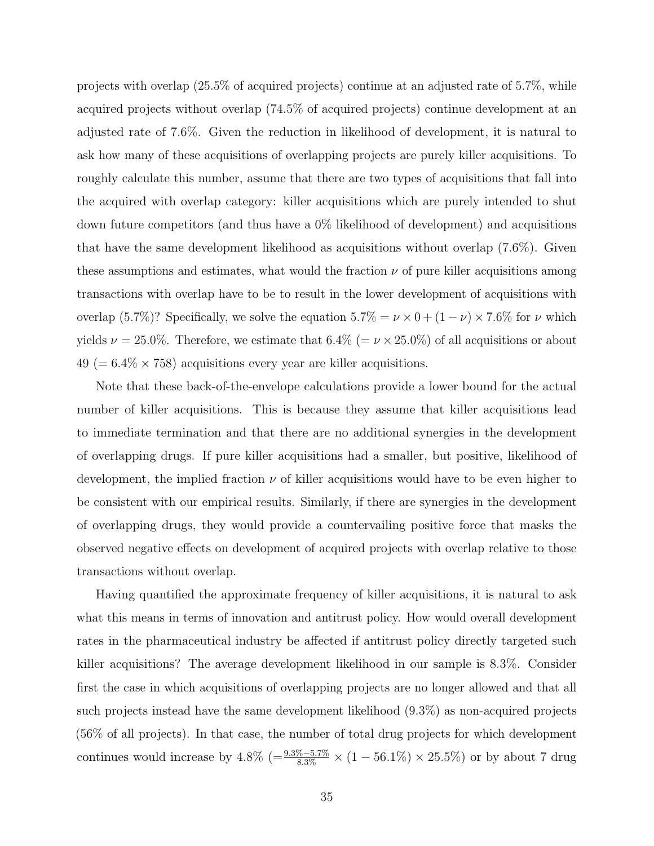projects with overlap (25.5% of acquired projects) continue at an adjusted rate of 5.7%, while acquired projects without overlap (74.5% of acquired projects) continue development at an adjusted rate of 7.6%. Given the reduction in likelihood of development, it is natural to ask how many of these acquisitions of overlapping projects are purely killer acquisitions. To roughly calculate this number, assume that there are two types of acquisitions that fall into the acquired with overlap category: killer acquisitions which are purely intended to shut down future competitors (and thus have a 0% likelihood of development) and acquisitions that have the same development likelihood as acquisitions without overlap (7.6%). Given these assumptions and estimates, what would the fraction  $\nu$  of pure killer acquisitions among transactions with overlap have to be to result in the lower development of acquisitions with overlap (5.7%)? Specifically, we solve the equation  $5.7\% = \nu \times 0 + (1 - \nu) \times 7.6\%$  for  $\nu$  which yields  $\nu = 25.0\%$ . Therefore, we estimate that  $6.4\%$  (=  $\nu \times 25.0\%$ ) of all acquisitions or about  $49 (= 6.4\% \times 758)$  acquisitions every year are killer acquisitions.

Note that these back-of-the-envelope calculations provide a lower bound for the actual number of killer acquisitions. This is because they assume that killer acquisitions lead to immediate termination and that there are no additional synergies in the development of overlapping drugs. If pure killer acquisitions had a smaller, but positive, likelihood of development, the implied fraction  $\nu$  of killer acquisitions would have to be even higher to be consistent with our empirical results. Similarly, if there are synergies in the development of overlapping drugs, they would provide a countervailing positive force that masks the observed negative effects on development of acquired projects with overlap relative to those transactions without overlap.

Having quantified the approximate frequency of killer acquisitions, it is natural to ask what this means in terms of innovation and antitrust policy. How would overall development rates in the pharmaceutical industry be affected if antitrust policy directly targeted such killer acquisitions? The average development likelihood in our sample is 8.3%. Consider first the case in which acquisitions of overlapping projects are no longer allowed and that all such projects instead have the same development likelihood (9.3%) as non-acquired projects (56% of all projects). In that case, the number of total drug projects for which development continues would increase by  $4.8\%$  (= $\frac{9.3\% - 5.7\%}{8.3\%} \times (1 - 56.1\%) \times 25.5\%$ ) or by about 7 drug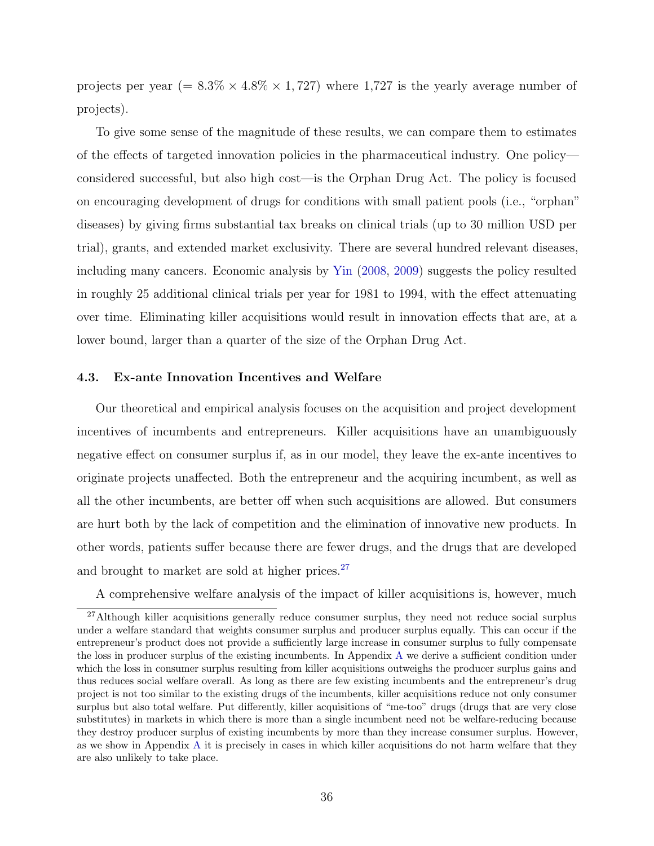projects per year (=  $8.3\% \times 4.8\% \times 1,727$ ) where 1,727 is the yearly average number of projects).

To give some sense of the magnitude of these results, we can compare them to estimates of the effects of targeted innovation policies in the pharmaceutical industry. One policy considered successful, but also high cost—is the Orphan Drug Act. The policy is focused on encouraging development of drugs for conditions with small patient pools (i.e., "orphan" diseases) by giving firms substantial tax breaks on clinical trials (up to 30 million USD per trial), grants, and extended market exclusivity. There are several hundred relevant diseases, including many cancers. Economic analysis by [Yin](#page-44-3) [\(2008,](#page-44-3) [2009\)](#page-44-4) suggests the policy resulted in roughly 25 additional clinical trials per year for 1981 to 1994, with the effect attenuating over time. Eliminating killer acquisitions would result in innovation effects that are, at a lower bound, larger than a quarter of the size of the Orphan Drug Act.

### 4.3. Ex-ante Innovation Incentives and Welfare

Our theoretical and empirical analysis focuses on the acquisition and project development incentives of incumbents and entrepreneurs. Killer acquisitions have an unambiguously negative effect on consumer surplus if, as in our model, they leave the ex-ante incentives to originate projects unaffected. Both the entrepreneur and the acquiring incumbent, as well as all the other incumbents, are better off when such acquisitions are allowed. But consumers are hurt both by the lack of competition and the elimination of innovative new products. In other words, patients suffer because there are fewer drugs, and the drugs that are developed and brought to market are sold at higher prices. $27$ 

A comprehensive welfare analysis of the impact of killer acquisitions is, however, much

<sup>&</sup>lt;sup>27</sup>Although killer acquisitions generally reduce consumer surplus, they need not reduce social surplus under a welfare standard that weights consumer surplus and producer surplus equally. This can occur if the entrepreneur's product does not provide a sufficiently large increase in consumer surplus to fully compensate the loss in producer surplus of the existing incumbents. In Appendix [A](#page-55-0) we derive a sufficient condition under which the loss in consumer surplus resulting from killer acquisitions outweighs the producer surplus gains and thus reduces social welfare overall. As long as there are few existing incumbents and the entrepreneur's drug project is not too similar to the existing drugs of the incumbents, killer acquisitions reduce not only consumer surplus but also total welfare. Put differently, killer acquisitions of "me-too" drugs (drugs that are very close substitutes) in markets in which there is more than a single incumbent need not be welfare-reducing because they destroy producer surplus of existing incumbents by more than they increase consumer surplus. However, as we show in Appendix [A](#page-55-0) it is precisely in cases in which killer acquisitions do not harm welfare that they are also unlikely to take place.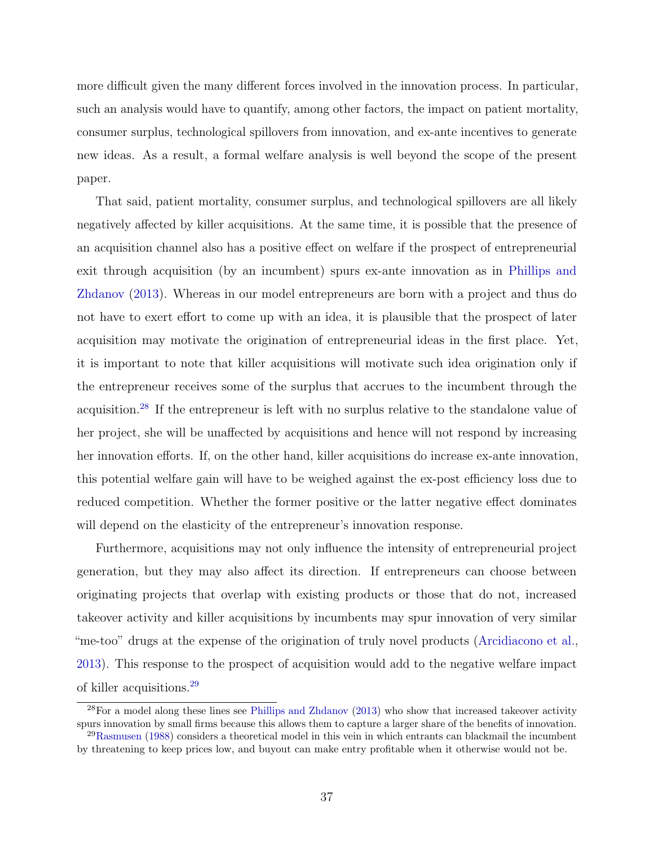more difficult given the many different forces involved in the innovation process. In particular, such an analysis would have to quantify, among other factors, the impact on patient mortality, consumer surplus, technological spillovers from innovation, and ex-ante incentives to generate new ideas. As a result, a formal welfare analysis is well beyond the scope of the present paper.

That said, patient mortality, consumer surplus, and technological spillovers are all likely negatively affected by killer acquisitions. At the same time, it is possible that the presence of an acquisition channel also has a positive effect on welfare if the prospect of entrepreneurial exit through acquisition (by an incumbent) spurs ex-ante innovation as in [Phillips and](#page-43-5) [Zhdanov](#page-43-5) [\(2013\)](#page-43-5). Whereas in our model entrepreneurs are born with a project and thus do not have to exert effort to come up with an idea, it is plausible that the prospect of later acquisition may motivate the origination of entrepreneurial ideas in the first place. Yet, it is important to note that killer acquisitions will motivate such idea origination only if the entrepreneur receives some of the surplus that accrues to the incumbent through the acquisition.[28](#page-0-0) If the entrepreneur is left with no surplus relative to the standalone value of her project, she will be unaffected by acquisitions and hence will not respond by increasing her innovation efforts. If, on the other hand, killer acquisitions do increase ex-ante innovation, this potential welfare gain will have to be weighed against the ex-post efficiency loss due to reduced competition. Whether the former positive or the latter negative effect dominates will depend on the elasticity of the entrepreneur's innovation response.

Furthermore, acquisitions may not only influence the intensity of entrepreneurial project generation, but they may also affect its direction. If entrepreneurs can choose between originating projects that overlap with existing products or those that do not, increased takeover activity and killer acquisitions by incumbents may spur innovation of very similar "me-too" drugs at the expense of the origination of truly novel products [\(Arcidiacono et al.,](#page-40-12) [2013\)](#page-40-12). This response to the prospect of acquisition would add to the negative welfare impact of killer acquisitions.[29](#page-0-0)

 $28$ For a model along these lines see [Phillips and Zhdanov](#page-43-5) [\(2013\)](#page-43-5) who show that increased takeover activity spurs innovation by small firms because this allows them to capture a larger share of the benefits of innovation. <sup>29</sup>[Rasmusen](#page-43-15) [\(1988\)](#page-43-15) considers a theoretical model in this vein in which entrants can blackmail the incumbent

by threatening to keep prices low, and buyout can make entry profitable when it otherwise would not be.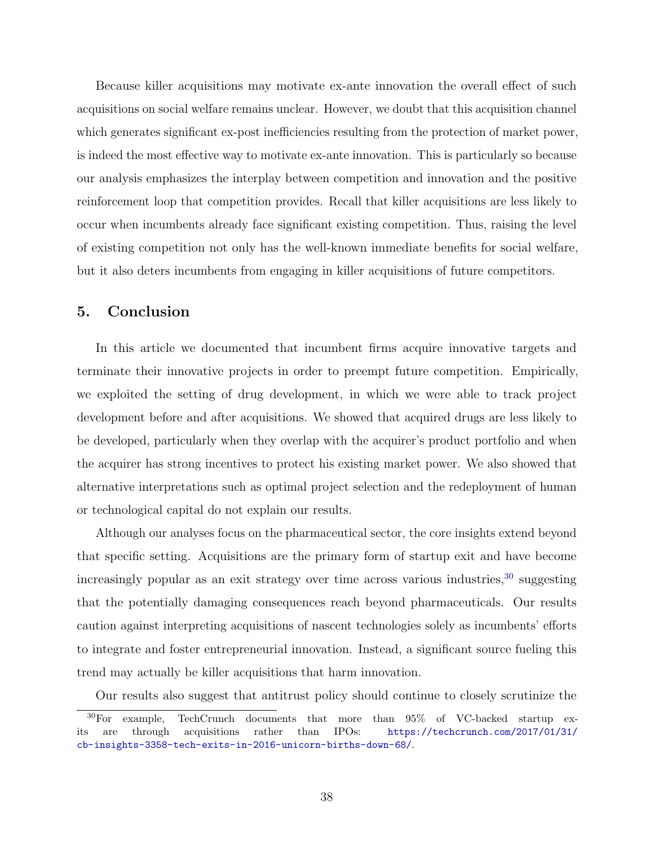Because killer acquisitions may motivate ex-ante innovation the overall effect of such acquisitions on social welfare remains unclear. However, we doubt that this acquisition channel which generates significant ex-post inefficiencies resulting from the protection of market power, is indeed the most effective way to motivate ex-ante innovation. This is particularly so because our analysis emphasizes the interplay between competition and innovation and the positive reinforcement loop that competition provides. Recall that killer acquisitions are less likely to occur when incumbents already face significant existing competition. Thus, raising the level of existing competition not only has the well-known immediate benefits for social welfare, but it also deters incumbents from engaging in killer acquisitions of future competitors.

### <span id="page-38-0"></span>5. Conclusion

In this article we documented that incumbent firms acquire innovative targets and terminate their innovative projects in order to preempt future competition. Empirically, we exploited the setting of drug development, in which we were able to track project development before and after acquisitions. We showed that acquired drugs are less likely to be developed, particularly when they overlap with the acquirer's product portfolio and when the acquirer has strong incentives to protect his existing market power. We also showed that alternative interpretations such as optimal project selection and the redeployment of human or technological capital do not explain our results.

Although our analyses focus on the pharmaceutical sector, the core insights extend beyond that specific setting. Acquisitions are the primary form of startup exit and have become increasingly popular as an exit strategy over time across various industries,  $30$  suggesting that the potentially damaging consequences reach beyond pharmaceuticals. Our results caution against interpreting acquisitions of nascent technologies solely as incumbents' efforts to integrate and foster entrepreneurial innovation. Instead, a significant source fueling this trend may actually be killer acquisitions that harm innovation.

Our results also suggest that antitrust policy should continue to closely scrutinize the

<sup>30</sup>For example, TechCrunch documents that more than 95% of VC-backed startup exits are through acquisitions rather than IPOs: [https://techcrunch.com/2017/01/31/](https://techcrunch.com/2017/01/31/cb-insights-3358-tech-exits-in-2016-unicorn-births-down-68/) [cb-insights-3358-tech-exits-in-2016-unicorn-births-down-68/](https://techcrunch.com/2017/01/31/cb-insights-3358-tech-exits-in-2016-unicorn-births-down-68/).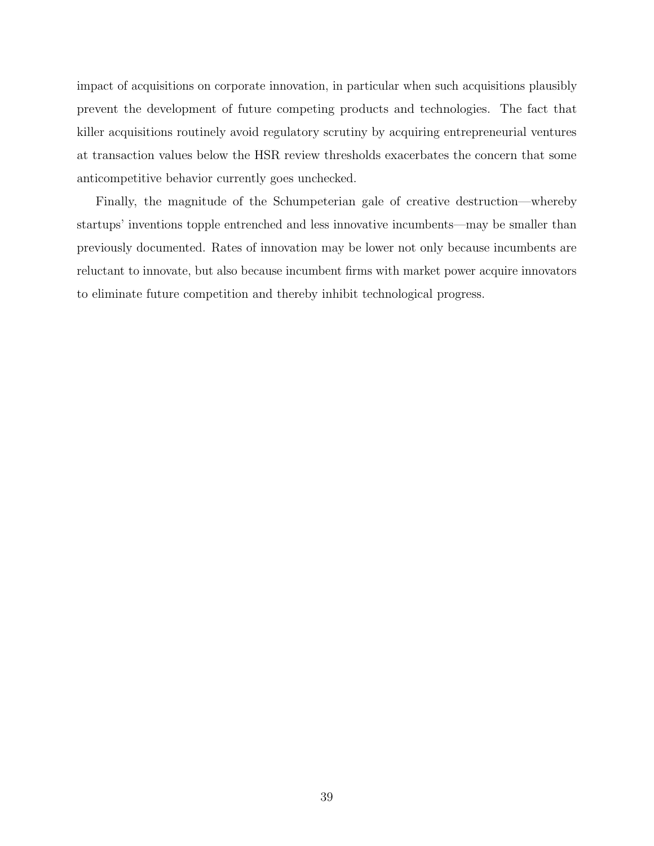impact of acquisitions on corporate innovation, in particular when such acquisitions plausibly prevent the development of future competing products and technologies. The fact that killer acquisitions routinely avoid regulatory scrutiny by acquiring entrepreneurial ventures at transaction values below the HSR review thresholds exacerbates the concern that some anticompetitive behavior currently goes unchecked.

Finally, the magnitude of the Schumpeterian gale of creative destruction—whereby startups' inventions topple entrenched and less innovative incumbents—may be smaller than previously documented. Rates of innovation may be lower not only because incumbents are reluctant to innovate, but also because incumbent firms with market power acquire innovators to eliminate future competition and thereby inhibit technological progress.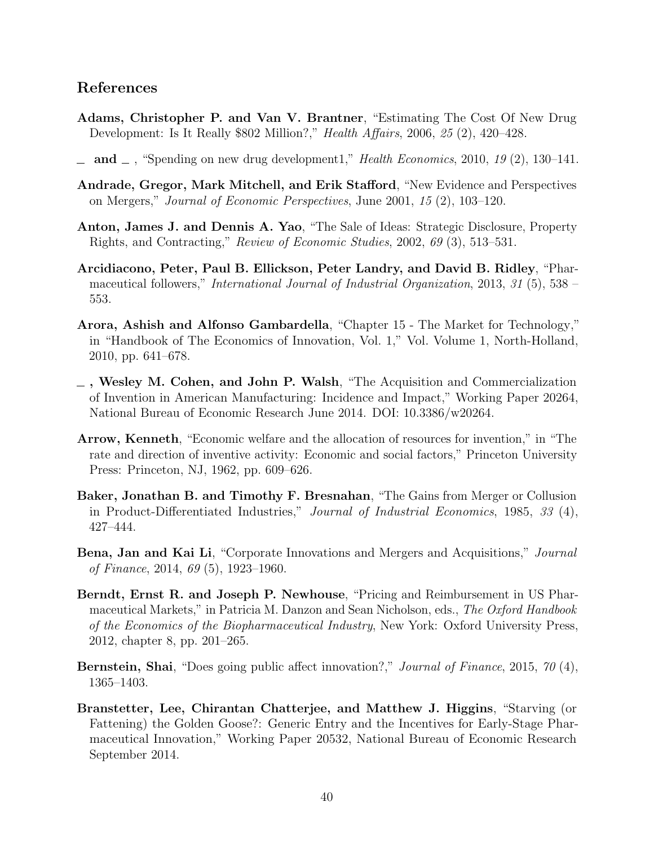### References

- <span id="page-40-7"></span>Adams, Christopher P. and Van V. Brantner, "Estimating The Cost Of New Drug Development: Is It Really \$802 Million?," Health Affairs, 2006, 25 (2), 420–428.
- <span id="page-40-8"></span> $\Box$  and  $\Box$ , "Spending on new drug development1," Health Economics, 2010, 19 (2), 130–141.
- <span id="page-40-4"></span>Andrade, Gregor, Mark Mitchell, and Erik Stafford, "New Evidence and Perspectives on Mergers," Journal of Economic Perspectives, June 2001, 15 (2), 103–120.
- <span id="page-40-6"></span>Anton, James J. and Dennis A. Yao, "The Sale of Ideas: Strategic Disclosure, Property Rights, and Contracting," Review of Economic Studies, 2002, 69 (3), 513–531.
- <span id="page-40-12"></span>Arcidiacono, Peter, Paul B. Ellickson, Peter Landry, and David B. Ridley, "Pharmaceutical followers," International Journal of Industrial Organization, 2013, 31 (5), 538 – 553.
- <span id="page-40-1"></span>Arora, Ashish and Alfonso Gambardella, "Chapter 15 - The Market for Technology," in "Handbook of The Economics of Innovation, Vol. 1," Vol. Volume 1, North-Holland, 2010, pp. 641–678.
- <span id="page-40-2"></span>, Wesley M. Cohen, and John P. Walsh, "The Acquisition and Commercialization of Invention in American Manufacturing: Incidence and Impact," Working Paper 20264, National Bureau of Economic Research June 2014. DOI: 10.3386/w20264.
- <span id="page-40-0"></span>Arrow, Kenneth, "Economic welfare and the allocation of resources for invention," in "The rate and direction of inventive activity: Economic and social factors," Princeton University Press: Princeton, NJ, 1962, pp. 609–626.
- <span id="page-40-3"></span>Baker, Jonathan B. and Timothy F. Bresnahan, "The Gains from Merger or Collusion in Product-Differentiated Industries," Journal of Industrial Economics, 1985, 33 (4), 427–444.
- <span id="page-40-5"></span>Bena, Jan and Kai Li, "Corporate Innovations and Mergers and Acquisitions," Journal of Finance, 2014, 69 (5), 1923–1960.
- <span id="page-40-9"></span>Berndt, Ernst R. and Joseph P. Newhouse, "Pricing and Reimbursement in US Pharmaceutical Markets," in Patricia M. Danzon and Sean Nicholson, eds., The Oxford Handbook of the Economics of the Biopharmaceutical Industry, New York: Oxford University Press, 2012, chapter 8, pp. 201–265.
- <span id="page-40-11"></span>Bernstein, Shai, "Does going public affect innovation?," Journal of Finance, 2015, 70 (4), 1365–1403.
- <span id="page-40-10"></span>Branstetter, Lee, Chirantan Chatterjee, and Matthew J. Higgins, "Starving (or Fattening) the Golden Goose?: Generic Entry and the Incentives for Early-Stage Pharmaceutical Innovation," Working Paper 20532, National Bureau of Economic Research September 2014.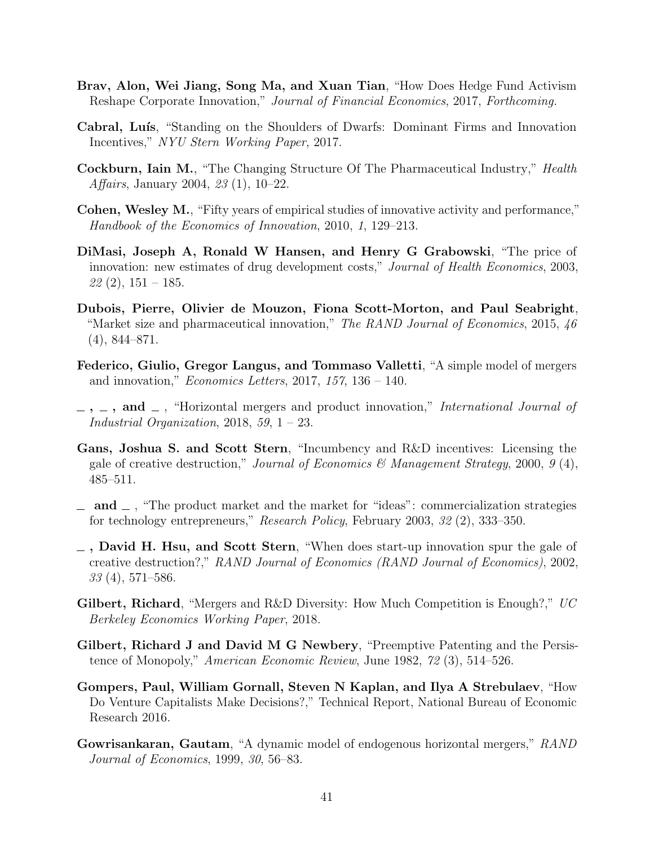- <span id="page-41-14"></span>Brav, Alon, Wei Jiang, Song Ma, and Xuan Tian, "How Does Hedge Fund Activism Reshape Corporate Innovation," Journal of Financial Economics, 2017, Forthcoming.
- <span id="page-41-9"></span>Cabral, Luís, "Standing on the Shoulders of Dwarfs: Dominant Firms and Innovation Incentives," NYU Stern Working Paper, 2017.
- <span id="page-41-12"></span>Cockburn, Iain M., "The Changing Structure Of The Pharmaceutical Industry," Health Affairs, January 2004, 23 (1), 10–22.
- <span id="page-41-4"></span>Cohen, Wesley M., "Fifty years of empirical studies of innovative activity and performance," Handbook of the Economics of Innovation, 2010, 1, 129–213.
- <span id="page-41-10"></span>DiMasi, Joseph A, Ronald W Hansen, and Henry G Grabowski, "The price of innovation: new estimates of drug development costs," Journal of Health Economics, 2003,  $22(2)$ ,  $151-185$ .
- <span id="page-41-11"></span>Dubois, Pierre, Olivier de Mouzon, Fiona Scott-Morton, and Paul Seabright, "Market size and pharmaceutical innovation," The RAND Journal of Economics, 2015, 46 (4), 844–871.
- <span id="page-41-6"></span>Federico, Giulio, Gregor Langus, and Tommaso Valletti, "A simple model of mergers and innovation," *Economics Letters*, 2017, 157, 136 – 140.
- <span id="page-41-7"></span> $\ldots$ , and  $\ldots$ , "Horizontal mergers and product innovation," International Journal of Industrial Organization, 2018, 59,  $1 - 23$ .
- <span id="page-41-5"></span>Gans, Joshua S. and Scott Stern, "Incumbency and R&D incentives: Licensing the gale of creative destruction," Journal of Economics & Management Strategy, 2000, 9 (4), 485–511.
- <span id="page-41-0"></span> $\Box$  and  $\Box$ , "The product market and the market for "ideas": commercialization strategies for technology entrepreneurs," Research Policy, February 2003, 32 (2), 333–350.
- <span id="page-41-3"></span> $\overline{\phantom{a}}$ , David H. Hsu, and Scott Stern, "When does start-up innovation spur the gale of creative destruction?," RAND Journal of Economics (RAND Journal of Economics), 2002,  $33(4)$ , 571–586.
- <span id="page-41-8"></span>**Gilbert, Richard, "**Mergers and R&D Diversity: How Much Competition is Enough?,"  $UC$ Berkeley Economics Working Paper, 2018.
- <span id="page-41-1"></span>Gilbert, Richard J and David M G Newbery, "Preemptive Patenting and the Persistence of Monopoly," American Economic Review, June 1982, 72 (3), 514–526.
- <span id="page-41-13"></span>Gompers, Paul, William Gornall, Steven N Kaplan, and Ilya A Strebulaev, "How Do Venture Capitalists Make Decisions?," Technical Report, National Bureau of Economic Research 2016.
- <span id="page-41-2"></span>Gowrisankaran, Gautam, "A dynamic model of endogenous horizontal mergers," RAND Journal of Economics, 1999, 30, 56–83.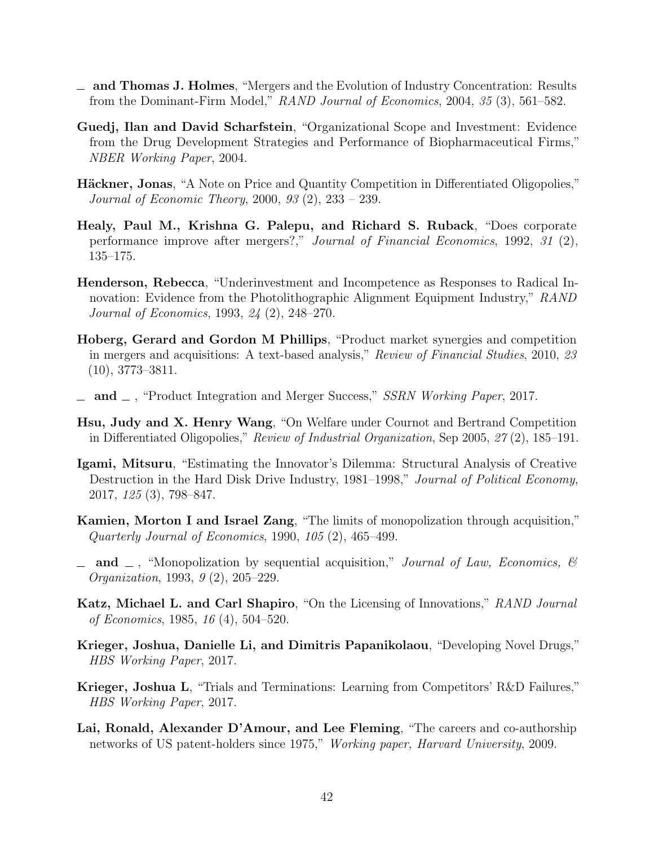- <span id="page-42-7"></span>and Thomas J. Holmes, "Mergers and the Evolution of Industry Concentration: Results from the Dominant-Firm Model," RAND Journal of Economics, 2004, 35 (3), 561–582.
- <span id="page-42-1"></span>Guedj, Ilan and David Scharfstein, "Organizational Scope and Investment: Evidence from the Drug Development Strategies and Performance of Biopharmaceutical Firms," NBER Working Paper, 2004.
- <span id="page-42-13"></span>**Häckner, Jonas,** "A Note on Price and Quantity Competition in Differentiated Oligopolies," Journal of Economic Theory, 2000, 93 (2), 233 – 239.
- <span id="page-42-2"></span>Healy, Paul M., Krishna G. Palepu, and Richard S. Ruback, "Does corporate performance improve after mergers?," Journal of Financial Economics, 1992, 31 (2), 135–175.
- <span id="page-42-8"></span>Henderson, Rebecca, "Underinvestment and Incompetence as Responses to Radical Innovation: Evidence from the Photolithographic Alignment Equipment Industry," RAND Journal of Economics, 1993, 24 (2), 248–270.
- <span id="page-42-3"></span>Hoberg, Gerard and Gordon M Phillips, "Product market synergies and competition in mergers and acquisitions: A text-based analysis," Review of Financial Studies, 2010, 23 (10), 3773–3811.
- <span id="page-42-4"></span> $\mu$  and  $\mu$ , "Product Integration and Merger Success," SSRN Working Paper, 2017.
- <span id="page-42-14"></span>Hsu, Judy and X. Henry Wang, "On Welfare under Cournot and Bertrand Competition in Differentiated Oligopolies," Review of Industrial Organization, Sep 2005, 27 (2), 185–191.
- <span id="page-42-9"></span>Igami, Mitsuru, "Estimating the Innovator's Dilemma: Structural Analysis of Creative Destruction in the Hard Disk Drive Industry, 1981–1998," Journal of Political Economy, 2017, 125 (3), 798–847.
- <span id="page-42-5"></span>Kamien, Morton I and Israel Zang, "The limits of monopolization through acquisition," Quarterly Journal of Economics, 1990, 105 (2), 465–499.
- <span id="page-42-6"></span> $\Box$  and  $\Box$ , "Monopolization by sequential acquisition," *Journal of Law, Economics, &* Organization, 1993, 9 (2), 205–229.
- <span id="page-42-10"></span>Katz, Michael L. and Carl Shapiro, "On the Licensing of Innovations," RAND Journal of Economics, 1985, 16 (4), 504–520.
- <span id="page-42-11"></span>Krieger, Joshua, Danielle Li, and Dimitris Papanikolaou, "Developing Novel Drugs," HBS Working Paper, 2017.
- <span id="page-42-0"></span>Krieger, Joshua L, "Trials and Terminations: Learning from Competitors' R&D Failures," HBS Working Paper, 2017.
- <span id="page-42-12"></span>Lai, Ronald, Alexander D'Amour, and Lee Fleming, "The careers and co-authorship networks of US patent-holders since 1975," Working paper, Harvard University, 2009.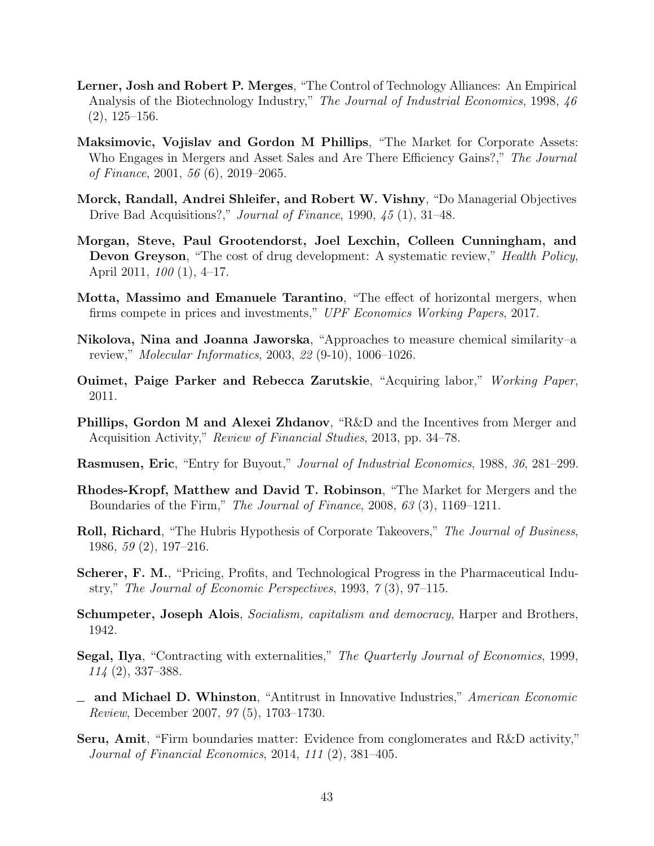- <span id="page-43-8"></span>Lerner, Josh and Robert P. Merges, "The Control of Technology Alliances: An Empirical Analysis of the Biotechnology Industry," The Journal of Industrial Economics, 1998, 46 (2), 125–156.
- <span id="page-43-4"></span>Maksimovic, Vojislav and Gordon M Phillips, "The Market for Corporate Assets: Who Engages in Mergers and Asset Sales and Are There Efficiency Gains?," The Journal of Finance, 2001, 56 (6), 2019–2065.
- <span id="page-43-2"></span>Morck, Randall, Andrei Shleifer, and Robert W. Vishny, "Do Managerial Objectives Drive Bad Acquisitions?," Journal of Finance, 1990, 45 (1), 31–48.
- <span id="page-43-10"></span>Morgan, Steve, Paul Grootendorst, Joel Lexchin, Colleen Cunningham, and Devon Greyson, "The cost of drug development: A systematic review," *Health Policy*, April 2011, 100 (1), 4–17.
- <span id="page-43-9"></span>Motta, Massimo and Emanuele Tarantino, "The effect of horizontal mergers, when firms compete in prices and investments," UPF Economics Working Papers, 2017.
- <span id="page-43-13"></span>Nikolova, Nina and Joanna Jaworska, "Approaches to measure chemical similarity–a review," Molecular Informatics, 2003, 22 (9-10), 1006–1026.
- <span id="page-43-14"></span>Ouimet, Paige Parker and Rebecca Zarutskie, "Acquiring labor," Working Paper, 2011.
- <span id="page-43-5"></span>Phillips, Gordon M and Alexei Zhdanov, "R&D and the Incentives from Merger and Acquisition Activity," Review of Financial Studies, 2013, pp. 34–78.
- <span id="page-43-15"></span>Rasmusen, Eric, "Entry for Buyout," Journal of Industrial Economics, 1988, 36, 281–299.
- <span id="page-43-3"></span>Rhodes-Kropf, Matthew and David T. Robinson, "The Market for Mergers and the Boundaries of the Firm," The Journal of Finance, 2008, 63 (3), 1169–1211.
- <span id="page-43-1"></span>Roll, Richard, "The Hubris Hypothesis of Corporate Takeovers," The Journal of Business, 1986, 59 (2), 197–216.
- <span id="page-43-11"></span>Scherer, F. M., "Pricing, Profits, and Technological Progress in the Pharmaceutical Industry," The Journal of Economic Perspectives, 1993, 7 (3), 97–115.
- <span id="page-43-0"></span>Schumpeter, Joseph Alois, *Socialism, capitalism and democracy*, Harper and Brothers, 1942.
- <span id="page-43-6"></span>Segal, Ilya, "Contracting with externalities," The Quarterly Journal of Economics, 1999, 114 (2), 337–388.
- <span id="page-43-7"></span>and Michael D. Whinston, "Antitrust in Innovative Industries," American Economic Review, December 2007, 97 (5), 1703–1730.
- <span id="page-43-12"></span>Seru, Amit, "Firm boundaries matter: Evidence from conglomerates and R&D activity," Journal of Financial Economics, 2014, 111 (2), 381–405.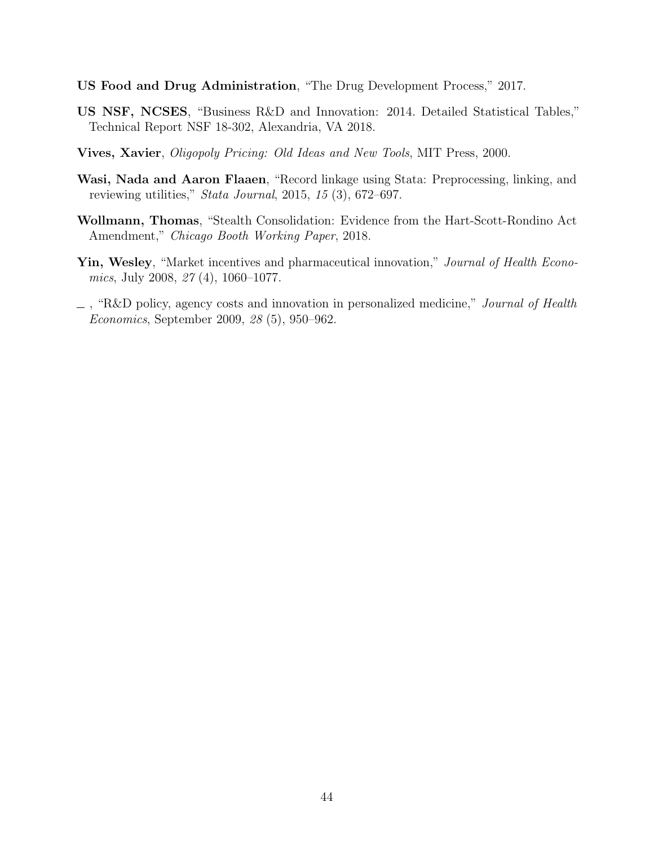- <span id="page-44-1"></span>US Food and Drug Administration, "The Drug Development Process," 2017.
- <span id="page-44-0"></span>US NSF, NCSES, "Business R&D and Innovation: 2014. Detailed Statistical Tables," Technical Report NSF 18-302, Alexandria, VA 2018.
- <span id="page-44-5"></span>Vives, Xavier, Oligopoly Pricing: Old Ideas and New Tools, MIT Press, 2000.
- <span id="page-44-6"></span>Wasi, Nada and Aaron Flaaen, "Record linkage using Stata: Preprocessing, linking, and reviewing utilities," Stata Journal, 2015, 15 (3), 672–697.
- <span id="page-44-2"></span>Wollmann, Thomas, "Stealth Consolidation: Evidence from the Hart-Scott-Rondino Act Amendment," Chicago Booth Working Paper, 2018.
- <span id="page-44-3"></span>Yin, Wesley, "Market incentives and pharmaceutical innovation," Journal of Health Economics, July 2008, 27 (4), 1060–1077.
- <span id="page-44-4"></span> $\overline{\phantom{a}}$ , "R&D policy, agency costs and innovation in personalized medicine," *Journal of Health* Economics, September 2009, 28 (5), 950–962.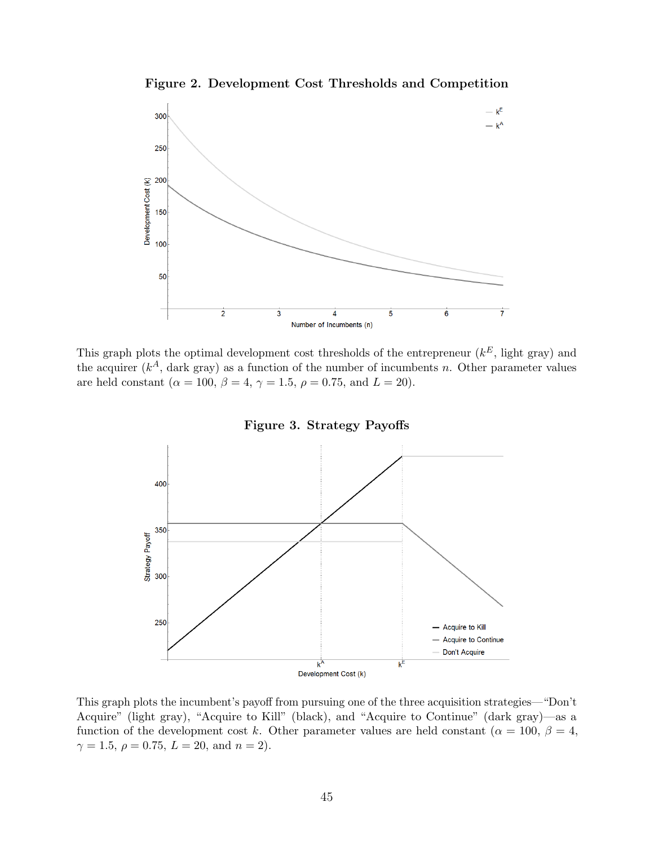Figure 2. Development Cost Thresholds and Competition

<span id="page-45-0"></span>

This graph plots the optimal development cost thresholds of the entrepreneur  $(k^E)$ , light gray) and the acquirer  $(k<sup>A</sup>$ , dark gray) as a function of the number of incumbents n. Other parameter values are held constant ( $\alpha = 100, \beta = 4, \gamma = 1.5, \rho = 0.75, \text{ and } L = 20$ ).

<span id="page-45-1"></span>

This graph plots the incumbent's payoff from pursuing one of the three acquisition strategies—"Don't Acquire" (light gray), "Acquire to Kill" (black), and "Acquire to Continue" (dark gray)—as a function of the development cost k. Other parameter values are held constant ( $\alpha = 100, \beta = 4$ ,  $\gamma = 1.5, \, \rho = 0.75, \, L = 20, \, \text{and} \, n = 2).$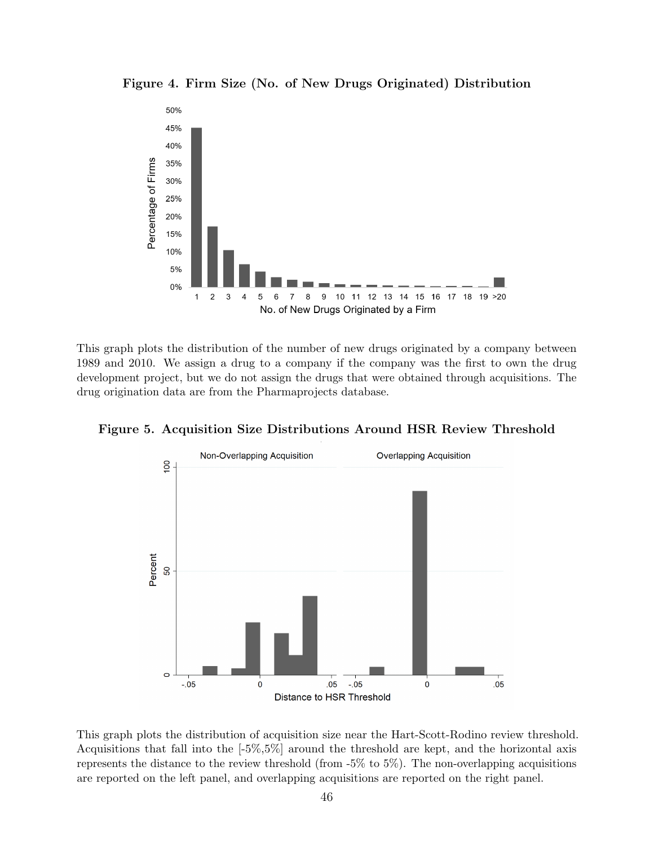<span id="page-46-0"></span>Figure 4. Firm Size (No. of New Drugs Originated) Distribution



This graph plots the distribution of the number of new drugs originated by a company between 1989 and 2010. We assign a drug to a company if the company was the first to own the drug development project, but we do not assign the drugs that were obtained through acquisitions. The drug origination data are from the Pharmaprojects database.





This graph plots the distribution of acquisition size near the Hart-Scott-Rodino review threshold. Acquisitions that fall into the [-5%,5%] around the threshold are kept, and the horizontal axis represents the distance to the review threshold (from -5% to 5%). The non-overlapping acquisitions are reported on the left panel, and overlapping acquisitions are reported on the right panel.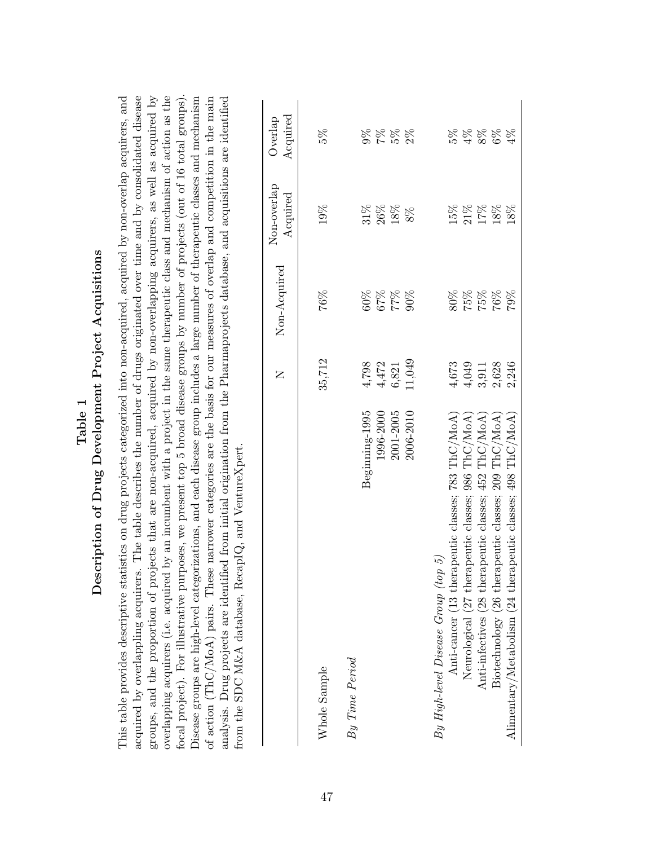<span id="page-47-0"></span>

| focal project). For illustrative purposes, we present top 5 broad disease groups by number of projects (out of 16 total groups).<br>overlapping acquirers (i.e. acquired by an incumbent with a project in the same therapeutic class and mechanism of action as the<br>The table describes the number of drugs originated over time and by consolidated disease<br>groups, and the proportion of projects that are non-acquired, acquired by non-overlapping acquirers, as well as acquired by<br>This table provides descriptive statistics on drug projects categorized into non-acquired, acquired by non-overlap acquirers, and<br>Disease groups are high-level categorizations, and each disease group includes a large number of therapeutic classes and mechanism<br>of action (ThC/MoA) pairs. These narrower categories are the basis for our measures of overlap and competition in the main<br>analysis. Drug projects are identified from initial origination from the Pharmaprojects database, and acquisitions are identified<br>from the SDC M&A database, RecapIQ, and VentureXpert.<br>acquired by overlappling acquirers. |           |                    |                         |                     |
|-----------------------------------------------------------------------------------------------------------------------------------------------------------------------------------------------------------------------------------------------------------------------------------------------------------------------------------------------------------------------------------------------------------------------------------------------------------------------------------------------------------------------------------------------------------------------------------------------------------------------------------------------------------------------------------------------------------------------------------------------------------------------------------------------------------------------------------------------------------------------------------------------------------------------------------------------------------------------------------------------------------------------------------------------------------------------------------------------------------------------------------------------|-----------|--------------------|-------------------------|---------------------|
|                                                                                                                                                                                                                                                                                                                                                                                                                                                                                                                                                                                                                                                                                                                                                                                                                                                                                                                                                                                                                                                                                                                                               | $\square$ | Non-Acquired       | Non-overlap<br>Acquired | Acquired<br>Overlap |
| Whole Sample                                                                                                                                                                                                                                                                                                                                                                                                                                                                                                                                                                                                                                                                                                                                                                                                                                                                                                                                                                                                                                                                                                                                  | 35,712    | 76%                | 19%                     | 5%                  |
| By Time Period                                                                                                                                                                                                                                                                                                                                                                                                                                                                                                                                                                                                                                                                                                                                                                                                                                                                                                                                                                                                                                                                                                                                |           |                    |                         |                     |
| Beginning-1995                                                                                                                                                                                                                                                                                                                                                                                                                                                                                                                                                                                                                                                                                                                                                                                                                                                                                                                                                                                                                                                                                                                                | 4,798     | $60\%$             | $31\%$                  | $9\%$               |
| 1996-2000                                                                                                                                                                                                                                                                                                                                                                                                                                                                                                                                                                                                                                                                                                                                                                                                                                                                                                                                                                                                                                                                                                                                     | 4,472     |                    | $26\%$                  |                     |
| 2001-2005                                                                                                                                                                                                                                                                                                                                                                                                                                                                                                                                                                                                                                                                                                                                                                                                                                                                                                                                                                                                                                                                                                                                     | 6,821     | $\frac{8}{4}$ $26$ | $18\%$                  | $\frac{28}{26}$     |
| 2006-2010                                                                                                                                                                                                                                                                                                                                                                                                                                                                                                                                                                                                                                                                                                                                                                                                                                                                                                                                                                                                                                                                                                                                     | 11,049    | 90%                | $8\%$                   | $2\%$               |
| Anti-cancer (13 therapeutic classes; 783 ThC/MoA)<br>5)<br>$By High-level Discase Group (top$                                                                                                                                                                                                                                                                                                                                                                                                                                                                                                                                                                                                                                                                                                                                                                                                                                                                                                                                                                                                                                                 | $4,673$   | 80%                | $15\%$                  | 5%                  |
| TnC/MoA)<br>Neurological (27 therapeutic classes; 986                                                                                                                                                                                                                                                                                                                                                                                                                                                                                                                                                                                                                                                                                                                                                                                                                                                                                                                                                                                                                                                                                         | 4,049     |                    | $21\%$                  | $4\%$               |
| $\rm InC/MoA'$<br>Anti-infectives (28 therapeutic classes; 452                                                                                                                                                                                                                                                                                                                                                                                                                                                                                                                                                                                                                                                                                                                                                                                                                                                                                                                                                                                                                                                                                | 3,911     | $75%$<br>75%       | $17\%$                  | $8\%$ 6%            |
| Biotechnology (26 therapeutic classes; 209 ThC/MoA)                                                                                                                                                                                                                                                                                                                                                                                                                                                                                                                                                                                                                                                                                                                                                                                                                                                                                                                                                                                                                                                                                           | 2,628     | 76%                | $18\%$                  |                     |
| TnC/MoA<br>Alimentary/Metabolism (24 therapeutic classes; 498                                                                                                                                                                                                                                                                                                                                                                                                                                                                                                                                                                                                                                                                                                                                                                                                                                                                                                                                                                                                                                                                                 | 2,246     | 79%                | $18\%$                  | $4\%$               |
|                                                                                                                                                                                                                                                                                                                                                                                                                                                                                                                                                                                                                                                                                                                                                                                                                                                                                                                                                                                                                                                                                                                                               |           |                    |                         |                     |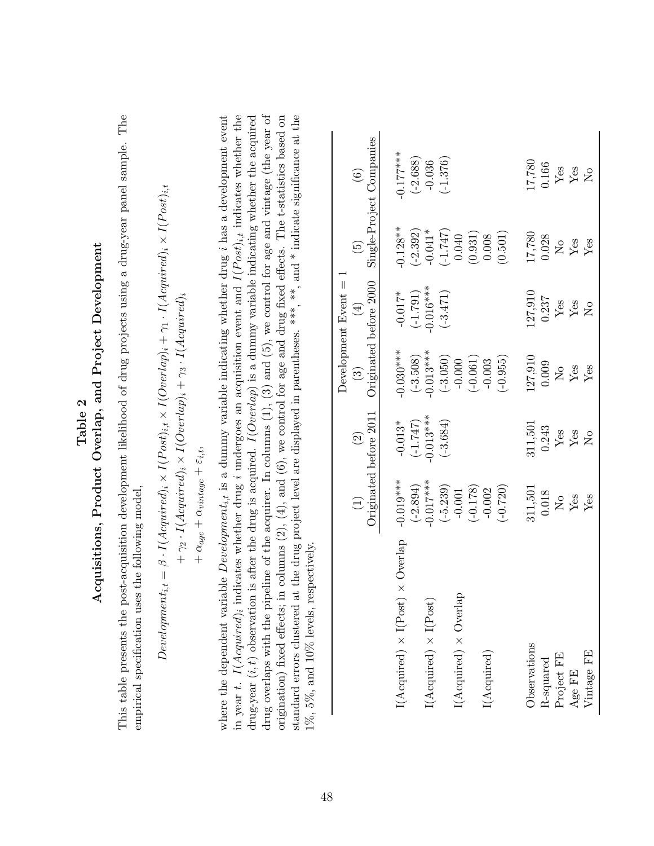| empirical specification uses the following model,                                                                                                                                                                                                                                                                                             |                                                                                                                                                 |                                         |                         |                                      |                  |                                                                                                          |
|-----------------------------------------------------------------------------------------------------------------------------------------------------------------------------------------------------------------------------------------------------------------------------------------------------------------------------------------------|-------------------------------------------------------------------------------------------------------------------------------------------------|-----------------------------------------|-------------------------|--------------------------------------|------------------|----------------------------------------------------------------------------------------------------------|
| $Development_{i,t} = \beta \cdot I(Aequired)_{i} \times I(Post)_{i,t} \times I(Overlap)_{i} + \gamma_1 \cdot I(Aequired)_{i} \times I(Post)_{i,t}$                                                                                                                                                                                            | $+ \gamma_2 \cdot I(Acquired)_i \times I(Overlap)_i + \gamma_3 \cdot I(Acquired)_i$<br>$+ \alpha_{age} + \alpha_{vintage} + \varepsilon_{i,t},$ |                                         |                         |                                      |                  |                                                                                                          |
| in year t. $I(Aequired)$ ; indicates whether drug i undergoes an acquisition event and $I(Post)_{i,t}$ indicates whether the<br>where the dependent variable $Development_{i,t}$ is a dummy variable indicating whether drug $i$ has a development event<br>drug-year $(\boldsymbol{i},t)$ observation                                        |                                                                                                                                                 |                                         |                         |                                      |                  | is after the drug is acquired. $I(Overlap)$ is a dummy variable indicating whether the acquired          |
| drug overlaps with the pipeline of the acquirer. In columns $(1)$ , $(3)$ and $(5)$ , we control for age and vintage (the year of<br>standard errors clustered at the drug project level are displayed in parentheses. ***, **, and * indicate significance at the<br>1%, 5%, and 10% levels, respectively.<br>origination) fixed effects; in |                                                                                                                                                 |                                         |                         |                                      |                  | columns $(2)$ , $(4)$ , and $(6)$ , we control for age and drug fixed effects. The t-statistics based on |
|                                                                                                                                                                                                                                                                                                                                               |                                                                                                                                                 |                                         |                         | Development $Event =$                |                  |                                                                                                          |
|                                                                                                                                                                                                                                                                                                                                               |                                                                                                                                                 | Originated before 2011<br>$\widehat{c}$ | $\widehat{\mathbb{C}}$  | Originated before 2000<br>$(\pm)$    | $\widetilde{5}$  | Single-Project Companies<br>$\odot$                                                                      |
| $\times$ Overlap<br>$I(\mbox{Acquired})\times I(\mbox{Post})$                                                                                                                                                                                                                                                                                 | $-0.019***$                                                                                                                                     | $-0.013*$                               | $-0.030***$             | $-0.017*$                            | $-0.128**$       | $-0.177***$                                                                                              |
|                                                                                                                                                                                                                                                                                                                                               | $(-2.894)$                                                                                                                                      | (1.747)                                 | $(-3.508)$              | $(-1.791)$                           | $(-2.392)$       | $(-2.688)$                                                                                               |
| $I(\mbox{Acquired})\times I(\mbox{Post})$                                                                                                                                                                                                                                                                                                     | $-0.017***$                                                                                                                                     | $-0.013***$                             | $-0.013***$             | $-0.016***$                          | $-0.041*$        | $-0.036$                                                                                                 |
| $I(\mbox{Acquired})\times\mbox{Overlap}$                                                                                                                                                                                                                                                                                                      | $(-5.239)$<br>$-0.001$                                                                                                                          | $(-3.684)$                              | $(-3.050)$<br>$-0.000$  | $(-3.471)$                           | (1.747)<br>0.040 | $(-1.376)$                                                                                               |
|                                                                                                                                                                                                                                                                                                                                               | $(-0.178)$                                                                                                                                      |                                         | $(-0.061)$              |                                      | (0.931)          |                                                                                                          |
| $I(\mbox{Acquired})$                                                                                                                                                                                                                                                                                                                          | $(-0.720)$<br>$-0.002$                                                                                                                          |                                         | $(-0.955)$<br>$-0.003$  |                                      | (0.501)<br>0.008 |                                                                                                          |
| Observations                                                                                                                                                                                                                                                                                                                                  | 311,501                                                                                                                                         | 311,501                                 | 127,910                 | 127,910                              | 17,780           | 17,780                                                                                                   |
| R-squared                                                                                                                                                                                                                                                                                                                                     | 0.018                                                                                                                                           | 0.243                                   | 0.009                   | 0.237                                | 0.028            | 0.166                                                                                                    |
| Project FE                                                                                                                                                                                                                                                                                                                                    | $\overline{M}$                                                                                                                                  | ${\rm Yes}$                             | $\overline{\mathsf{X}}$ | Yes                                  | $\overline{N}$   | Yes                                                                                                      |
| Age FE                                                                                                                                                                                                                                                                                                                                        | Yes                                                                                                                                             | ${\rm Yes}$                             | ${\rm Yes}$             | ${\rm Yes}$                          | Yes              | $Y$ es                                                                                                   |
| Vintage FE                                                                                                                                                                                                                                                                                                                                    | Yes                                                                                                                                             | $\overline{\mathsf{X}}^{\mathsf{o}}$    | Yes                     | $\overline{\mathsf{X}}^{\mathsf{o}}$ | $Y$ es           | $\overline{R}$                                                                                           |
|                                                                                                                                                                                                                                                                                                                                               |                                                                                                                                                 |                                         |                         |                                      |                  |                                                                                                          |

Table 2<br>Acquisitions, Product Overlap, and Project Development Acquisitions, Product Overlap, and Project Development This table presents the post-acquisition development likelihood of drug projects using a drug-year panel sample. The This table presents the post-acquisition development likelihood of drug projects using a drug-year panel sample. The £

<span id="page-48-0"></span>48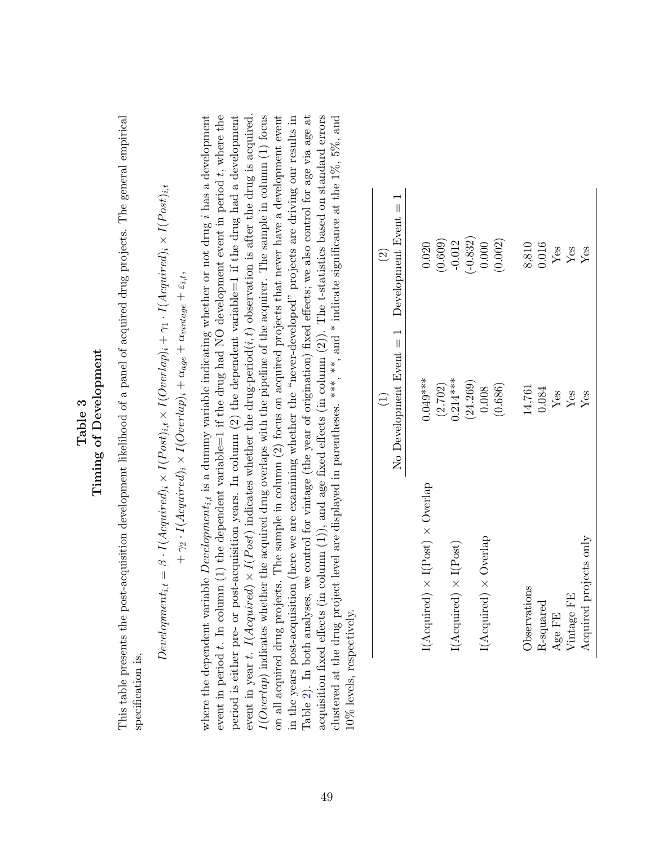### <span id="page-49-0"></span>Timing of Development Timing of Development

This table presents the post-acquisition development likelihood of a panel of acquired drug projects. The general empirical This table presents the post-acquisition development likelihood of a panel of acquired drug projects. The general empirical specification is, specification is,

Development<sub>i,t</sub> = 
$$
\beta \cdot I(\text{Acquired})_i \times I(\text{Post})_{i,t} \times I(\text{Overlap})_i + \gamma_1 \cdot I(\text{Acquired})_i \times I(\text{Post})_{i,t}
$$

\n $+ \gamma_2 \cdot I(\text{Acquired})_i \times I(\text{Overlap})_i + \alpha_{age} + \alpha_{vimage} + \varepsilon_{i,t},$ 

event in period  $t$ . In column (1) the dependent variable=1 if the drug had NO development event in period  $t$ , where the  $I(Overlap)$  indicates whether the acquired drug overlaps with the pipeline of the acquirer. The sample in column  $(1)$  focus where the dependent variable  $Development_{i,t}$  is a dummy variable indicating whether or not drug *i* has a development period is either pre- or post-acquisition years. In column  $(2)$  the dependent variable=1 if the drug had a development event in year t. I(Acquired) × I(Post) indicates whether the drug-period( $i, t$ ) observation is after the drug is acquired. event in year t. I(Acquired)  $\times$  I(Post) indicates whether the drug-period(i, t) observation is after the drug is acquired.<br>  $\sim$ on all acquired drug projects. The sample in column (2) focus on acquired projects that never have a development event in the years post-acquisition (here we are examining whether the "never-developed" projects are driving our results in Table 2). In both analyses, we control for vintage (the year of origination) fixed effects; we also control for age via age at acquisition fixed effects (in column  $(1)$ ), and age fixed effects (in column  $(2)$ ). The t-statistics based on standard errors clustered at the drug project level are displayed in parentheses. \*\*\*, \*\*, and \* indicate significance at the  $1\%$ ,  $5\%$ , and where the dependent variable  $Development_{i,t}$  is a dummy variable indicating whether or not drug i has a development event in period t. In column (1) the dependent variable=1 if the drug had NO development event in period t, where the period is either pre- or post-acquisition years. In column (2) the dependent variable=1 if the drug had a development  $I(Overlap)$  indicates whether the acquired drug overlaps with the pipeline of the acquirer. The sample in column (1) focus on all acquired drug projects. The sample in column (2) focus on acquired projects that never have a development event in the years post-acquisition (here we are examining whether the "never-developed" projects are driving our results in Table [2\)](#page-48-0). In both analyses, we control for vintage (the year of origination) fixed effects; we also control for age via age at acquisition fixed effects (in column (1)), and age fixed effects (in column (2)). The t-statistics based on standard errors clustered at the drug project level are displayed in parentheses. \*\*\*, and \* indicate significance at the  $1\%$ ,  $5\%$ , and 10% levels, respectively. 10% levels, respectively.

|                                             | $\begin{pmatrix} 1 \end{pmatrix}$                  | $\odot$                 |
|---------------------------------------------|----------------------------------------------------|-------------------------|
|                                             | No Development Event $= 1$ Development Event $= 1$ |                         |
|                                             |                                                    |                         |
| $I(Acquired) \times I(Post) \times Overlap$ | $0.049***$                                         | 0.020                   |
|                                             | (2.702)                                            | $(0.609)$<br>-0.012     |
| $I(Acquired) \times I(Post)$                | $0.214***$                                         |                         |
|                                             | (24.269)                                           | $(-0.832)$              |
| $I(Acquired) \times Overlap$                | 0.008                                              | 0.000                   |
|                                             | (0.686)                                            | (0.002)                 |
|                                             |                                                    |                         |
| Observations                                | 14,761                                             | 8,810                   |
| R-squared                                   | 0.084                                              | 0.016                   |
| Age FE                                      | $\rm Yes$                                          | ${\rm Yes}$             |
| Vintage FE                                  | $Y_{\text{ess}}$                                   | $\mathbf{Y}\mathsf{es}$ |
| Acquired projects only                      |                                                    | Yes                     |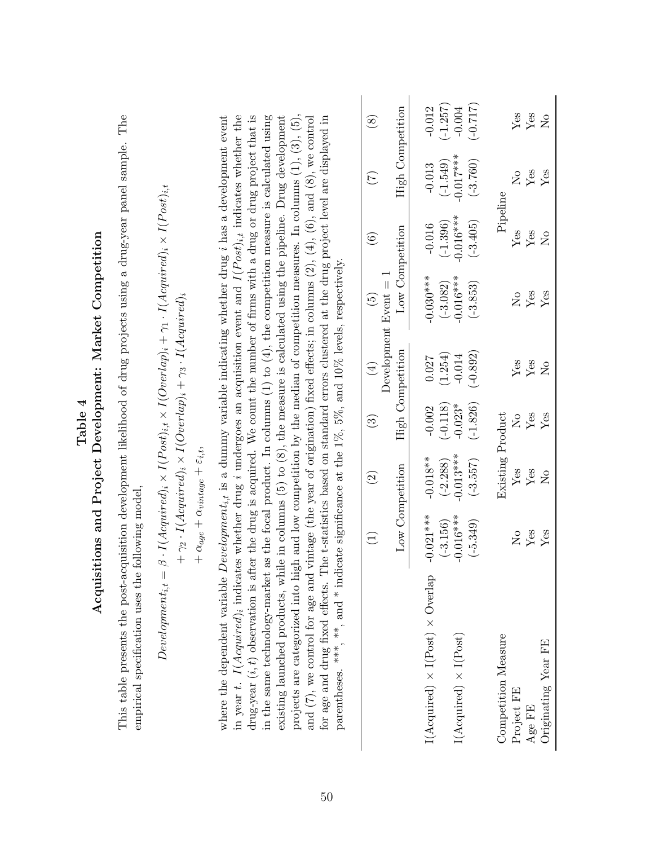<span id="page-50-0"></span>

|                                                                                                                                                                                                                                                                                                                                                                                                                                                                                                                                                                                                                                                                  |                                                        |                                                                                                                                                  | Table~4                                           |                                            | Acquisitions and Project Development: Market Competition                                                                 |                                                      |                                                     |                                                  |
|------------------------------------------------------------------------------------------------------------------------------------------------------------------------------------------------------------------------------------------------------------------------------------------------------------------------------------------------------------------------------------------------------------------------------------------------------------------------------------------------------------------------------------------------------------------------------------------------------------------------------------------------------------------|--------------------------------------------------------|--------------------------------------------------------------------------------------------------------------------------------------------------|---------------------------------------------------|--------------------------------------------|--------------------------------------------------------------------------------------------------------------------------|------------------------------------------------------|-----------------------------------------------------|--------------------------------------------------|
| This table presents the post-acquisition development likelihood of drug projects using a drug-year panel sample.<br>empirical specification uses the following model,                                                                                                                                                                                                                                                                                                                                                                                                                                                                                            |                                                        |                                                                                                                                                  |                                                   |                                            |                                                                                                                          |                                                      |                                                     | The                                              |
| $\label{eq:level} Development_{i,t} = % \begin{cases} \sum_{i=1}^n \left\vert \rho^{n-1}_i \right\vert & \text{if } i \in I_{i,t} \end{cases} % \vspace{-1.5mm}$                                                                                                                                                                                                                                                                                                                                                                                                                                                                                                 |                                                        | $+ \gamma_2 \cdot I(Aequired)_{i} \times I(Overlap)_{i} + \gamma_3 \cdot I(Aequired)_{i}$<br>$+\alpha_{age}+\alpha_{vintage}+\varepsilon_{i,t},$ |                                                   |                                            | $\beta \cdot I(Aequired)_i \times I(Post)_{i,t} \times I(Overlap)_i + \gamma_1 \cdot I(Aequired)_i \times I(Post)_{i,t}$ |                                                      |                                                     |                                                  |
| where the dependent variable $Development_{i,t}$ is a dummy variable indicating whether drug <i>i</i> has a development event<br>in year t. $I(Acquired)_i$ indicates whether drug i undergoes an acquisition event and $I(Post)_{i,t}$ indicates whether the<br>drug-year $(i, t)$ observation is after the drug is acquired. We count the number of firms with a drug or drug project that is<br>in the same technology-market                                                                                                                                                                                                                                 |                                                        |                                                                                                                                                  |                                                   |                                            | as the focal product. In columns $(1)$ to $(4)$ , the competition measure is calculated using                            |                                                      |                                                     |                                                  |
| projects are categorized into high and low competition by the median of competition measures. In columns $(1)$ , $(3)$ , $(5)$ ,<br>existing launched products, while in columns $(5)$ to $(8)$ , the measure is calculated using the pipeline. Drug development<br>for age and drug fixed effects. The t-statistics based on standard errors clustered at the drug project level are displayed in<br>and $(7)$ , we control for age and vintage (the year of origination) fixed effects; in columns $(2)$ , $(4)$ , $(6)$ , and $(8)$ , we control<br>parentheses. ***, **, and * indicate significance at the $1\%$ , $5\%$ , and $10\%$ levels, respectively. |                                                        |                                                                                                                                                  |                                                   |                                            |                                                                                                                          |                                                      |                                                     |                                                  |
|                                                                                                                                                                                                                                                                                                                                                                                                                                                                                                                                                                                                                                                                  | $\widehat{\Xi}$                                        | $\widehat{\infty}$                                                                                                                               | $\widehat{\mathbb{G}}$                            | $(\pm)$                                    | Development $Event = 1$<br>$\widetilde{G}$                                                                               | $\widehat{6}$                                        | $(\tilde{\zeta})$                                   | $\circledS$                                      |
|                                                                                                                                                                                                                                                                                                                                                                                                                                                                                                                                                                                                                                                                  | Low Competition                                        |                                                                                                                                                  | High Competition                                  |                                            | Low Competition                                                                                                          |                                                      | High Competition                                    |                                                  |
| $I(\text{Acquired}) \times I(\text{Post}) \times \text{Overallap}$<br>$I(Aequired) \times I(Post)$                                                                                                                                                                                                                                                                                                                                                                                                                                                                                                                                                               | $-0.021***$<br>$-0.016***$<br>$(-3.156)$<br>$(-5.349)$ | $-0.013***$<br>$-0.018**$<br>$(-2.288)$<br>$(-3.557)$                                                                                            | $(-0.118)$<br>$(-1.826)$<br>$-0.023*$<br>$-0.002$ | $(-0.892)$<br>(1.254)<br>$-0.014$<br>0.027 | $-0.030***$<br>$-0.016***$<br>$(-3.082)$<br>$(-3.853)$                                                                   | $-0.016***$<br>$(-1.396)$<br>$(-3.405)$<br>$-0.016$  | $-0.017***$<br>$(-3.760)$<br>$(-1.549)$<br>$-0.013$ | $(-0.717)$<br>$(-1.257)$<br>$-0.012$<br>$-0.004$ |
| Competition Measure<br>Originating Year FE<br>Project FE<br>Age FE                                                                                                                                                                                                                                                                                                                                                                                                                                                                                                                                                                                               | Yes<br>Yes<br>$\mathsf{S}^{\mathsf{O}}$                | Existing Product<br>$Y$ es<br>Yes<br>$\overline{M}$                                                                                              | Yes<br>Yes<br>$\mathsf{S}^{\mathsf{O}}$           | Yes<br>${\rm Yes}$<br>$\overline{S}$       | ${\rm Yes}$<br>Yes<br>$\mathsf{S}^{\mathsf{O}}$                                                                          | Pipeline<br>$Y$ es<br>Yes<br>$\overline{\mathsf{X}}$ | ${\rm Yes}$<br>Yes<br>$\overline{\mathsf{z}}$       | Yes<br>${\rm Yes}$<br>$\overline{R}$             |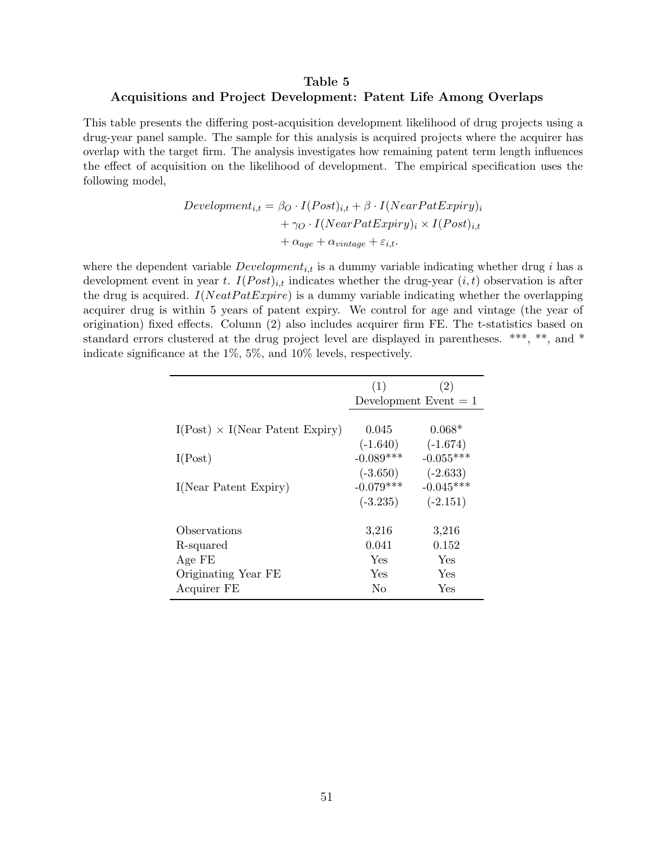### <span id="page-51-0"></span>Table 5 Acquisitions and Project Development: Patent Life Among Overlaps

This table presents the differing post-acquisition development likelihood of drug projects using a drug-year panel sample. The sample for this analysis is acquired projects where the acquirer has overlap with the target firm. The analysis investigates how remaining patent term length influences the effect of acquisition on the likelihood of development. The empirical specification uses the following model,

$$
Development_{i,t} = \beta_O \cdot I(Post)_{i,t} + \beta \cdot I(NearPatExpiry)_i
$$

$$
+ \gamma_O \cdot I(NearPatExpiry)_i \times I(Post)_{i,t}
$$

$$
+ \alpha_{age} + \alpha_{vintage} + \varepsilon_{i,t}.
$$

where the dependent variable  $Development_{i,t}$  is a dummy variable indicating whether drug i has a development event in year t.  $I(Post)_{i,t}$  indicates whether the drug-year  $(i, t)$  observation is after the drug is acquired.  $I(NeatPatExpire)$  is a dummy variable indicating whether the overlapping acquirer drug is within 5 years of patent expiry. We control for age and vintage (the year of origination) fixed effects. Column (2) also includes acquirer firm FE. The t-statistics based on standard errors clustered at the drug project level are displayed in parentheses. \*\*\*, \*\*, and \* indicate significance at the 1%, 5%, and 10% levels, respectively.

|                                         | (1)                                     | (2)                                     |
|-----------------------------------------|-----------------------------------------|-----------------------------------------|
|                                         |                                         | Development Event $= 1$                 |
| $I(Post) \times I(Near Patent)$ Expiry) | 0.045<br>$(-1.640)$                     | $0.068*$<br>$(-1.674)$                  |
| I(Post)                                 | $-0.089***$                             | $-0.055***$                             |
| I(Near Patent Expiry)                   | $(-3.650)$<br>$-0.079***$<br>$(-3.235)$ | $(-2.633)$<br>$-0.045***$<br>$(-2.151)$ |
| Observations                            | 3,216                                   | 3,216                                   |
| R-squared                               | 0.041                                   | 0.152                                   |
| Age FE                                  | Yes                                     | Yes                                     |
| Originating Year FE                     | Yes                                     | Yes                                     |
| Acquirer FE                             | No                                      | Yes                                     |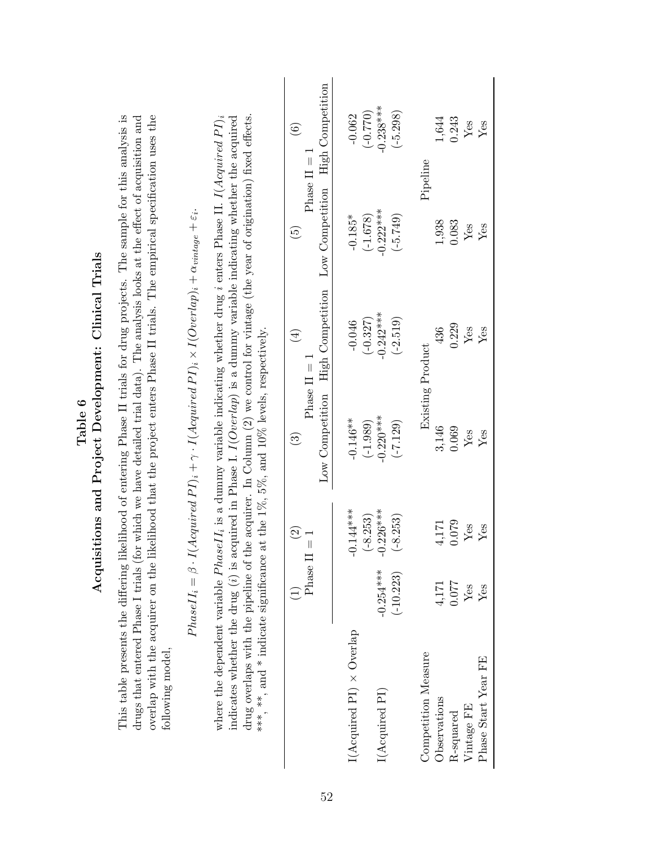<span id="page-52-0"></span>

|                                                       |                                                                                                                                                                                                                                                                                                                                                                                            |                                                                                                                |                                                                                                                                                                                                                                                                                                                                                                                                         | <b>High Competition</b><br>$\odot$                                 | $-0.238***$<br>(0.770)<br>$(-5.298)$<br>$-0.062$      | 1,644<br>0.243<br>Yes<br>${\rm Yes}$                                                     |
|-------------------------------------------------------|--------------------------------------------------------------------------------------------------------------------------------------------------------------------------------------------------------------------------------------------------------------------------------------------------------------------------------------------------------------------------------------------|----------------------------------------------------------------------------------------------------------------|---------------------------------------------------------------------------------------------------------------------------------------------------------------------------------------------------------------------------------------------------------------------------------------------------------------------------------------------------------------------------------------------------------|--------------------------------------------------------------------|-------------------------------------------------------|------------------------------------------------------------------------------------------|
|                                                       | This table presents the differing likelihood of entering Phase II trials for drug projects. The sample for this analysis is<br>overlap with the acquirer on the likelihood that the project enters Phase II trials. The empirical specification uses the<br>drugs that entered Phase I trials (for which we have detailed trial data). The analysis looks at the effect of acquisition and |                                                                                                                | drug overlaps with the pipeline of the acquirer. In Column (2) we control for vintage (the year of origination) fixed effects.<br>where the dependent variable $PhaseII_i$ is a dummy variable indicating whether drug <i>i</i> enters Phase II. I(Acquired PI) <sub>i</sub><br>indicates whether the drug (i) is acquired in Phase I. $I(Overlap)$ is a dummy variable indicating whether the acquired | $Phase II = 1$<br>Low Competition<br>$\widetilde{\mathbf{e}}$      | $-0.222***$<br>$(-1.678)$<br>$(-5.749)$<br>$-0.185*$  | Pipeline<br>1,938<br>0.083<br>Yes<br>${\rm Yes}$                                         |
| Acquisitions and Project Development: Clinical Trials |                                                                                                                                                                                                                                                                                                                                                                                            | $Acquired\,PI)_i + \gamma\cdot I (Acquired\,PI)_i \times I (Overlap)_i + \alpha_{vin \, age} + \varepsilon_i.$ |                                                                                                                                                                                                                                                                                                                                                                                                         | High Competition<br>$\left( \frac{4}{2} \right)$<br>Phase $II = 1$ | $-0.242***$<br>$(-2.519)$<br>$(-0.327)$<br>$-0.046$   | 0.229<br>436<br>${\rm Yes}$<br>$Y_{\rm \small \textrm{ess}}$<br>Existing Product         |
| Table 6                                               |                                                                                                                                                                                                                                                                                                                                                                                            |                                                                                                                | at the $1\%$ , $5\%$ , and $10\%$ levels, respectively.                                                                                                                                                                                                                                                                                                                                                 | Low Competition<br>$\widehat{\mathbb{G}}$                          | $-0.220***$<br>$-0.146**$<br>$(-1.989)$<br>$(-7.129)$ | 3,146<br>0.069<br>Yes<br>$Y_{\rm \small \textrm{ess}}$                                   |
|                                                       |                                                                                                                                                                                                                                                                                                                                                                                            |                                                                                                                |                                                                                                                                                                                                                                                                                                                                                                                                         | $\widehat{\mathfrak{O}}$<br>$\frac{1}{\sqrt{2}}$                   | $-0.144***$<br>$-0.226***$<br>$-8.253$<br>$-8.253$    | 0.079<br>4,171<br>Yes<br>${\rm Yes}$                                                     |
|                                                       |                                                                                                                                                                                                                                                                                                                                                                                            | $Phase II_i = \beta \cdot I$                                                                                   |                                                                                                                                                                                                                                                                                                                                                                                                         | Phase II                                                           | $-0.254***$<br>$(-10.223)$                            | 120.0<br>$4,\!171$<br>Yes<br>Yes                                                         |
|                                                       | following model,                                                                                                                                                                                                                                                                                                                                                                           |                                                                                                                |                                                                                                                                                                                                                                                                                                                                                                                                         |                                                                    | $I(Acquired \, PI) \times Overlap$<br>I(Acquired PI)  | Competition Measure<br>Phase Start Year FE<br>Observations<br>Vintage FE<br>$R$ -squared |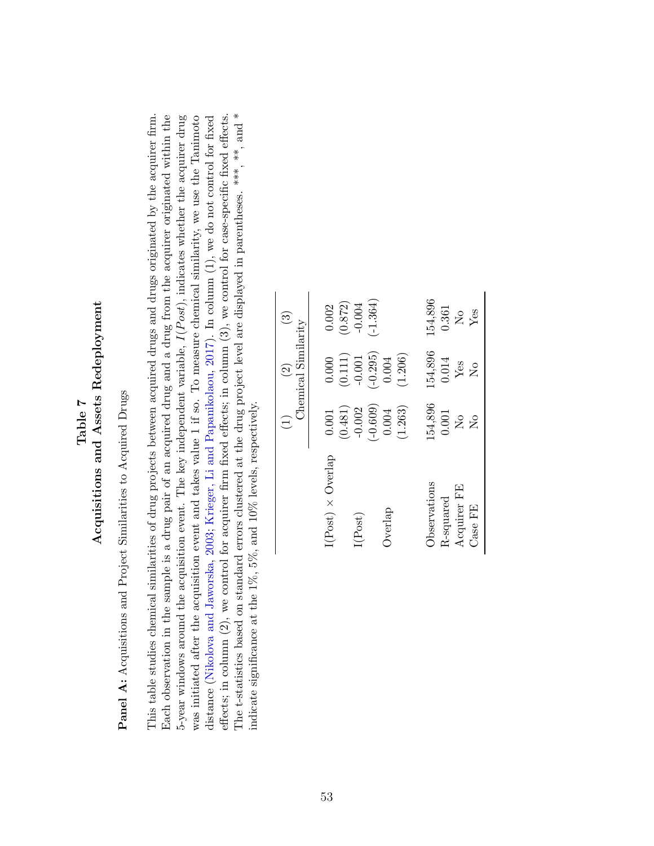## Table 7<br>Acquisitions and Assets Redeployment Acquisitions and Assets Redeployment

<span id="page-53-0"></span>**Panel A:** Acquisitions and Project Similarities to Acquired Drugs Panel A: Acquisitions and Project Similarities to Acquired Drugs

The t-statistics based on standard errors clustered at the drug project level are displayed in parentheses. \*\*\*, \*\*, and \* The t-statistics based on standard errors clustered at the drug project level are displayed in parentheses. \*\*\*, \*\*, and \* This table studies chemical similarities of drug projects between acquired drugs and drugs originated by the acquirer firm. Each observation in the sample is a drug pair of an acquired drug and a drug from the acquirer originated within the 5-year windows around the acquisition event. The key independent variable,  $I(Post)$ , indicates whether the acquirer drug was initiated after the acquisition event and takes value 1 if so. To measure chemical similarity, we use the Tanimoto effects; in column  $(2)$ , we control for acquirer firm fixed effects; in column  $(3)$ , we control for case-specific fixed effects. This table studies chemical similarities of drug projects between acquired drugs and drugs originated by the acquirer firm. distance (Nikolova and Jaworska, 2003; Krieger, Li and Papanikolaou, 2017). In column (1), we do not control for fixed effects; in column (2), we control for acquirer firm fixed effects; in column (3), we control for case-specific fixed effects. Each observation in the sample is a drug pair of an acquired drug and a drug from the acquirer originated within the 5-year windows around the acquisition event. The key independent variable,  $I(Post)$ , indicates whether the acquirer drug was initiated after the acquisition event and takes value 1 if so. To measure chemical similarity, we use the Tanimoto distance [\(Nikolova](#page-43-13) and Jaworska, [2003;](#page-43-13) Krieger, Li and [Papanikolaou,](#page-42-11) [2017\)](#page-42-11). In column (1), we do not control for fixed indicate significance at the 1%, 5%, and 10% levels, respectively. indicate significance at the 1%, 5%, and 10% levels, respectively.

|                                                     | $\overline{1}$                                                                                               | Chemical Similarity<br>$\widehat{2}$      | ನ                                                               |
|-----------------------------------------------------|--------------------------------------------------------------------------------------------------------------|-------------------------------------------|-----------------------------------------------------------------|
| $I(Post) \times Overlap$                            | $0.001\,$                                                                                                    | 0.000                                     | 0.002                                                           |
| I(Post)                                             | $(-0.609)$<br>$-0.002$<br>(0.481)                                                                            | $-0.295$<br>(0.111)<br>$-0.001$           | $(-1.364)$<br>(0.872)<br>$-0.004$                               |
| Overlap                                             | (1.263)<br>0.004                                                                                             | (1.206)<br>0.004                          |                                                                 |
| Observations<br>Acquirer FE<br>R-squared<br>Case FE | 154,896<br>0.001<br>$\rm \stackrel{\circ}{\rm \stackrel{\circ}{\rm \scriptscriptstyle M}}$<br>$\overline{R}$ | 154,896<br>0.014<br>Yes<br>$\overline{S}$ | 154,896<br>0.361<br>Yes<br>$\overline{\mathsf{X}}^{\mathsf{o}}$ |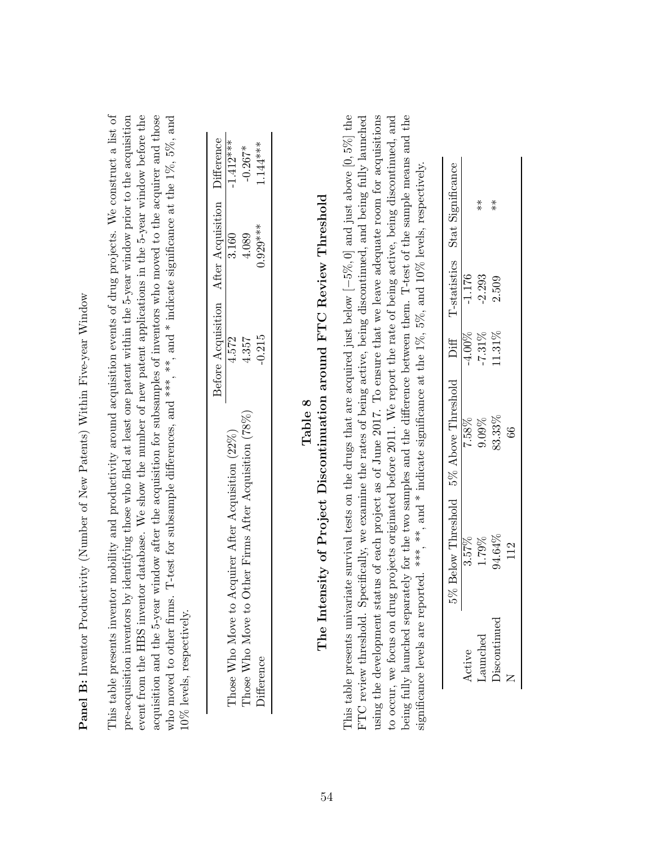<span id="page-54-0"></span>**Panel B:** Inventor Productivity (Number of New Patents) Within Five-year Window Panel B: Inventor Productivity (Number of New Patents) Within Five-year Window This table presents inventor mobility and productivity around acquisition events of drug projects. We construct a list of event from the HBS inventor database. We show the number of new patent applications in the 5-year window before the acquisition and the 5-year window after the acquisition for subsamples of inventors who moved to the acquirer and those This table presents inventor mobility and productivity around acquisition events of drug projects. We construct a list of pre-acquisition inventors by identifying those who filed at least one patent within the 5-year window prior to the acquisition who moved to other firms. T-test for subsample differences, and \*\*\*,  $**$ , and \* indicate significance at the  $1\%$ ,  $5\%$ , and pre-acquisition inventors by identifying those who filed at least one patent within the 5-year window prior to the acquisition event from the HBS inventor database. We show the number of new patent applications in the 5-year window before the acquisition and the 5-year window after the acquisition for subsamples of inventors who moved to the acquirer and those who moved to other firms. T-test for subsample differences, and \*\*\*, and \* indicate significance at the  $1\%$ ,  $5\%$ , and 10% levels, respectively. 10% levels, respectively.

|                                                          |       | Before Acquisition After Acquisition Difference |            |
|----------------------------------------------------------|-------|-------------------------------------------------|------------|
| to Acquirer After Acquisition (22%)<br>Those Who Move    | 4.572 | 3.160                                           | $1.412***$ |
| to Other Firms After Acquisition (78%)<br>Those Who Move | 4.357 | 4.089                                           | $-0.267*$  |
| <b>Difference</b>                                        | 0.215 | $0.929***$                                      | $.144***$  |

# The Intensity of Project Discontinuation around FTC Review Threshold<br>The Intensity of Project Discontinuation around FTC Review Threshold The Intensity of Project Discontinuation around FTC Review Threshold

This table presents univariate survival tests on the drugs that are acquired just below  $[-5\%, 0]$  and just above  $[0, 5\%]$  the using the development status of each project as of June 2017. To ensure that we leave adequate room for acquisitions FTC review threshold. Specifically, we examine the rates of being active, being discontinued, and being fully launched to occur, we focus on drug projects originated before 2011. We report the rate of being active, being discontinued, and being fully launched separately for the two samples and the difference between them. T-test of the sample means and the This table presents univariate survival tests on the drugs that are acquired just below [−5%, 0] and just above [0, 5%] the FTC review threshold. Specifically, we examine the rates of being active, being discontinued, and being fully launched using the development status of each project as of June 2017. To ensure that we leave adequate room for acquisitions to occur, we focus on drug projects originated before 2011. We report the rate of being active, being discontinued, and being fully launched separately for the two samples and the difference between them. T-test of the sample means and the significance levels are reported. \*\*\*, \*\*, and \* indicate significance at the  $1\%$ ,  $5\%$ , and  $10\%$  levels, respectively, significance levels are reported. \*\*\*, \*\*, and \* indicate significance at the 1%, 5%, and 10% levels, respectively.

| Stat Significanc             |                         | $\stackrel{*}{\ast}$                | $*$                                        |     |
|------------------------------|-------------------------|-------------------------------------|--------------------------------------------|-----|
| T-statistics                 | $\frac{-1.176}{-2.293}$ |                                     | 2.509                                      |     |
|                              |                         | $-4.00\%$<br>$-7.31\%$<br>$11.31\%$ |                                            |     |
| 5% Above Threshold Diff      |                         | 7.58%<br>9.09%<br>33.33%            |                                            | ತಿ  |
| Below Threshold<br>.<br>ಶ್ರೇ |                         |                                     | $\frac{3.57\%}{1.79\%}$<br>1.79%<br>94.64% | 112 |
|                              |                         | aunched                             | iscontinue                                 |     |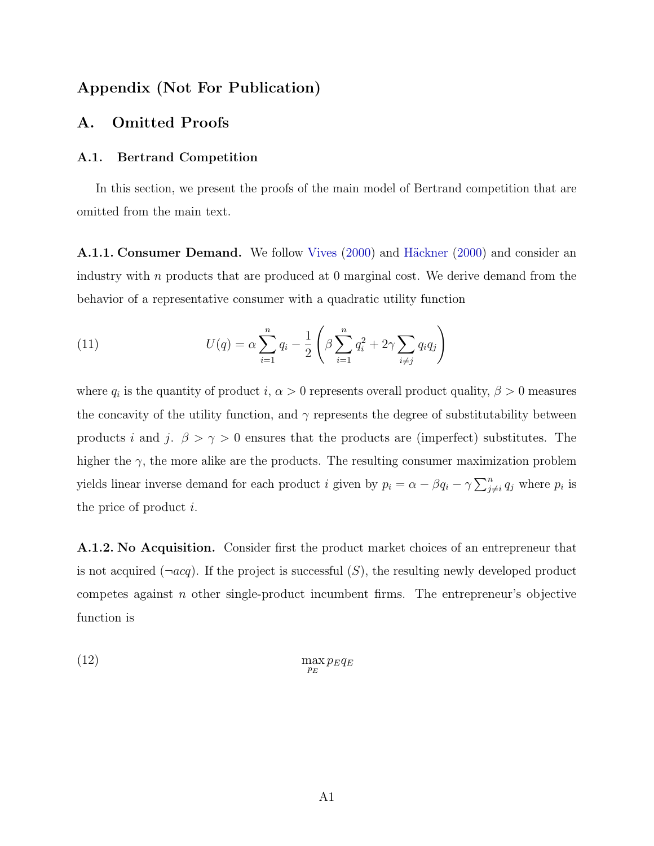### Appendix (Not For Publication)

### <span id="page-55-0"></span>A. Omitted Proofs

### A.1. Bertrand Competition

In this section, we present the proofs of the main model of Bertrand competition that are omitted from the main text.

**A.1.1. Consumer Demand.** We follow [Vives](#page-44-5) [\(2000\)](#page-42-13) and Häckner (2000) and consider an industry with  $n$  products that are produced at 0 marginal cost. We derive demand from the behavior of a representative consumer with a quadratic utility function

(11) 
$$
U(q) = \alpha \sum_{i=1}^{n} q_i - \frac{1}{2} \left( \beta \sum_{i=1}^{n} q_i^2 + 2\gamma \sum_{i \neq j} q_i q_j \right)
$$

where  $q_i$  is the quantity of product  $i, \alpha > 0$  represents overall product quality,  $\beta > 0$  measures the concavity of the utility function, and  $\gamma$  represents the degree of substitutability between products i and j.  $\beta > \gamma > 0$  ensures that the products are (imperfect) substitutes. The higher the  $\gamma$ , the more alike are the products. The resulting consumer maximization problem yields linear inverse demand for each product i given by  $p_i = \alpha - \beta q_i - \gamma \sum_{j \neq i}^n q_j$  where  $p_i$  is the price of product i.

A.1.2. No Acquisition. Consider first the product market choices of an entrepreneur that is not acquired  $(\neg acq)$ . If the project is successful  $(S)$ , the resulting newly developed product competes against  $n$  other single-product incumbent firms. The entrepreneur's objective function is

$$
\max_{p_E} p_E q_E
$$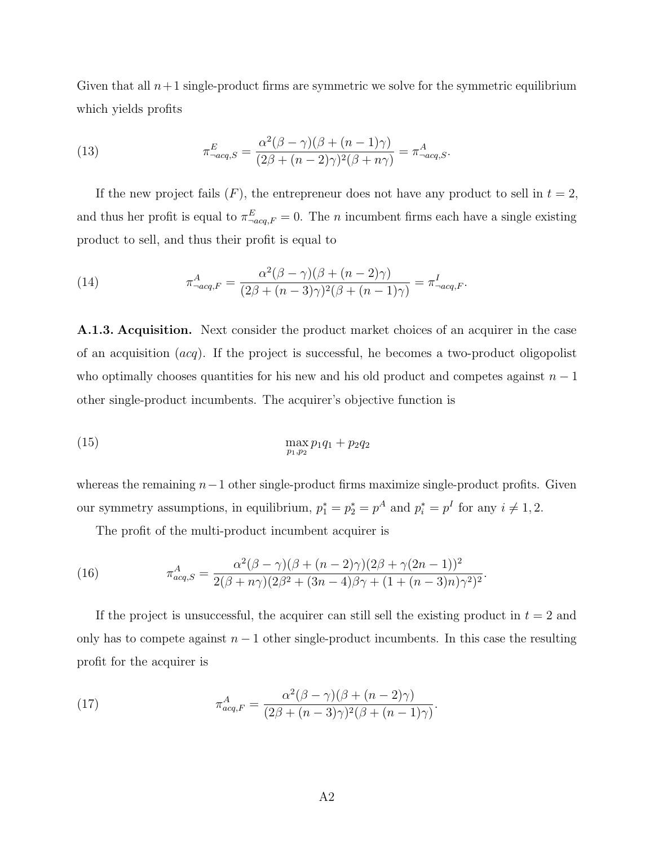Given that all  $n+1$  single-product firms are symmetric we solve for the symmetric equilibrium which yields profits

(13) 
$$
\pi_{-acq,S}^{E} = \frac{\alpha^2(\beta - \gamma)(\beta + (n-1)\gamma)}{(2\beta + (n-2)\gamma)^2(\beta + n\gamma)} = \pi_{-acq,S}^{A}.
$$

If the new project fails  $(F)$ , the entrepreneur does not have any product to sell in  $t = 2$ , and thus her profit is equal to  $\pi_{\neg acq,F}^E = 0$ . The *n* incumbent firms each have a single existing product to sell, and thus their profit is equal to

(14) 
$$
\pi_{\neg acq,F}^A = \frac{\alpha^2(\beta - \gamma)(\beta + (n-2)\gamma)}{(2\beta + (n-3)\gamma)^2(\beta + (n-1)\gamma)} = \pi_{\neg acq,F}^I.
$$

A.1.3. Acquisition. Next consider the product market choices of an acquirer in the case of an acquisition  $(acq)$ . If the project is successful, he becomes a two-product oligopolist who optimally chooses quantities for his new and his old product and competes against  $n-1$ other single-product incumbents. The acquirer's objective function is

(15) 
$$
\max_{p_1, p_2} p_1 q_1 + p_2 q_2
$$

whereas the remaining  $n-1$  other single-product firms maximize single-product profits. Given our symmetry assumptions, in equilibrium,  $p_1^* = p_2^* = p^A$  and  $p_i^* = p^I$  for any  $i \neq 1, 2$ .

The profit of the multi-product incumbent acquirer is

(16) 
$$
\pi_{acq,S}^A = \frac{\alpha^2 (\beta - \gamma)(\beta + (n-2)\gamma)(2\beta + \gamma(2n-1))^2}{2(\beta + n\gamma)(2\beta^2 + (3n-4)\beta\gamma + (1 + (n-3)n)\gamma^2)^2}
$$

If the project is unsuccessful, the acquirer can still sell the existing product in  $t = 2$  and only has to compete against  $n - 1$  other single-product incumbents. In this case the resulting profit for the acquirer is

.

(17) 
$$
\pi_{acq,F}^A = \frac{\alpha^2(\beta - \gamma)(\beta + (n-2)\gamma)}{(2\beta + (n-3)\gamma)^2(\beta + (n-1)\gamma)}.
$$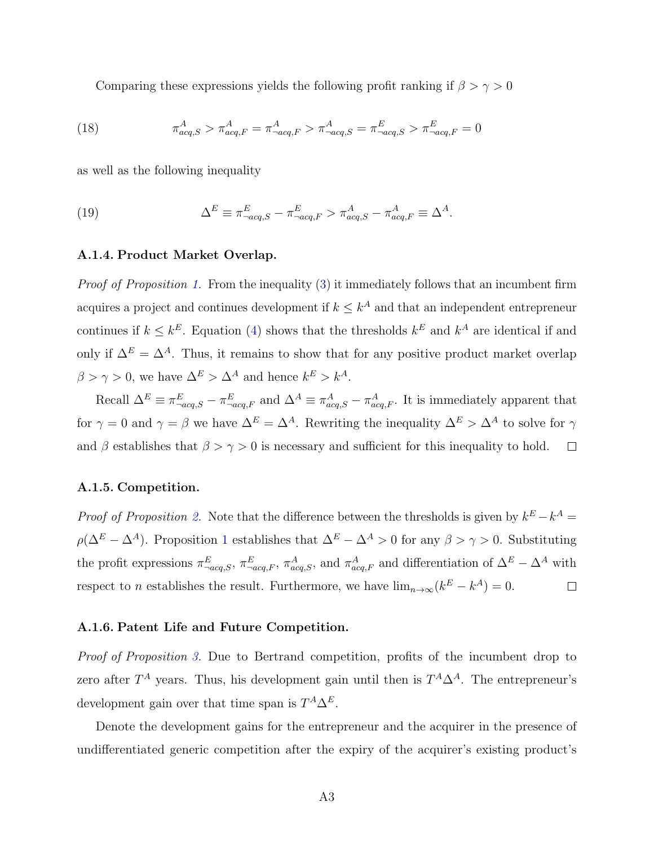Comparing these expressions yields the following profit ranking if  $\beta > \gamma > 0$ 

(18) 
$$
\pi_{acq,S}^{A} > \pi_{acq,F}^{A} = \pi_{-acq,F}^{A} > \pi_{-acq,S}^{A} = \pi_{-acq,S}^{E} > \pi_{-acq,F}^{E} = 0
$$

as well as the following inequality

(19) 
$$
\Delta^E \equiv \pi^E_{\neg acq,S} - \pi^E_{\neg acq,F} > \pi^A_{acq,S} - \pi^A_{acq,F} \equiv \Delta^A.
$$

### A.1.4. Product Market Overlap.

Proof of Proposition [1.](#page-11-1) From the inequality [\(3\)](#page-10-0) it immediately follows that an incumbent firm acquires a project and continues development if  $k \leq k^A$  and that an independent entrepreneur continues if  $k \leq k^E$ . Equation [\(4\)](#page-10-1) shows that the thresholds  $k^E$  and  $k^A$  are identical if and only if  $\Delta^E = \Delta^A$ . Thus, it remains to show that for any positive product market overlap  $\beta > \gamma > 0$ , we have  $\Delta^{E} > \Delta^{A}$  and hence  $k^{E} > k^{A}$ .

Recall  $\Delta^E \equiv \pi^E_{-acq,S} - \pi^E_{-acq,F}$  and  $\Delta^A \equiv \pi^A_{acq,S} - \pi^A_{acq,F}$ . It is immediately apparent that for  $\gamma = 0$  and  $\gamma = \beta$  we have  $\Delta^{E} = \Delta^{A}$ . Rewriting the inequality  $\Delta^{E} > \Delta^{A}$  to solve for  $\gamma$ and  $\beta$  establishes that  $\beta > \gamma > 0$  is necessary and sufficient for this inequality to hold.  $\Box$ 

### A.1.5. Competition.

*Proof of Proposition [2.](#page-11-0)* Note that the difference between the thresholds is given by  $k^E - k^A =$  $\rho(\Delta^E - \Delta^A)$ . Proposition [1](#page-11-1) establishes that  $\Delta^E - \Delta^A > 0$  for any  $\beta > \gamma > 0$ . Substituting the profit expressions  $\pi_{\text{-acq},S}^E$ ,  $\pi_{\text{-acq},F}^A$ ,  $\pi_{\text{acq},S}^A$ , and  $\pi_{\text{-acq},F}^A$  and differentiation of  $\Delta^E - \Delta^A$  with respect to *n* establishes the result. Furthermore, we have  $\lim_{n\to\infty} (k^E - k^A) = 0$ .  $\Box$ 

### A.1.6. Patent Life and Future Competition.

Proof of Proposition [3.](#page-13-0) Due to Bertrand competition, profits of the incumbent drop to zero after  $T^A$  years. Thus, his development gain until then is  $T^A \Delta^A$ . The entrepreneur's development gain over that time span is  $T^A \Delta^E$ .

Denote the development gains for the entrepreneur and the acquirer in the presence of undifferentiated generic competition after the expiry of the acquirer's existing product's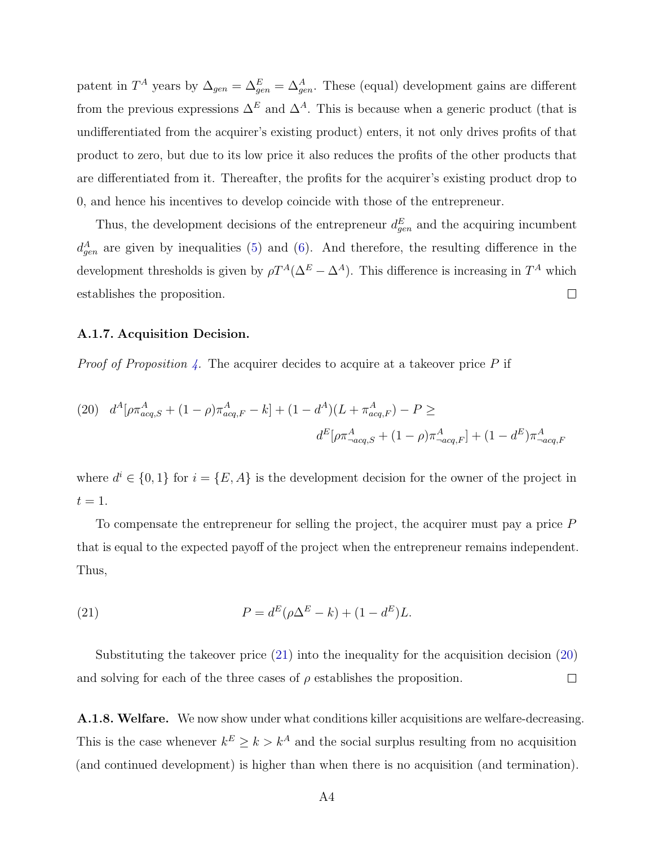patent in  $T^A$  years by  $\Delta_{gen} = \Delta_{gen}^E = \Delta_{gen}^A$ . These (equal) development gains are different from the previous expressions  $\Delta^E$  and  $\Delta^A$ . This is because when a generic product (that is undifferentiated from the acquirer's existing product) enters, it not only drives profits of that product to zero, but due to its low price it also reduces the profits of the other products that are differentiated from it. Thereafter, the profits for the acquirer's existing product drop to 0, and hence his incentives to develop coincide with those of the entrepreneur.

Thus, the development decisions of the entrepreneur  $d_{gen}^{E}$  and the acquiring incumbent  $d_{gen}^A$  are given by inequalities [\(5\)](#page-13-1) and [\(6\)](#page-13-2). And therefore, the resulting difference in the development thresholds is given by  $\rho T^A(\Delta^E - \Delta^A)$ . This difference is increasing in  $T^A$  which establishes the proposition.  $\Box$ 

### A.1.7. Acquisition Decision.

*Proof of Proposition [4.](#page-15-0)* The acquirer decides to acquire at a takeover price  $P$  if

<span id="page-58-1"></span>(20) 
$$
d^{A}[\rho \pi_{acq,S}^{A} + (1 - \rho) \pi_{acq,F}^{A} - k] + (1 - d^{A})(L + \pi_{acq,F}^{A}) - P \ge
$$

$$
d^{E}[\rho \pi_{-acq,S}^{A} + (1 - \rho) \pi_{-acq,F}^{A}] + (1 - d^{E}) \pi_{-acq,F}^{A}
$$

where  $d^i \in \{0,1\}$  for  $i = \{E, A\}$  is the development decision for the owner of the project in  $t=1$ .

To compensate the entrepreneur for selling the project, the acquirer must pay a price  $P$ that is equal to the expected payoff of the project when the entrepreneur remains independent. Thus,

<span id="page-58-0"></span>(21) 
$$
P = d^{E}(\rho \Delta^{E} - k) + (1 - d^{E})L.
$$

Substituting the takeover price [\(21\)](#page-58-0) into the inequality for the acquisition decision [\(20\)](#page-58-1) and solving for each of the three cases of  $\rho$  establishes the proposition.  $\Box$ 

A.1.8. Welfare. We now show under what conditions killer acquisitions are welfare-decreasing. This is the case whenever  $k^E \geq k > k^A$  and the social surplus resulting from no acquisition (and continued development) is higher than when there is no acquisition (and termination).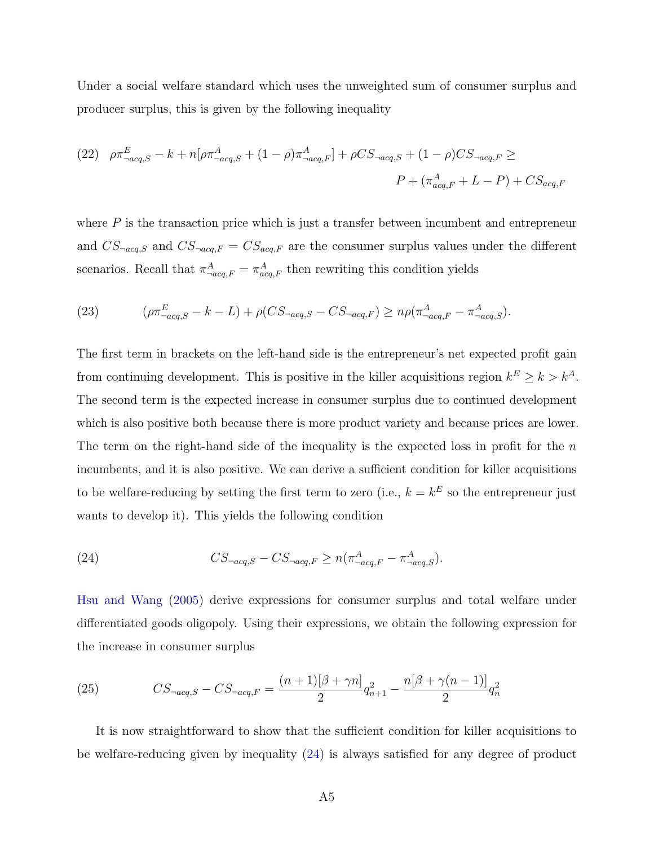Under a social welfare standard which uses the unweighted sum of consumer surplus and producer surplus, this is given by the following inequality

(22) 
$$
\rho \pi_{-acq,S}^{E} - k + n[\rho \pi_{-acq,S}^{A} + (1 - \rho) \pi_{-acq,F}^{A}] + \rho CS_{-acq,S} + (1 - \rho) CS_{-acq,F} \ge
$$

$$
P + (\pi_{acq,F}^{A} + L - P) + CS_{acq,F}
$$

where  $P$  is the transaction price which is just a transfer between incumbent and entrepreneur and  $CS$ <sub> $\neg acq$ </sub>, and  $CS$ <sub> $\neg acq$ </sub>,  $\equiv CS_{acq}$ , are the consumer surplus values under the different scenarios. Recall that  $\pi^A_{\text{--}acq,F} = \pi^A_{acq,F}$  then rewriting this condition yields

(23) 
$$
(\rho \pi_{\neg acq,S}^{E} - k - L) + \rho (CS_{\neg acq,S} - CS_{\neg acq,F}) \geq n\rho (\pi_{\neg acq,F}^{A} - \pi_{\neg acq,S}^{A}).
$$

The first term in brackets on the left-hand side is the entrepreneur's net expected profit gain from continuing development. This is positive in the killer acquisitions region  $k^E \geq k > k^A$ . The second term is the expected increase in consumer surplus due to continued development which is also positive both because there is more product variety and because prices are lower. The term on the right-hand side of the inequality is the expected loss in profit for the  $n$ incumbents, and it is also positive. We can derive a sufficient condition for killer acquisitions to be welfare-reducing by setting the first term to zero (i.e.,  $k = k<sup>E</sup>$  so the entrepreneur just wants to develop it). This yields the following condition

<span id="page-59-0"></span>(24) 
$$
CS_{\neg acq,S} - CS_{\neg acq,F} \ge n(\pi^A_{\neg acq,F} - \pi^A_{\neg acq,S}).
$$

[Hsu and Wang](#page-42-14) [\(2005\)](#page-42-14) derive expressions for consumer surplus and total welfare under differentiated goods oligopoly. Using their expressions, we obtain the following expression for the increase in consumer surplus

(25) 
$$
CS_{\neg acq,S} - CS_{\neg acq,F} = \frac{(n+1)[\beta + \gamma n]}{2}q_{n+1}^2 - \frac{n[\beta + \gamma(n-1)]}{2}q_n^2
$$

It is now straightforward to show that the sufficient condition for killer acquisitions to be welfare-reducing given by inequality [\(24\)](#page-59-0) is always satisfied for any degree of product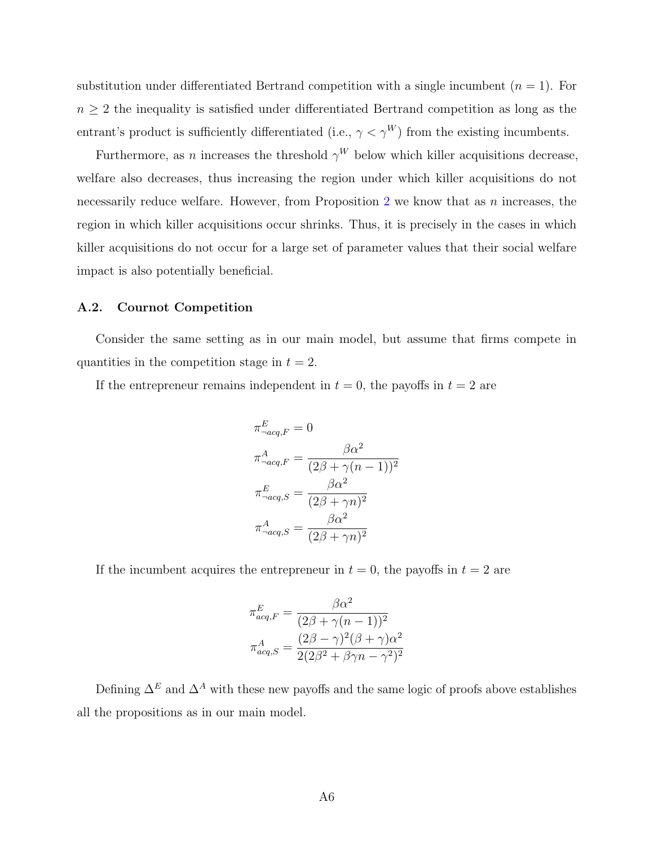substitution under differentiated Bertrand competition with a single incumbent  $(n = 1)$ . For  $n \geq 2$  the inequality is satisfied under differentiated Bertrand competition as long as the entrant's product is sufficiently differentiated (i.e.,  $\gamma < \gamma^{W}$ ) from the existing incumbents.

Furthermore, as n increases the threshold  $\gamma^W$  below which killer acquisitions decrease, welfare also decreases, thus increasing the region under which killer acquisitions do not necessarily reduce welfare. However, from Proposition [2](#page-11-0) we know that as  $n$  increases, the region in which killer acquisitions occur shrinks. Thus, it is precisely in the cases in which killer acquisitions do not occur for a large set of parameter values that their social welfare impact is also potentially beneficial.

### <span id="page-60-0"></span>A.2. Cournot Competition

Consider the same setting as in our main model, but assume that firms compete in quantities in the competition stage in  $t = 2$ .

If the entrepreneur remains independent in  $t = 0$ , the payoffs in  $t = 2$  are

$$
\pi^{E}_{\neg acq,F} = 0
$$
  
\n
$$
\pi^{A}_{\neg acq,F} = \frac{\beta \alpha^{2}}{(2\beta + \gamma(n-1))^{2}}
$$
  
\n
$$
\pi^{E}_{\neg acq,S} = \frac{\beta \alpha^{2}}{(2\beta + \gamma n)^{2}}
$$
  
\n
$$
\pi^{A}_{\neg acq,S} = \frac{\beta \alpha^{2}}{(2\beta + \gamma n)^{2}}
$$

If the incumbent acquires the entrepreneur in  $t = 0$ , the payoffs in  $t = 2$  are

$$
\pi_{acq,F}^{E} = \frac{\beta \alpha^2}{(2\beta + \gamma(n-1))^2}
$$

$$
\pi_{acq,S}^{A} = \frac{(2\beta - \gamma)^2 (\beta + \gamma)\alpha^2}{2(2\beta^2 + \beta\gamma n - \gamma^2)^2}
$$

<span id="page-60-1"></span>Defining  $\Delta^E$  and  $\Delta^A$  with these new payoffs and the same logic of proofs above establishes all the propositions as in our main model.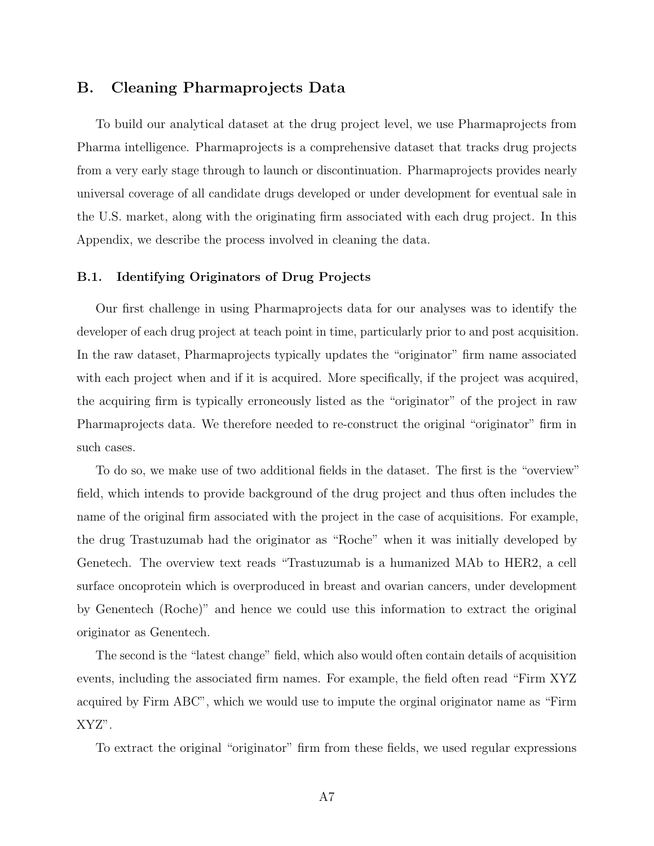### B. Cleaning Pharmaprojects Data

To build our analytical dataset at the drug project level, we use Pharmaprojects from Pharma intelligence. Pharmaprojects is a comprehensive dataset that tracks drug projects from a very early stage through to launch or discontinuation. Pharmaprojects provides nearly universal coverage of all candidate drugs developed or under development for eventual sale in the U.S. market, along with the originating firm associated with each drug project. In this Appendix, we describe the process involved in cleaning the data.

### B.1. Identifying Originators of Drug Projects

Our first challenge in using Pharmaprojects data for our analyses was to identify the developer of each drug project at teach point in time, particularly prior to and post acquisition. In the raw dataset, Pharmaprojects typically updates the "originator" firm name associated with each project when and if it is acquired. More specifically, if the project was acquired, the acquiring firm is typically erroneously listed as the "originator" of the project in raw Pharmaprojects data. We therefore needed to re-construct the original "originator" firm in such cases.

To do so, we make use of two additional fields in the dataset. The first is the "overview" field, which intends to provide background of the drug project and thus often includes the name of the original firm associated with the project in the case of acquisitions. For example, the drug Trastuzumab had the originator as "Roche" when it was initially developed by Genetech. The overview text reads "Trastuzumab is a humanized MAb to HER2, a cell surface oncoprotein which is overproduced in breast and ovarian cancers, under development by Genentech (Roche)" and hence we could use this information to extract the original originator as Genentech.

The second is the "latest change" field, which also would often contain details of acquisition events, including the associated firm names. For example, the field often read "Firm XYZ acquired by Firm ABC", which we would use to impute the orginal originator name as "Firm XYZ".

To extract the original "originator" firm from these fields, we used regular expressions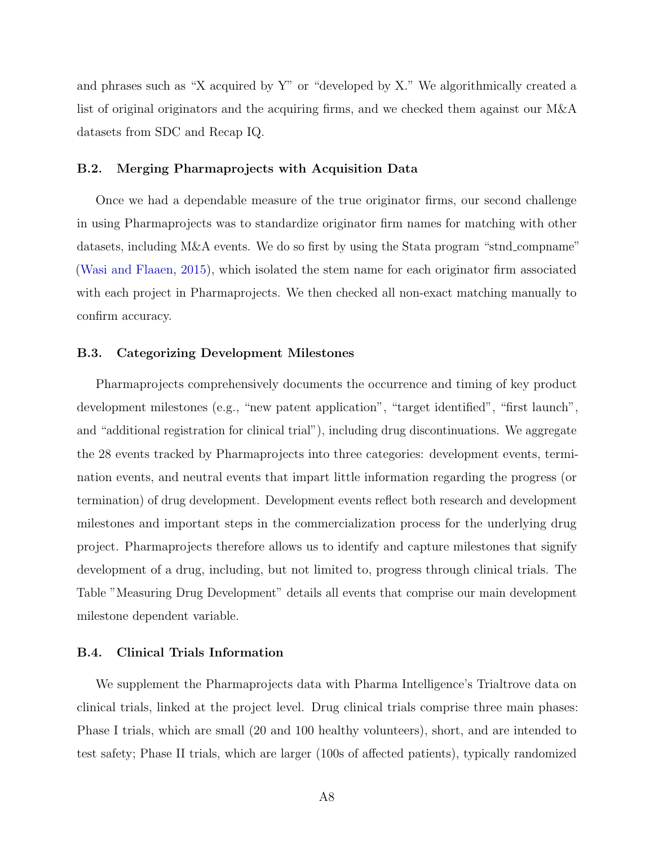and phrases such as "X acquired by Y" or "developed by X." We algorithmically created a list of original originators and the acquiring firms, and we checked them against our M&A datasets from SDC and Recap IQ.

### B.2. Merging Pharmaprojects with Acquisition Data

Once we had a dependable measure of the true originator firms, our second challenge in using Pharmaprojects was to standardize originator firm names for matching with other datasets, including M&A events. We do so first by using the Stata program "stnd compname" [\(Wasi and Flaaen,](#page-44-6) [2015\)](#page-44-6), which isolated the stem name for each originator firm associated with each project in Pharmaprojects. We then checked all non-exact matching manually to confirm accuracy.

### B.3. Categorizing Development Milestones

Pharmaprojects comprehensively documents the occurrence and timing of key product development milestones (e.g., "new patent application", "target identified", "first launch", and "additional registration for clinical trial"), including drug discontinuations. We aggregate the 28 events tracked by Pharmaprojects into three categories: development events, termination events, and neutral events that impart little information regarding the progress (or termination) of drug development. Development events reflect both research and development milestones and important steps in the commercialization process for the underlying drug project. Pharmaprojects therefore allows us to identify and capture milestones that signify development of a drug, including, but not limited to, progress through clinical trials. The Table "Measuring Drug Development" details all events that comprise our main development milestone dependent variable.

### B.4. Clinical Trials Information

We supplement the Pharmaprojects data with Pharma Intelligence's Trialtrove data on clinical trials, linked at the project level. Drug clinical trials comprise three main phases: Phase I trials, which are small (20 and 100 healthy volunteers), short, and are intended to test safety; Phase II trials, which are larger (100s of affected patients), typically randomized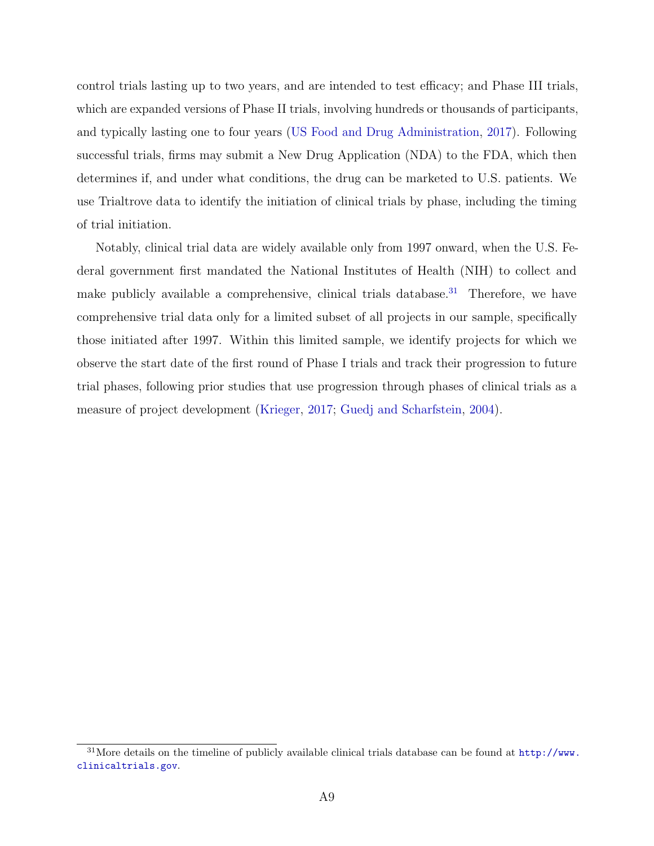control trials lasting up to two years, and are intended to test efficacy; and Phase III trials, which are expanded versions of Phase II trials, involving hundreds or thousands of participants, and typically lasting one to four years [\(US Food and Drug Administration,](#page-44-1) [2017\)](#page-44-1). Following successful trials, firms may submit a New Drug Application (NDA) to the FDA, which then determines if, and under what conditions, the drug can be marketed to U.S. patients. We use Trialtrove data to identify the initiation of clinical trials by phase, including the timing of trial initiation.

Notably, clinical trial data are widely available only from 1997 onward, when the U.S. Federal government first mandated the National Institutes of Health (NIH) to collect and make publicly available a comprehensive, clinical trials database.<sup>[31](#page-0-0)</sup> Therefore, we have comprehensive trial data only for a limited subset of all projects in our sample, specifically those initiated after 1997. Within this limited sample, we identify projects for which we observe the start date of the first round of Phase I trials and track their progression to future trial phases, following prior studies that use progression through phases of clinical trials as a measure of project development [\(Krieger,](#page-42-0) [2017;](#page-42-0) [Guedj and Scharfstein,](#page-42-1) [2004\)](#page-42-1).

 $31$ More details on the timeline of publicly available clinical trials database can be found at  $http://www.$ [clinicaltrials.gov](http://www.clinicaltrials.gov).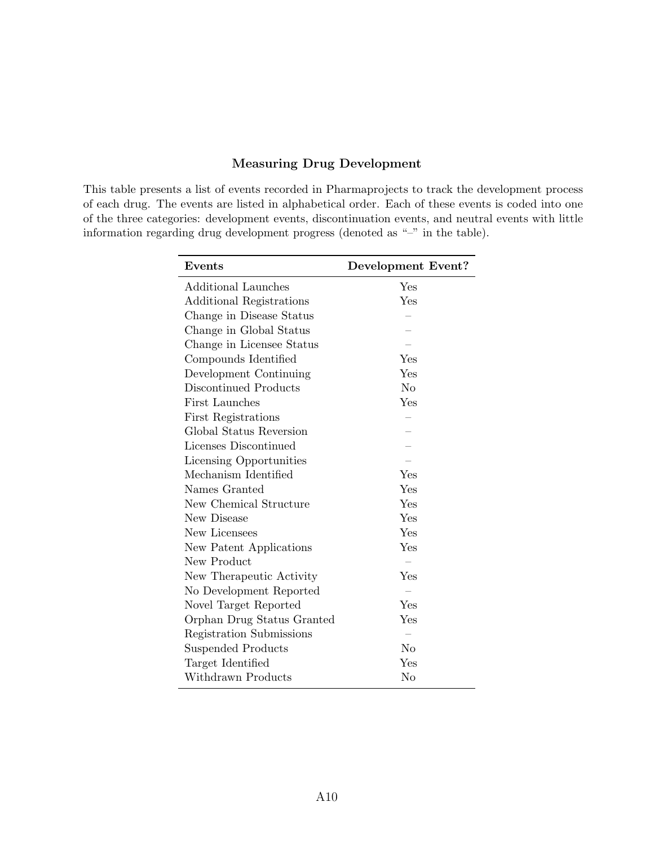### Measuring Drug Development

This table presents a list of events recorded in Pharmaprojects to track the development process of each drug. The events are listed in alphabetical order. Each of these events is coded into one of the three categories: development events, discontinuation events, and neutral events with little information regarding drug development progress (denoted as "–" in the table).

| Events                     | Development Event? |
|----------------------------|--------------------|
| Additional Launches        | Yes                |
| Additional Registrations   | Yes                |
| Change in Disease Status   |                    |
| Change in Global Status    |                    |
| Change in Licensee Status  |                    |
| Compounds Identified       | Yes                |
| Development Continuing     | Yes                |
| Discontinued Products      | $\rm No$           |
| First Launches             | Yes                |
| First Registrations        |                    |
| Global Status Reversion    |                    |
| Licenses Discontinued      |                    |
| Licensing Opportunities    |                    |
| Mechanism Identified       | Yes                |
| Names Granted              | Yes                |
| New Chemical Structure     | Yes                |
| New Disease                | Yes                |
| New Licensees              | Yes                |
| New Patent Applications    | Yes                |
| New Product                |                    |
| New Therapeutic Activity   | Yes                |
| No Development Reported    |                    |
| Novel Target Reported      | Yes                |
| Orphan Drug Status Granted | Yes                |
| Registration Submissions   |                    |
| Suspended Products         | No                 |
| Target Identified          | Yes                |
| Withdrawn Products         | No                 |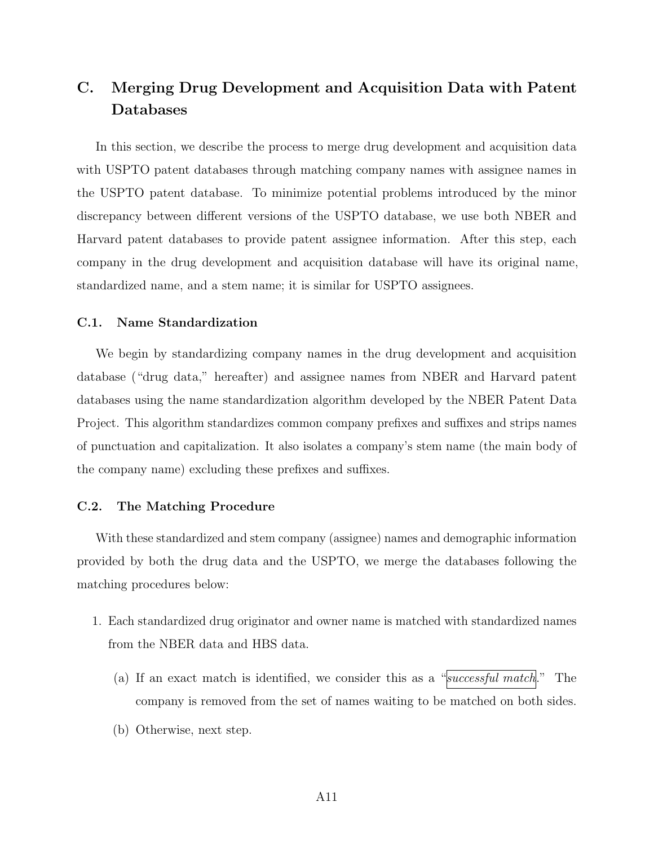### C. Merging Drug Development and Acquisition Data with Patent Databases

In this section, we describe the process to merge drug development and acquisition data with USPTO patent databases through matching company names with assignee names in the USPTO patent database. To minimize potential problems introduced by the minor discrepancy between different versions of the USPTO database, we use both NBER and Harvard patent databases to provide patent assignee information. After this step, each company in the drug development and acquisition database will have its original name, standardized name, and a stem name; it is similar for USPTO assignees.

### C.1. Name Standardization

We begin by standardizing company names in the drug development and acquisition database ("drug data," hereafter) and assignee names from NBER and Harvard patent databases using the name standardization algorithm developed by the NBER Patent Data Project. This algorithm standardizes common company prefixes and suffixes and strips names of punctuation and capitalization. It also isolates a company's stem name (the main body of the company name) excluding these prefixes and suffixes.

### C.2. The Matching Procedure

With these standardized and stem company (assignee) names and demographic information provided by both the drug data and the USPTO, we merge the databases following the matching procedures below:

- 1. Each standardized drug originator and owner name is matched with standardized names from the NBER data and HBS data.
	- (a) If an exact match is identified, we consider this as a "successful match." The company is removed from the set of names waiting to be matched on both sides.
	- (b) Otherwise, next step.